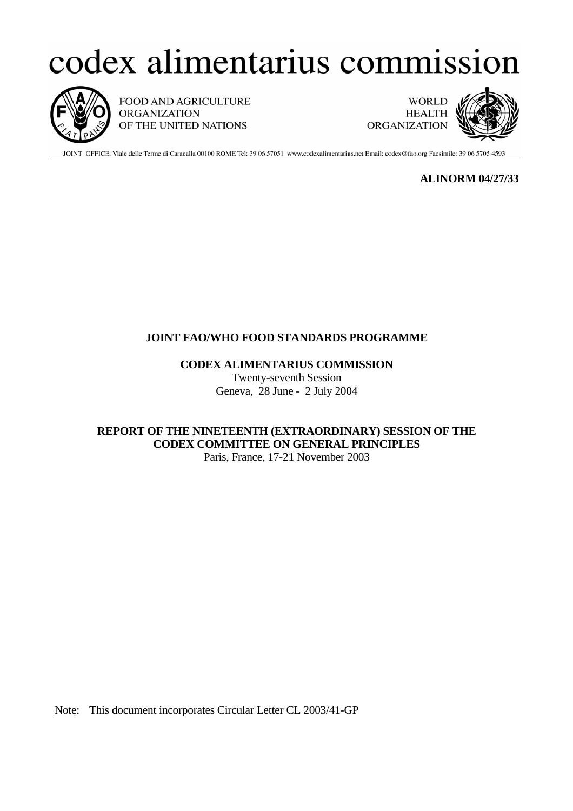# codex alimentarius commission



**FOOD AND AGRICULTURE ORGANIZATION** OF THE UNITED NATIONS

**WORLD HEALTH ORGANIZATION** 



JOINT OFFICE: Viale delle Terme di Caracalla 00100 ROME Tel: 39 06 57051 www.codexalimentarius.net Email: codex@fao.org Facsimile: 39 06 5705 4593

 **ALINORM 04/27/33** 

# **JOINT FAO/WHO FOOD STANDARDS PROGRAMME**

 **CODEX ALIMENTARIUS COMMISSION**

 Twenty-seventh Session Geneva, 28 June - 2 July 2004

 **REPORT OF THE NINETEENTH (EXTRAORDINARY) SESSION OF THE CODEX COMMITTEE ON GENERAL PRINCIPLES** 

Paris, France, 17-21 November 2003

Note: This document incorporates Circular Letter CL 2003/41-GP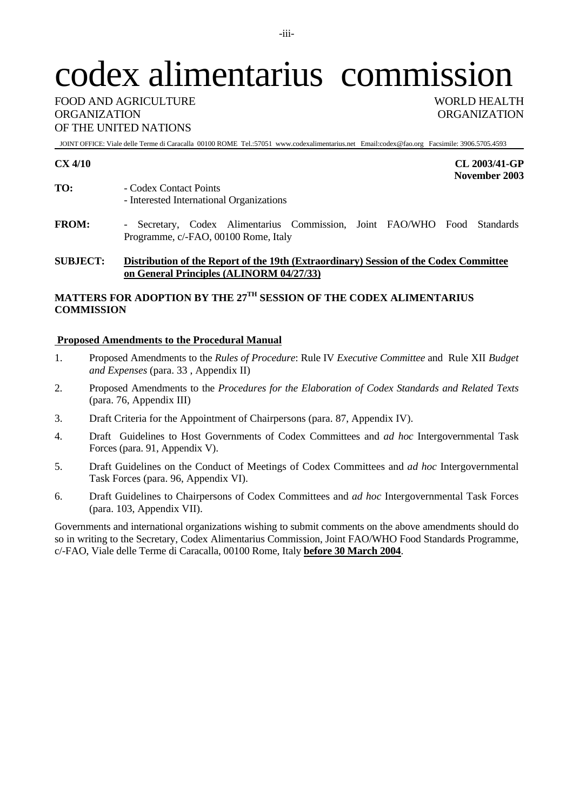# codex alimentarius commission

FOOD AND AGRICULTURE WORLD HEALTH ORGANIZATION ORGANIZATION OF THE UNITED NATIONS

JOINT OFFICE: Viale delle Terme di Caracalla 00100 ROME Tel.:57051 www.codexalimentarius.net Email:codex@fao.org Facsimile: 3906.5705.4593

**CX 4/10 CL 2003/41-GP November 2003** 

- **TO:** Codex Contact Points - Interested International Organizations
- **FROM:** Secretary, Codex Alimentarius Commission, Joint FAO/WHO Food Standards Programme, c/-FAO, 00100 Rome, Italy

## **SUBJECT: Distribution of the Report of the 19th (Extraordinary) Session of the Codex Committee on General Principles (ALINORM 04/27/33)**

# **MATTERS FOR ADOPTION BY THE 27TH SESSION OF THE CODEX ALIMENTARIUS COMMISSION**

## **Proposed Amendments to the Procedural Manual**

- 1. Proposed Amendments to the *Rules of Procedure*: Rule IV *Executive Committee* and Rule XII *Budget and Expenses* (para. 33 , Appendix II)
- 2. Proposed Amendments to the *Procedures for the Elaboration of Codex Standards and Related Texts* (para. 76, Appendix III)
- 3. Draft Criteria for the Appointment of Chairpersons (para. 87, Appendix IV).
- 4. Draft Guidelines to Host Governments of Codex Committees and *ad hoc* Intergovernmental Task Forces (para. 91, Appendix V).
- 5. Draft Guidelines on the Conduct of Meetings of Codex Committees and *ad hoc* Intergovernmental Task Forces (para. 96, Appendix VI).
- 6. Draft Guidelines to Chairpersons of Codex Committees and *ad hoc* Intergovernmental Task Forces (para. 103, Appendix VII).

Governments and international organizations wishing to submit comments on the above amendments should do so in writing to the Secretary, Codex Alimentarius Commission, Joint FAO/WHO Food Standards Programme, c/-FAO, Viale delle Terme di Caracalla, 00100 Rome, Italy **before 30 March 2004**.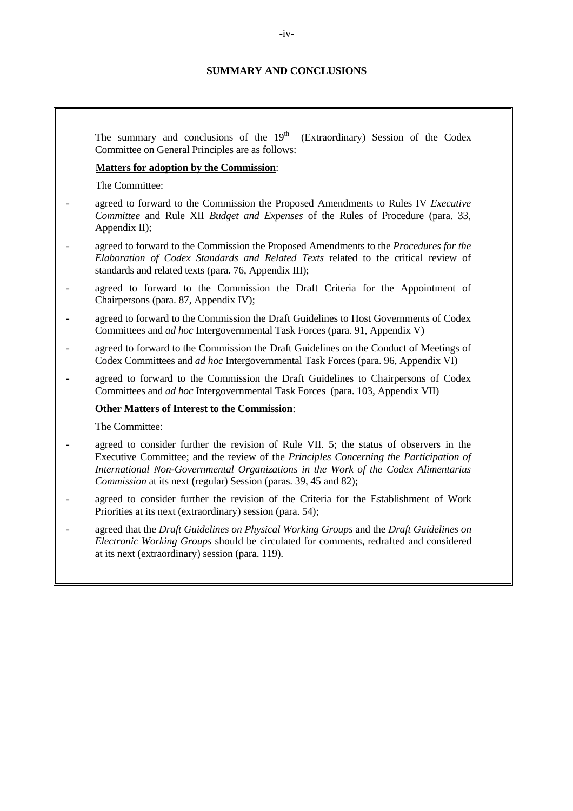# **SUMMARY AND CONCLUSIONS**

The summary and conclusions of the  $19<sup>th</sup>$  (Extraordinary) Session of the Codex Committee on General Principles are as follows:

## **Matters for adoption by the Commission**:

The Committee:

- agreed to forward to the Commission the Proposed Amendments to Rules IV *Executive Committee* and Rule XII *Budget and Expenses* of the Rules of Procedure (para. 33, Appendix II);
- agreed to forward to the Commission the Proposed Amendments to the *Procedures for the Elaboration of Codex Standards and Related Texts* related to the critical review of standards and related texts (para. 76, Appendix III);
- agreed to forward to the Commission the Draft Criteria for the Appointment of Chairpersons (para. 87, Appendix IV);
- agreed to forward to the Commission the Draft Guidelines to Host Governments of Codex Committees and *ad hoc* Intergovernmental Task Forces (para. 91, Appendix V)
- agreed to forward to the Commission the Draft Guidelines on the Conduct of Meetings of Codex Committees and *ad hoc* Intergovernmental Task Forces (para. 96, Appendix VI)
- agreed to forward to the Commission the Draft Guidelines to Chairpersons of Codex Committees and *ad hoc* Intergovernmental Task Forces (para. 103, Appendix VII)

# **Other Matters of Interest to the Commission**:

The Committee:

- agreed to consider further the revision of Rule VII. 5; the status of observers in the Executive Committee; and the review of the *Principles Concerning the Participation of International Non-Governmental Organizations in the Work of the Codex Alimentarius Commission* at its next (regular) Session (paras. 39, 45 and 82);
- agreed to consider further the revision of the Criteria for the Establishment of Work Priorities at its next (extraordinary) session (para. 54);
- agreed that the *Draft Guidelines on Physical Working Groups* and the *Draft Guidelines on Electronic Working Groups* should be circulated for comments, redrafted and considered at its next (extraordinary) session (para. 119).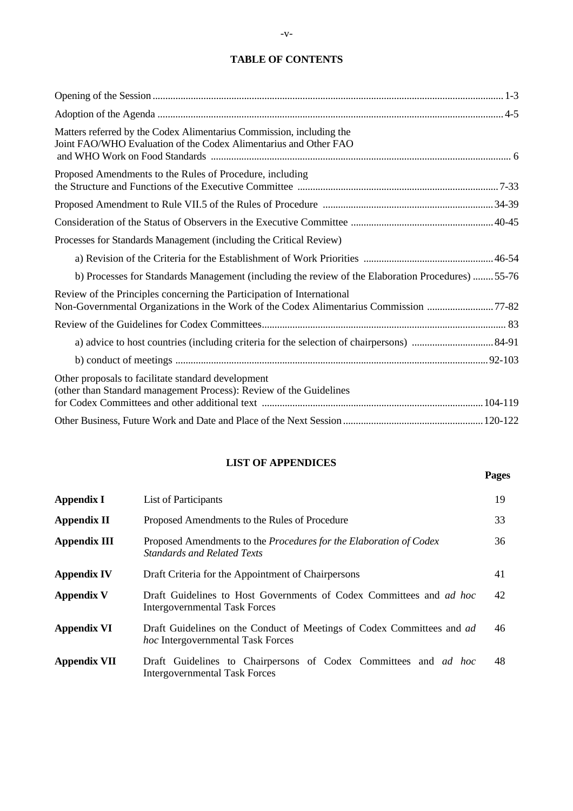# **TABLE OF CONTENTS**

| Matters referred by the Codex Alimentarius Commission, including the<br>Joint FAO/WHO Evaluation of the Codex Alimentarius and Other FAO                        |
|-----------------------------------------------------------------------------------------------------------------------------------------------------------------|
| Proposed Amendments to the Rules of Procedure, including                                                                                                        |
|                                                                                                                                                                 |
|                                                                                                                                                                 |
| Processes for Standards Management (including the Critical Review)                                                                                              |
|                                                                                                                                                                 |
| b) Processes for Standards Management (including the review of the Elaboration Procedures)  55-76                                                               |
| Review of the Principles concerning the Participation of International<br>Non-Governmental Organizations in the Work of the Codex Alimentarius Commission 77-82 |
|                                                                                                                                                                 |
|                                                                                                                                                                 |
|                                                                                                                                                                 |
| Other proposals to facilitate standard development<br>(other than Standard management Process): Review of the Guidelines                                        |
|                                                                                                                                                                 |

# **LIST OF APPENDICES**

# **Pages**

| Appendix I          | List of Participants                                                                                                      |    |  |  |
|---------------------|---------------------------------------------------------------------------------------------------------------------------|----|--|--|
| <b>Appendix II</b>  | Proposed Amendments to the Rules of Procedure                                                                             |    |  |  |
| <b>Appendix III</b> | Proposed Amendments to the Procedures for the Elaboration of Codex<br><b>Standards and Related Texts</b>                  |    |  |  |
| <b>Appendix IV</b>  | Draft Criteria for the Appointment of Chairpersons<br>41                                                                  |    |  |  |
| <b>Appendix V</b>   | 42<br>Draft Guidelines to Host Governments of Codex Committees and <i>ad hoc</i><br><b>Intergovernmental Task Forces</b>  |    |  |  |
| <b>Appendix VI</b>  | Draft Guidelines on the Conduct of Meetings of Codex Committees and <i>ad</i><br><i>hoc</i> Intergovernmental Task Forces | 46 |  |  |
| <b>Appendix VII</b> | Draft Guidelines to Chairpersons of Codex Committees and <i>ad hoc</i><br>Intergovernmental Task Forces                   | 48 |  |  |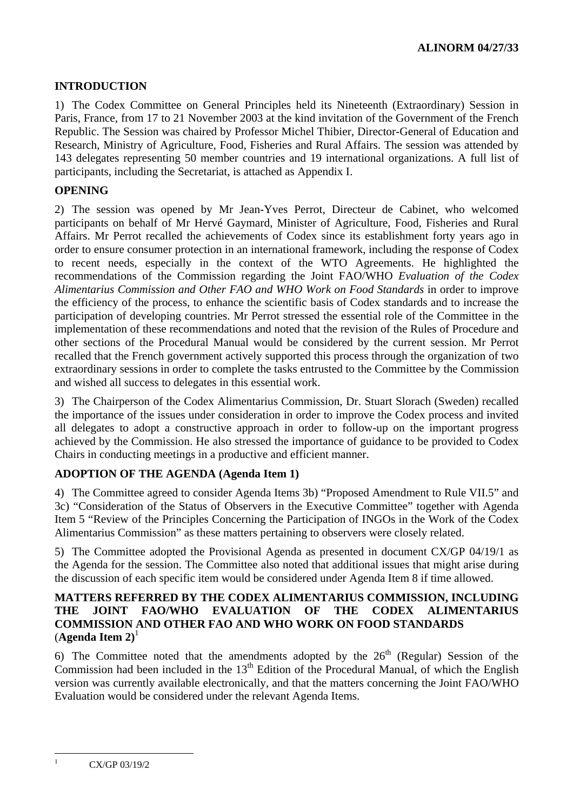**ALINORM 04/27/33** 

# **INTRODUCTION**

1) The Codex Committee on General Principles held its Nineteenth (Extraordinary) Session in Paris, France, from 17 to 21 November 2003 at the kind invitation of the Government of the French Republic. The Session was chaired by Professor Michel Thibier, Director-General of Education and Research, Ministry of Agriculture, Food, Fisheries and Rural Affairs. The session was attended by 143 delegates representing 50 member countries and 19 international organizations. A full list of participants, including the Secretariat, is attached as Appendix I.

# **OPENING**

2) The session was opened by Mr Jean-Yves Perrot, Directeur de Cabinet, who welcomed participants on behalf of Mr Hervé Gaymard, Minister of Agriculture, Food, Fisheries and Rural Affairs. Mr Perrot recalled the achievements of Codex since its establishment forty years ago in order to ensure consumer protection in an international framework, including the response of Codex to recent needs, especially in the context of the WTO Agreements. He highlighted the recommendations of the Commission regarding the Joint FAO/WHO *Evaluation of the Codex Alimentarius Commission and Other FAO and WHO Work on Food Standards* in order to improve the efficiency of the process, to enhance the scientific basis of Codex standards and to increase the participation of developing countries. Mr Perrot stressed the essential role of the Committee in the implementation of these recommendations and noted that the revision of the Rules of Procedure and other sections of the Procedural Manual would be considered by the current session. Mr Perrot recalled that the French government actively supported this process through the organization of two extraordinary sessions in order to complete the tasks entrusted to the Committee by the Commission and wished all success to delegates in this essential work.

3) The Chairperson of the Codex Alimentarius Commission, Dr. Stuart Slorach (Sweden) recalled the importance of the issues under consideration in order to improve the Codex process and invited all delegates to adopt a constructive approach in order to follow-up on the important progress achieved by the Commission. He also stressed the importance of guidance to be provided to Codex Chairs in conducting meetings in a productive and efficient manner.

# **ADOPTION OF THE AGENDA (Agenda Item 1)**

4) The Committee agreed to consider Agenda Items 3b) "Proposed Amendment to Rule VII.5" and 3c) "Consideration of the Status of Observers in the Executive Committee" together with Agenda Item 5 "Review of the Principles Concerning the Participation of INGOs in the Work of the Codex Alimentarius Commission" as these matters pertaining to observers were closely related.

5) The Committee adopted the Provisional Agenda as presented in document CX/GP 04/19/1 as the Agenda for the session. The Committee also noted that additional issues that might arise during the discussion of each specific item would be considered under Agenda Item 8 if time allowed.

# **MATTERS REFERRED BY THE CODEX ALIMENTARIUS COMMISSION, INCLUDING THE JOINT FAO/WHO EVALUATION OF THE CODEX ALIMENTARIUS COMMISSION AND OTHER FAO AND WHO WORK ON FOOD STANDARDS** (**Agenda Item 2)**<sup>1</sup>

6) The Committee noted that the amendments adopted by the  $26<sup>th</sup>$  (Regular) Session of the Commission had been included in the  $13<sup>th</sup>$  Edition of the Procedural Manual, of which the English version was currently available electronically, and that the matters concerning the Joint FAO/WHO Evaluation would be considered under the relevant Agenda Items.

<span id="page-4-0"></span>CX/GP 03/19/2

 $\frac{1}{1}$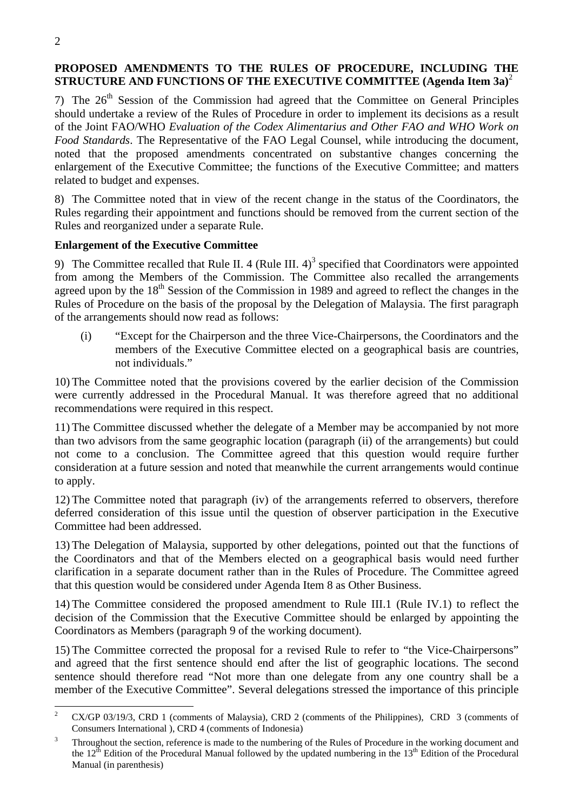# **PROPOSED AMENDMENTS TO THE RULES OF PROCEDURE, INCLUDING THE STRUCTURE AND FUNCTIONS OF THE EXECUTIVE COMMITTEE (Agenda Item 3a)**[2](#page-5-0)

7) The  $26<sup>th</sup>$  Session of the Commission had agreed that the Committee on General Principles should undertake a review of the Rules of Procedure in order to implement its decisions as a result of the Joint FAO/WHO *Evaluation of the Codex Alimentarius and Other FAO and WHO Work on Food Standards*. The Representative of the FAO Legal Counsel, while introducing the document, noted that the proposed amendments concentrated on substantive changes concerning the enlargement of the Executive Committee; the functions of the Executive Committee; and matters related to budget and expenses.

8) The Committee noted that in view of the recent change in the status of the Coordinators, the Rules regarding their appointment and functions should be removed from the current section of the Rules and reorganized under a separate Rule.

# **Enlargement of the Executive Committee**

9) The Committee recalled that Rule II. 4 (Rule III.  $4<sup>3</sup>$  $4<sup>3</sup>$  $4<sup>3</sup>$  specified that Coordinators were appointed from among the Members of the Commission. The Committee also recalled the arrangements agreed upon by the 18<sup>th</sup> Session of the Commission in 1989 and agreed to reflect the changes in the Rules of Procedure on the basis of the proposal by the Delegation of Malaysia. The first paragraph of the arrangements should now read as follows:

(i) "Except for the Chairperson and the three Vice-Chairpersons, the Coordinators and the members of the Executive Committee elected on a geographical basis are countries, not individuals."

10) The Committee noted that the provisions covered by the earlier decision of the Commission were currently addressed in the Procedural Manual. It was therefore agreed that no additional recommendations were required in this respect.

11) The Committee discussed whether the delegate of a Member may be accompanied by not more than two advisors from the same geographic location (paragraph (ii) of the arrangements) but could not come to a conclusion. The Committee agreed that this question would require further consideration at a future session and noted that meanwhile the current arrangements would continue to apply.

12) The Committee noted that paragraph (iv) of the arrangements referred to observers, therefore deferred consideration of this issue until the question of observer participation in the Executive Committee had been addressed.

13) The Delegation of Malaysia, supported by other delegations, pointed out that the functions of the Coordinators and that of the Members elected on a geographical basis would need further clarification in a separate document rather than in the Rules of Procedure. The Committee agreed that this question would be considered under Agenda Item 8 as Other Business.

14) The Committee considered the proposed amendment to Rule III.1 (Rule IV.1) to reflect the decision of the Commission that the Executive Committee should be enlarged by appointing the Coordinators as Members (paragraph 9 of the working document).

15) The Committee corrected the proposal for a revised Rule to refer to "the Vice-Chairpersons" and agreed that the first sentence should end after the list of geographic locations. The second sentence should therefore read "Not more than one delegate from any one country shall be a member of the Executive Committee". Several delegations stressed the importance of this principle

<span id="page-5-0"></span> $\frac{1}{2}$  CX/GP 03/19/3, CRD 1 (comments of Malaysia), CRD 2 (comments of the Philippines), CRD 3 (comments of Consumers International ), CRD 4 (comments of Indonesia)<br><sup>3</sup> Thermalization are formed in mode to the numbering

<span id="page-5-1"></span>Throughout the section, reference is made to the numbering of the Rules of Procedure in the working document and the  $12<sup>th</sup>$  Edition of the Procedural Manual followed by the updated numbering in the  $13<sup>th</sup>$  Edition of the Procedural Manual (in parenthesis)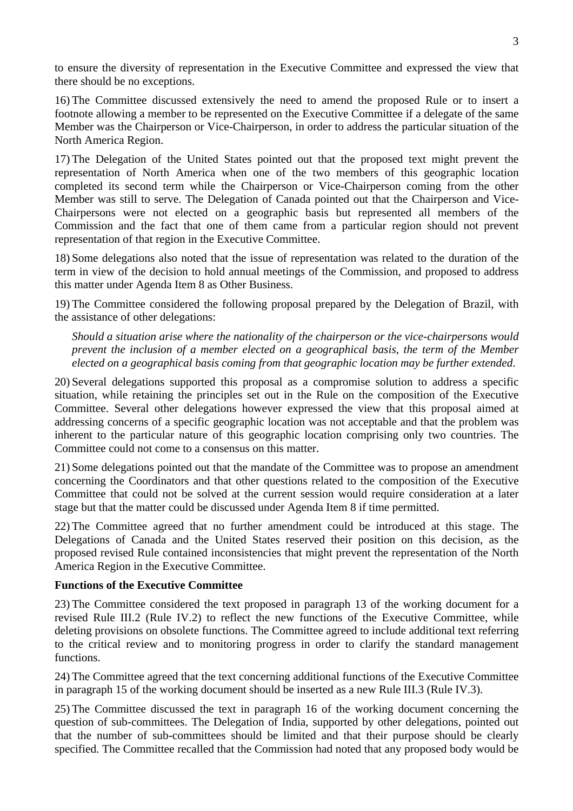to ensure the diversity of representation in the Executive Committee and expressed the view that there should be no exceptions.

16) The Committee discussed extensively the need to amend the proposed Rule or to insert a footnote allowing a member to be represented on the Executive Committee if a delegate of the same Member was the Chairperson or Vice-Chairperson, in order to address the particular situation of the North America Region.

17) The Delegation of the United States pointed out that the proposed text might prevent the representation of North America when one of the two members of this geographic location completed its second term while the Chairperson or Vice-Chairperson coming from the other Member was still to serve. The Delegation of Canada pointed out that the Chairperson and Vice-Chairpersons were not elected on a geographic basis but represented all members of the Commission and the fact that one of them came from a particular region should not prevent representation of that region in the Executive Committee.

18) Some delegations also noted that the issue of representation was related to the duration of the term in view of the decision to hold annual meetings of the Commission, and proposed to address this matter under Agenda Item 8 as Other Business.

19) The Committee considered the following proposal prepared by the Delegation of Brazil, with the assistance of other delegations:

*Should a situation arise where the nationality of the chairperson or the vice-chairpersons would prevent the inclusion of a member elected on a geographical basis, the term of the Member elected on a geographical basis coming from that geographic location may be further extended*.

20) Several delegations supported this proposal as a compromise solution to address a specific situation, while retaining the principles set out in the Rule on the composition of the Executive Committee. Several other delegations however expressed the view that this proposal aimed at addressing concerns of a specific geographic location was not acceptable and that the problem was inherent to the particular nature of this geographic location comprising only two countries. The Committee could not come to a consensus on this matter.

21) Some delegations pointed out that the mandate of the Committee was to propose an amendment concerning the Coordinators and that other questions related to the composition of the Executive Committee that could not be solved at the current session would require consideration at a later stage but that the matter could be discussed under Agenda Item 8 if time permitted.

22) The Committee agreed that no further amendment could be introduced at this stage. The Delegations of Canada and the United States reserved their position on this decision, as the proposed revised Rule contained inconsistencies that might prevent the representation of the North America Region in the Executive Committee.

# **Functions of the Executive Committee**

23) The Committee considered the text proposed in paragraph 13 of the working document for a revised Rule III.2 (Rule IV.2) to reflect the new functions of the Executive Committee, while deleting provisions on obsolete functions. The Committee agreed to include additional text referring to the critical review and to monitoring progress in order to clarify the standard management functions.

24) The Committee agreed that the text concerning additional functions of the Executive Committee in paragraph 15 of the working document should be inserted as a new Rule III.3 (Rule IV.3).

25) The Committee discussed the text in paragraph 16 of the working document concerning the question of sub-committees. The Delegation of India, supported by other delegations, pointed out that the number of sub-committees should be limited and that their purpose should be clearly specified. The Committee recalled that the Commission had noted that any proposed body would be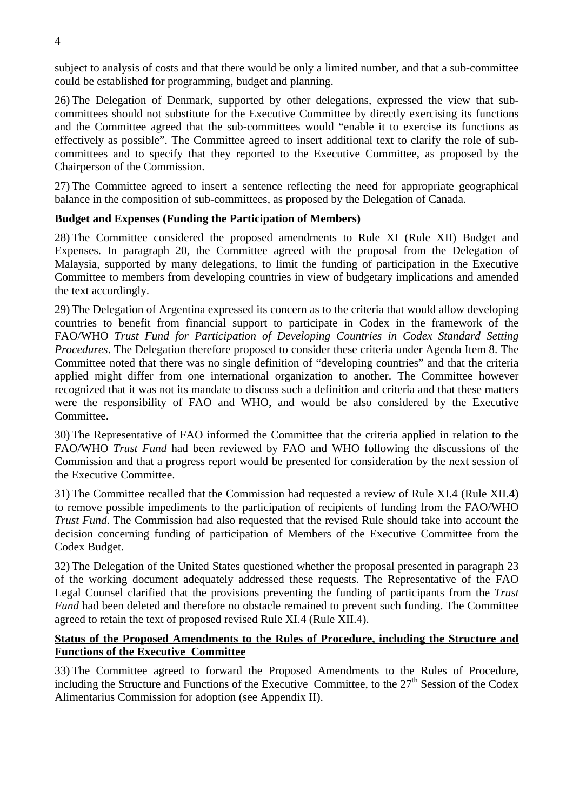subject to analysis of costs and that there would be only a limited number, and that a sub-committee could be established for programming, budget and planning.

26) The Delegation of Denmark, supported by other delegations, expressed the view that subcommittees should not substitute for the Executive Committee by directly exercising its functions and the Committee agreed that the sub-committees would "enable it to exercise its functions as effectively as possible". The Committee agreed to insert additional text to clarify the role of subcommittees and to specify that they reported to the Executive Committee, as proposed by the Chairperson of the Commission.

27) The Committee agreed to insert a sentence reflecting the need for appropriate geographical balance in the composition of sub-committees, as proposed by the Delegation of Canada.

# **Budget and Expenses (Funding the Participation of Members)**

28) The Committee considered the proposed amendments to Rule XI (Rule XII) Budget and Expenses. In paragraph 20, the Committee agreed with the proposal from the Delegation of Malaysia, supported by many delegations, to limit the funding of participation in the Executive Committee to members from developing countries in view of budgetary implications and amended the text accordingly.

29) The Delegation of Argentina expressed its concern as to the criteria that would allow developing countries to benefit from financial support to participate in Codex in the framework of the FAO/WHO *Trust Fund for Participation of Developing Countries in Codex Standard Setting Procedures*. The Delegation therefore proposed to consider these criteria under Agenda Item 8. The Committee noted that there was no single definition of "developing countries" and that the criteria applied might differ from one international organization to another. The Committee however recognized that it was not its mandate to discuss such a definition and criteria and that these matters were the responsibility of FAO and WHO, and would be also considered by the Executive Committee.

30) The Representative of FAO informed the Committee that the criteria applied in relation to the FAO/WHO *Trust Fund* had been reviewed by FAO and WHO following the discussions of the Commission and that a progress report would be presented for consideration by the next session of the Executive Committee.

31) The Committee recalled that the Commission had requested a review of Rule XI.4 (Rule XII.4) to remove possible impediments to the participation of recipients of funding from the FAO/WHO *Trust Fund*. The Commission had also requested that the revised Rule should take into account the decision concerning funding of participation of Members of the Executive Committee from the Codex Budget.

32) The Delegation of the United States questioned whether the proposal presented in paragraph 23 of the working document adequately addressed these requests. The Representative of the FAO Legal Counsel clarified that the provisions preventing the funding of participants from the *Trust Fund* had been deleted and therefore no obstacle remained to prevent such funding. The Committee agreed to retain the text of proposed revised Rule XI.4 (Rule XII.4).

# **Status of the Proposed Amendments to the Rules of Procedure, including the Structure and Functions of the Executive Committee**

33) The Committee agreed to forward the Proposed Amendments to the Rules of Procedure, including the Structure and Functions of the Executive Committee, to the  $27<sup>th</sup>$  Session of the Codex Alimentarius Commission for adoption (see Appendix II).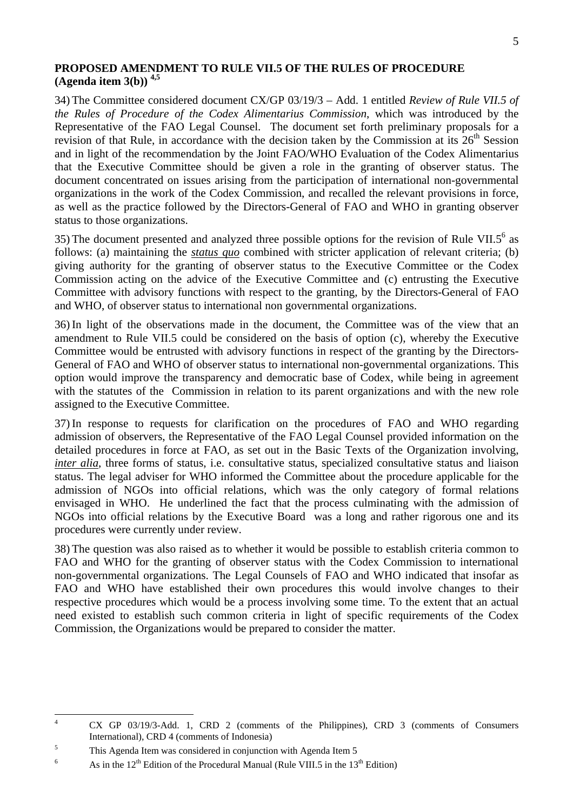# **PROPOSED AMENDMENT TO RULE VII.5 OF THE RULES OF PROCEDURE (Agenda item 3(b)) [4,](#page-8-0)[5](#page-8-1)**

34) The Committee considered document CX/GP 03/19/3 – Add. 1 entitled *Review of Rule VII.5 of the Rules of Procedure of the Codex Alimentarius Commission*, which was introduced by the Representative of the FAO Legal Counsel. The document set forth preliminary proposals for a revision of that Rule, in accordance with the decision taken by the Commission at its  $26<sup>th</sup>$  Session and in light of the recommendation by the Joint FAO/WHO Evaluation of the Codex Alimentarius that the Executive Committee should be given a role in the granting of observer status. The document concentrated on issues arising from the participation of international non-governmental organizations in the work of the Codex Commission, and recalled the relevant provisions in force, as well as the practice followed by the Directors-General of FAO and WHO in granting observer status to those organizations.

35) The document presented and analyzed three possible options for the revision of Rule VII.5 $^6$  $^6$  as follows: (a) maintaining the *status quo* combined with stricter application of relevant criteria; (b) giving authority for the granting of observer status to the Executive Committee or the Codex Commission acting on the advice of the Executive Committee and (c) entrusting the Executive Committee with advisory functions with respect to the granting, by the Directors-General of FAO and WHO, of observer status to international non governmental organizations.

36) In light of the observations made in the document, the Committee was of the view that an amendment to Rule VII.5 could be considered on the basis of option (c), whereby the Executive Committee would be entrusted with advisory functions in respect of the granting by the Directors-General of FAO and WHO of observer status to international non-governmental organizations. This option would improve the transparency and democratic base of Codex, while being in agreement with the statutes of the Commission in relation to its parent organizations and with the new role assigned to the Executive Committee.

37) In response to requests for clarification on the procedures of FAO and WHO regarding admission of observers, the Representative of the FAO Legal Counsel provided information on the detailed procedures in force at FAO, as set out in the Basic Texts of the Organization involving, *inter alia*, three forms of status, i.e. consultative status, specialized consultative status and liaison status. The legal adviser for WHO informed the Committee about the procedure applicable for the admission of NGOs into official relations, which was the only category of formal relations envisaged in WHO. He underlined the fact that the process culminating with the admission of NGOs into official relations by the Executive Board was a long and rather rigorous one and its procedures were currently under review.

38) The question was also raised as to whether it would be possible to establish criteria common to FAO and WHO for the granting of observer status with the Codex Commission to international non-governmental organizations. The Legal Counsels of FAO and WHO indicated that insofar as FAO and WHO have established their own procedures this would involve changes to their respective procedures which would be a process involving some time. To the extent that an actual need existed to establish such common criteria in light of specific requirements of the Codex Commission, the Organizations would be prepared to consider the matter.

<span id="page-8-0"></span> $\frac{1}{4}$  CX GP 03/19/3-Add. 1, CRD 2 (comments of the Philippines), CRD 3 (comments of Consumers International), CRD 4 (comments of Indonesia)

<span id="page-8-1"></span><sup>5</sup> This Agenda Item was considered in conjunction with Agenda Item 5

<span id="page-8-2"></span><sup>6</sup> As in the  $12<sup>th</sup>$  Edition of the Procedural Manual (Rule VIII.5 in the  $13<sup>th</sup>$  Edition)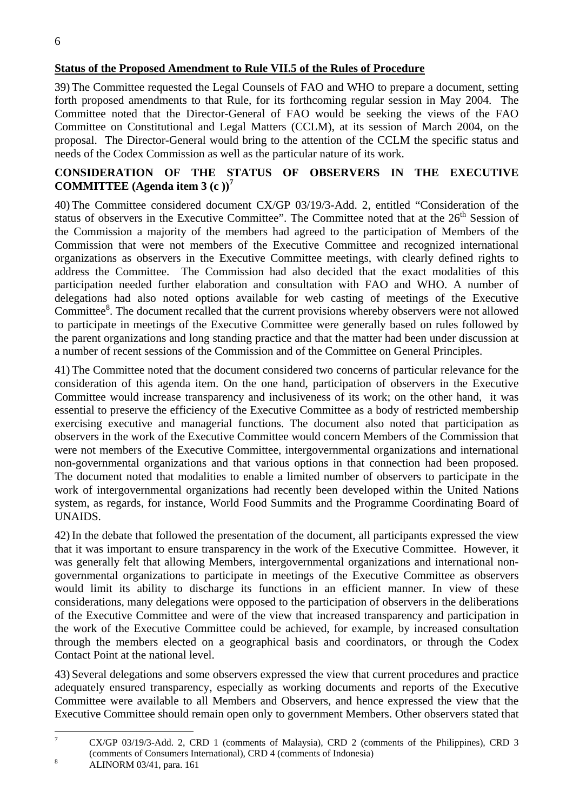# **Status of the Proposed Amendment to Rule VII.5 of the Rules of Procedure**

39) The Committee requested the Legal Counsels of FAO and WHO to prepare a document, setting forth proposed amendments to that Rule, for its forthcoming regular session in May 2004. The Committee noted that the Director-General of FAO would be seeking the views of the FAO Committee on Constitutional and Legal Matters (CCLM), at its session of March 2004, on the proposal. The Director-General would bring to the attention of the CCLM the specific status and needs of the Codex Commission as well as the particular nature of its work.

# **CONSIDERATION OF THE STATUS OF OBSERVERS IN THE EXECUTIVE COMMITTEE (Agenda item 3 (c ))[7](#page-9-0)**

40) The Committee considered document CX/GP 03/19/3-Add. 2, entitled "Consideration of the status of observers in the Executive Committee". The Committee noted that at the  $26<sup>th</sup>$  Session of the Commission a majority of the members had agreed to the participation of Members of the Commission that were not members of the Executive Committee and recognized international organizations as observers in the Executive Committee meetings, with clearly defined rights to address the Committee. The Commission had also decided that the exact modalities of this participation needed further elaboration and consultation with FAO and WHO. A number of delegations had also noted options available for web casting of meetings of the Executive Committee<sup>8</sup>[.](#page-9-1) The document recalled that the current provisions whereby observers were not allowed to participate in meetings of the Executive Committee were generally based on rules followed by the parent organizations and long standing practice and that the matter had been under discussion at a number of recent sessions of the Commission and of the Committee on General Principles.

41) The Committee noted that the document considered two concerns of particular relevance for the consideration of this agenda item. On the one hand, participation of observers in the Executive Committee would increase transparency and inclusiveness of its work; on the other hand, it was essential to preserve the efficiency of the Executive Committee as a body of restricted membership exercising executive and managerial functions. The document also noted that participation as observers in the work of the Executive Committee would concern Members of the Commission that were not members of the Executive Committee, intergovernmental organizations and international non-governmental organizations and that various options in that connection had been proposed. The document noted that modalities to enable a limited number of observers to participate in the work of intergovernmental organizations had recently been developed within the United Nations system, as regards, for instance, World Food Summits and the Programme Coordinating Board of UNAIDS.

42) In the debate that followed the presentation of the document, all participants expressed the view that it was important to ensure transparency in the work of the Executive Committee. However, it was generally felt that allowing Members, intergovernmental organizations and international nongovernmental organizations to participate in meetings of the Executive Committee as observers would limit its ability to discharge its functions in an efficient manner. In view of these considerations, many delegations were opposed to the participation of observers in the deliberations of the Executive Committee and were of the view that increased transparency and participation in the work of the Executive Committee could be achieved, for example, by increased consultation through the members elected on a geographical basis and coordinators, or through the Codex Contact Point at the national level.

43) Several delegations and some observers expressed the view that current procedures and practice adequately ensured transparency, especially as working documents and reports of the Executive Committee were available to all Members and Observers, and hence expressed the view that the Executive Committee should remain open only to government Members. Other observers stated that

<sup>-&</sup>lt;br>7

<span id="page-9-0"></span>CX/GP 03/19/3-Add. 2, CRD 1 (comments of Malaysia), CRD 2 (comments of the Philippines), CRD 3 (comments of Consumers International), CRD 4 (comments of Indonesia) 8

<span id="page-9-1"></span>ALINORM 03/41, para. 161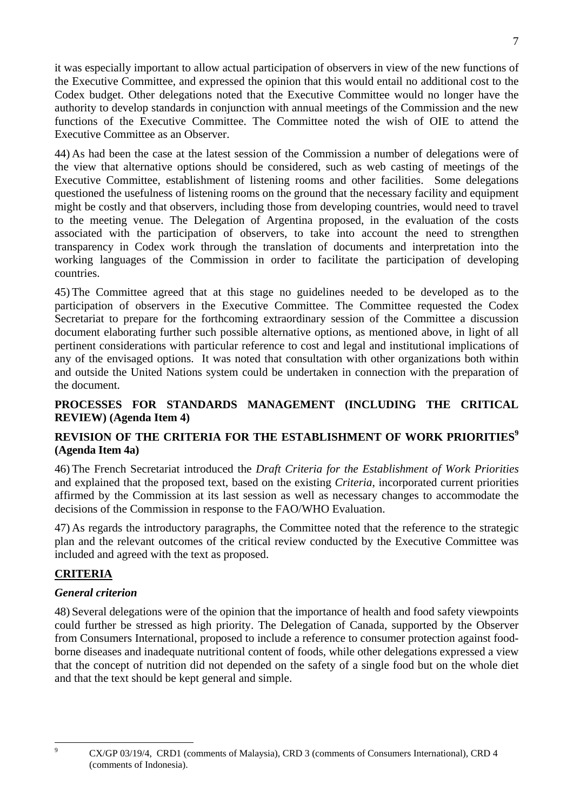it was especially important to allow actual participation of observers in view of the new functions of the Executive Committee, and expressed the opinion that this would entail no additional cost to the Codex budget. Other delegations noted that the Executive Committee would no longer have the authority to develop standards in conjunction with annual meetings of the Commission and the new functions of the Executive Committee. The Committee noted the wish of OIE to attend the Executive Committee as an Observer.

44) As had been the case at the latest session of the Commission a number of delegations were of the view that alternative options should be considered, such as web casting of meetings of the Executive Committee, establishment of listening rooms and other facilities. Some delegations questioned the usefulness of listening rooms on the ground that the necessary facility and equipment might be costly and that observers, including those from developing countries, would need to travel to the meeting venue. The Delegation of Argentina proposed, in the evaluation of the costs associated with the participation of observers, to take into account the need to strengthen transparency in Codex work through the translation of documents and interpretation into the working languages of the Commission in order to facilitate the participation of developing countries.

45) The Committee agreed that at this stage no guidelines needed to be developed as to the participation of observers in the Executive Committee. The Committee requested the Codex Secretariat to prepare for the forthcoming extraordinary session of the Committee a discussion document elaborating further such possible alternative options, as mentioned above, in light of all pertinent considerations with particular reference to cost and legal and institutional implications of any of the envisaged options. It was noted that consultation with other organizations both within and outside the United Nations system could be undertaken in connection with the preparation of the document.

# **PROCESSES FOR STANDARDS MANAGEMENT (INCLUDING THE CRITICAL REVIEW) (Agenda Item 4)**

# **REVISION OF THE CRITERIA FOR THE ESTABLISHMENT OF WORK PRIORITIES[9](#page-10-0) (Agenda Item 4a)**

46) The French Secretariat introduced the *Draft Criteria for the Establishment of Work Priorities* and explained that the proposed text, based on the existing *Criteria*, incorporated current priorities affirmed by the Commission at its last session as well as necessary changes to accommodate the decisions of the Commission in response to the FAO/WHO Evaluation.

47) As regards the introductory paragraphs, the Committee noted that the reference to the strategic plan and the relevant outcomes of the critical review conducted by the Executive Committee was included and agreed with the text as proposed.

# **CRITERIA**

# *General criterion*

48) Several delegations were of the opinion that the importance of health and food safety viewpoints could further be stressed as high priority. The Delegation of Canada, supported by the Observer from Consumers International, proposed to include a reference to consumer protection against foodborne diseases and inadequate nutritional content of foods, while other delegations expressed a view that the concept of nutrition did not depended on the safety of a single food but on the whole diet and that the text should be kept general and simple.

<span id="page-10-0"></span><sup>-&</sup>lt;br>9

CX/GP 03/19/4, CRD1 (comments of Malaysia), CRD 3 (comments of Consumers International), CRD 4 (comments of Indonesia).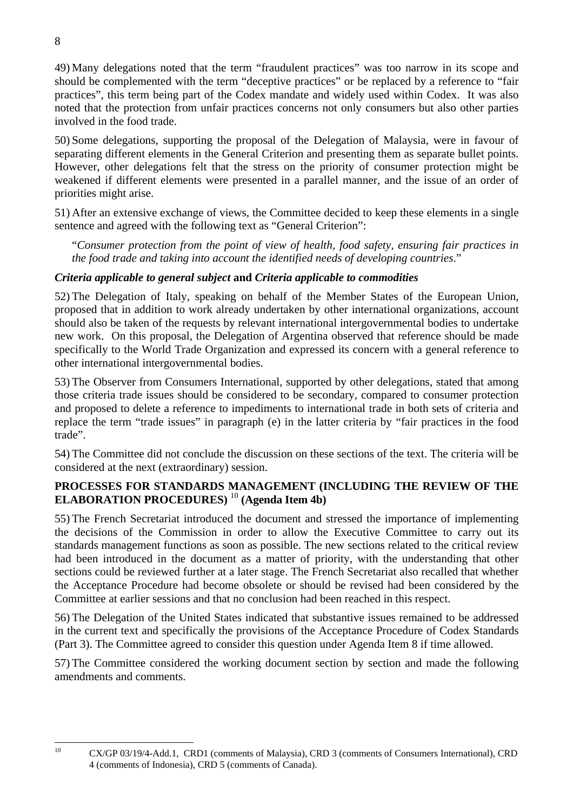49) Many delegations noted that the term "fraudulent practices" was too narrow in its scope and should be complemented with the term "deceptive practices" or be replaced by a reference to "fair practices", this term being part of the Codex mandate and widely used within Codex. It was also noted that the protection from unfair practices concerns not only consumers but also other parties involved in the food trade.

50) Some delegations, supporting the proposal of the Delegation of Malaysia, were in favour of separating different elements in the General Criterion and presenting them as separate bullet points. However, other delegations felt that the stress on the priority of consumer protection might be weakened if different elements were presented in a parallel manner, and the issue of an order of priorities might arise.

51) After an extensive exchange of views, the Committee decided to keep these elements in a single sentence and agreed with the following text as "General Criterion":

"*Consumer protection from the point of view of health, food safety, ensuring fair practices in the food trade and taking into account the identified needs of developing countries*."

# *Criteria applicable to general subject* **and** *Criteria applicable to commodities*

52) The Delegation of Italy, speaking on behalf of the Member States of the European Union, proposed that in addition to work already undertaken by other international organizations, account should also be taken of the requests by relevant international intergovernmental bodies to undertake new work. On this proposal, the Delegation of Argentina observed that reference should be made specifically to the World Trade Organization and expressed its concern with a general reference to other international intergovernmental bodies.

53) The Observer from Consumers International, supported by other delegations, stated that among those criteria trade issues should be considered to be secondary, compared to consumer protection and proposed to delete a reference to impediments to international trade in both sets of criteria and replace the term "trade issues" in paragraph (e) in the latter criteria by "fair practices in the food trade".

54) The Committee did not conclude the discussion on these sections of the text. The criteria will be considered at the next (extraordinary) session.

# **PROCESSES FOR STANDARDS MANAGEMENT (INCLUDING THE REVIEW OF THE ELABORATION PROCEDURES)** [10](#page-11-0) **(Agenda Item 4b)**

55) The French Secretariat introduced the document and stressed the importance of implementing the decisions of the Commission in order to allow the Executive Committee to carry out its standards management functions as soon as possible. The new sections related to the critical review had been introduced in the document as a matter of priority, with the understanding that other sections could be reviewed further at a later stage. The French Secretariat also recalled that whether the Acceptance Procedure had become obsolete or should be revised had been considered by the Committee at earlier sessions and that no conclusion had been reached in this respect.

56) The Delegation of the United States indicated that substantive issues remained to be addressed in the current text and specifically the provisions of the Acceptance Procedure of Codex Standards (Part 3). The Committee agreed to consider this question under Agenda Item 8 if time allowed.

57) The Committee considered the working document section by section and made the following amendments and comments.

<span id="page-11-0"></span> $10$ 

<sup>10</sup> CX/GP 03/19/4-Add.1, CRD1 (comments of Malaysia), CRD 3 (comments of Consumers International), CRD 4 (comments of Indonesia), CRD 5 (comments of Canada).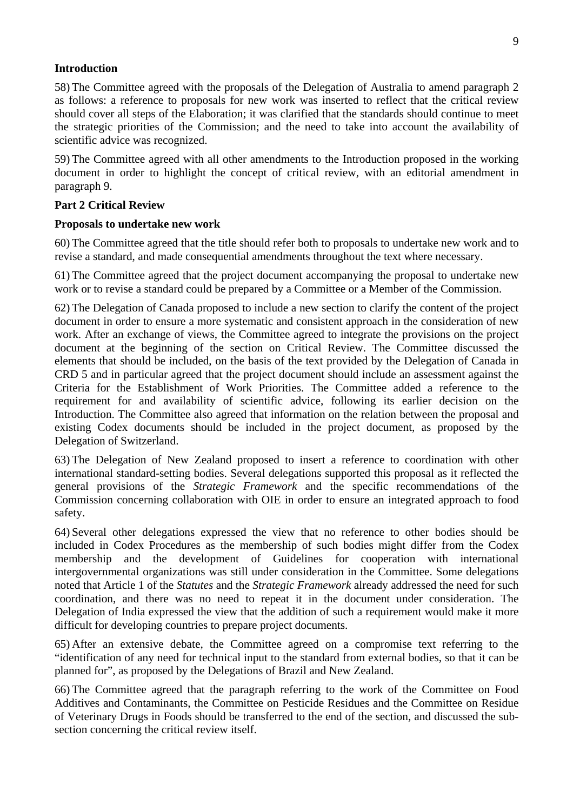# **Introduction**

58) The Committee agreed with the proposals of the Delegation of Australia to amend paragraph 2 as follows: a reference to proposals for new work was inserted to reflect that the critical review should cover all steps of the Elaboration; it was clarified that the standards should continue to meet the strategic priorities of the Commission; and the need to take into account the availability of scientific advice was recognized.

59) The Committee agreed with all other amendments to the Introduction proposed in the working document in order to highlight the concept of critical review, with an editorial amendment in paragraph 9.

# **Part 2 Critical Review**

## **Proposals to undertake new work**

60) The Committee agreed that the title should refer both to proposals to undertake new work and to revise a standard, and made consequential amendments throughout the text where necessary.

61) The Committee agreed that the project document accompanying the proposal to undertake new work or to revise a standard could be prepared by a Committee or a Member of the Commission.

62) The Delegation of Canada proposed to include a new section to clarify the content of the project document in order to ensure a more systematic and consistent approach in the consideration of new work. After an exchange of views, the Committee agreed to integrate the provisions on the project document at the beginning of the section on Critical Review. The Committee discussed the elements that should be included, on the basis of the text provided by the Delegation of Canada in CRD 5 and in particular agreed that the project document should include an assessment against the Criteria for the Establishment of Work Priorities. The Committee added a reference to the requirement for and availability of scientific advice, following its earlier decision on the Introduction. The Committee also agreed that information on the relation between the proposal and existing Codex documents should be included in the project document, as proposed by the Delegation of Switzerland.

63) The Delegation of New Zealand proposed to insert a reference to coordination with other international standard-setting bodies. Several delegations supported this proposal as it reflected the general provisions of the *Strategic Framework* and the specific recommendations of the Commission concerning collaboration with OIE in order to ensure an integrated approach to food safety.

64) Several other delegations expressed the view that no reference to other bodies should be included in Codex Procedures as the membership of such bodies might differ from the Codex membership and the development of Guidelines for cooperation with international intergovernmental organizations was still under consideration in the Committee. Some delegations noted that Article 1 of the *Statutes* and the *Strategic Framework* already addressed the need for such coordination, and there was no need to repeat it in the document under consideration. The Delegation of India expressed the view that the addition of such a requirement would make it more difficult for developing countries to prepare project documents.

65) After an extensive debate, the Committee agreed on a compromise text referring to the "identification of any need for technical input to the standard from external bodies, so that it can be planned for", as proposed by the Delegations of Brazil and New Zealand.

66) The Committee agreed that the paragraph referring to the work of the Committee on Food Additives and Contaminants, the Committee on Pesticide Residues and the Committee on Residue of Veterinary Drugs in Foods should be transferred to the end of the section, and discussed the subsection concerning the critical review itself.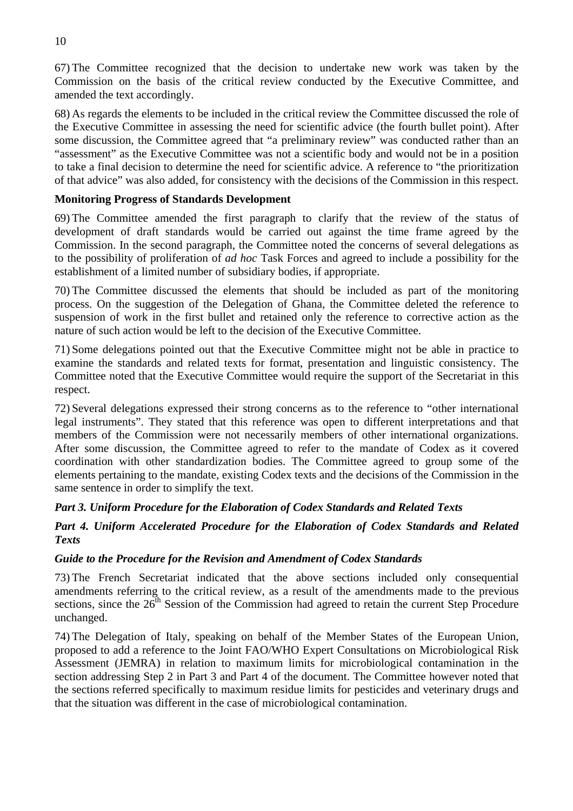67) The Committee recognized that the decision to undertake new work was taken by the Commission on the basis of the critical review conducted by the Executive Committee, and amended the text accordingly.

68) As regards the elements to be included in the critical review the Committee discussed the role of the Executive Committee in assessing the need for scientific advice (the fourth bullet point). After some discussion, the Committee agreed that "a preliminary review" was conducted rather than an "assessment" as the Executive Committee was not a scientific body and would not be in a position to take a final decision to determine the need for scientific advice. A reference to "the prioritization of that advice" was also added, for consistency with the decisions of the Commission in this respect.

# **Monitoring Progress of Standards Development**

69) The Committee amended the first paragraph to clarify that the review of the status of development of draft standards would be carried out against the time frame agreed by the Commission. In the second paragraph, the Committee noted the concerns of several delegations as to the possibility of proliferation of *ad hoc* Task Forces and agreed to include a possibility for the establishment of a limited number of subsidiary bodies, if appropriate.

70) The Committee discussed the elements that should be included as part of the monitoring process. On the suggestion of the Delegation of Ghana, the Committee deleted the reference to suspension of work in the first bullet and retained only the reference to corrective action as the nature of such action would be left to the decision of the Executive Committee.

71) Some delegations pointed out that the Executive Committee might not be able in practice to examine the standards and related texts for format, presentation and linguistic consistency. The Committee noted that the Executive Committee would require the support of the Secretariat in this respect.

72) Several delegations expressed their strong concerns as to the reference to "other international legal instruments". They stated that this reference was open to different interpretations and that members of the Commission were not necessarily members of other international organizations. After some discussion, the Committee agreed to refer to the mandate of Codex as it covered coordination with other standardization bodies. The Committee agreed to group some of the elements pertaining to the mandate, existing Codex texts and the decisions of the Commission in the same sentence in order to simplify the text.

# *Part 3. Uniform Procedure for the Elaboration of Codex Standards and Related Texts*

# *Part 4. Uniform Accelerated Procedure for the Elaboration of Codex Standards and Related Texts*

# *Guide to the Procedure for the Revision and Amendment of Codex Standards*

73) The French Secretariat indicated that the above sections included only consequential amendments referring to the critical review, as a result of the amendments made to the previous sections, since the  $26<sup>th</sup>$  Session of the Commission had agreed to retain the current Step Procedure unchanged.

74) The Delegation of Italy, speaking on behalf of the Member States of the European Union, proposed to add a reference to the Joint FAO/WHO Expert Consultations on Microbiological Risk Assessment (JEMRA) in relation to maximum limits for microbiological contamination in the section addressing Step 2 in Part 3 and Part 4 of the document. The Committee however noted that the sections referred specifically to maximum residue limits for pesticides and veterinary drugs and that the situation was different in the case of microbiological contamination.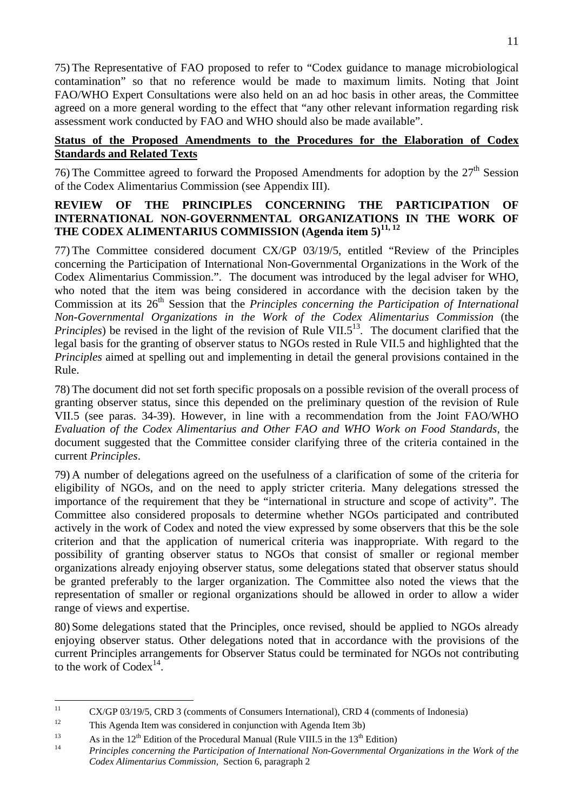75) The Representative of FAO proposed to refer to "Codex guidance to manage microbiological contamination" so that no reference would be made to maximum limits. Noting that Joint FAO/WHO Expert Consultations were also held on an ad hoc basis in other areas, the Committee agreed on a more general wording to the effect that "any other relevant information regarding risk assessment work conducted by FAO and WHO should also be made available".

# **Status of the Proposed Amendments to the Procedures for the Elaboration of Codex Standards and Related Texts**

76) The Committee agreed to forward the Proposed Amendments for adoption by the  $27<sup>th</sup>$  Session of the Codex Alimentarius Commission (see Appendix III).

# **REVIEW OF THE PRINCIPLES CONCERNING THE PARTICIPATION OF INTERNATIONAL NON-GOVERNMENTAL ORGANIZATIONS IN THE WORK OF THE CODEX ALIMENTARIUS COMMISSION (Agenda item 5)[11,](#page-14-0) [12](#page-14-1)**

77) The Committee considered document CX/GP 03/19/5, entitled "Review of the Principles concerning the Participation of International Non-Governmental Organizations in the Work of the Codex Alimentarius Commission.". The document was introduced by the legal adviser for WHO, who noted that the item was being considered in accordance with the decision taken by the Commission at its 26<sup>th</sup> Session that the *Principles concerning the Participation of International Non-Governmental Organizations in the Work of the Codex Alimentarius Commission* (the *Principles*) be revised in the light of the revision of Rule VII.5<sup>13</sup>. The document clarified that the legal basis for the granting of observer status to NGOs rested in Rule VII.5 and highlighted that the *Principles* aimed at spelling out and implementing in detail the general provisions contained in the Rule.

78) The document did not set forth specific proposals on a possible revision of the overall process of granting observer status, since this depended on the preliminary question of the revision of Rule VII.5 (see paras. 34-39). However, in line with a recommendation from the Joint FAO/WHO *Evaluation of the Codex Alimentarius and Other FAO and WHO Work on Food Standards*, the document suggested that the Committee consider clarifying three of the criteria contained in the current *Principles*.

79) A number of delegations agreed on the usefulness of a clarification of some of the criteria for eligibility of NGOs, and on the need to apply stricter criteria. Many delegations stressed the importance of the requirement that they be "international in structure and scope of activity". The Committee also considered proposals to determine whether NGOs participated and contributed actively in the work of Codex and noted the view expressed by some observers that this be the sole criterion and that the application of numerical criteria was inappropriate. With regard to the possibility of granting observer status to NGOs that consist of smaller or regional member organizations already enjoying observer status, some delegations stated that observer status should be granted preferably to the larger organization. The Committee also noted the views that the representation of smaller or regional organizations should be allowed in order to allow a wider range of views and expertise.

80) Some delegations stated that the Principles, once revised, should be applied to NGOs already enjoying observer status. Other delegations noted that in accordance with the provisions of the current Principles arrangements for Observer Status could be terminated for NGOs not contributing to the work of  $Codex^{14}$ .

<span id="page-14-0"></span> $11$ 11 CX/GP 03/19/5, CRD 3 (comments of Consumers International), CRD 4 (comments of Indonesia)

<span id="page-14-1"></span><sup>12</sup> This Agenda Item was considered in conjunction with Agenda Item 3b)

<span id="page-14-3"></span><span id="page-14-2"></span>

<sup>&</sup>lt;sup>13</sup> As in the 12<sup>th</sup> Edition of the Procedural Manual (Rule VIII.5 in the 13<sup>th</sup> Edition)<br><sup>14</sup> *Principles concerning the Participation of International Non-Governmental Organizations in the Work of the Codex Alimentarius Commission,* Section 6, paragraph 2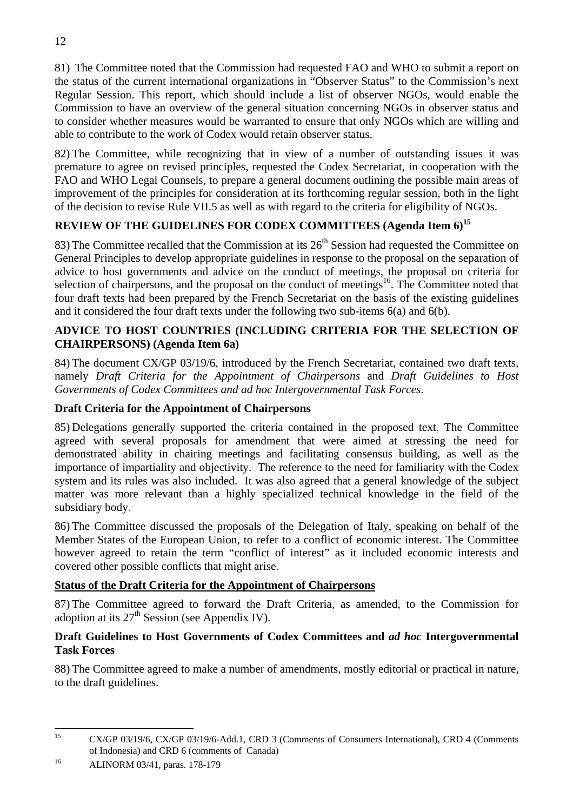81) The Committee noted that the Commission had requested FAO and WHO to submit a report on the status of the current international organizations in "Observer Status" to the Commission's next Regular Session. This report, which should include a list of observer NGOs, would enable the Commission to have an overview of the general situation concerning NGOs in observer status and to consider whether measures would be warranted to ensure that only NGOs which are willing and able to contribute to the work of Codex would retain observer status.

82) The Committee, while recognizing that in view of a number of outstanding issues it was premature to agree on revised principles, requested the Codex Secretariat, in cooperation with the FAO and WHO Legal Counsels, to prepare a general document outlining the possible main areas of improvement of the principles for consideration at its forthcoming regular session, both in the light of the decision to revise Rule VII.5 as well as with regard to the criteria for eligibility of NGOs.

# **REVIEW OF THE GUIDELINES FOR CODEX COMMITTEES (Agenda Item 6)[15](#page-15-0)**

83) The Committee recalled that the Commission at its  $26<sup>th</sup>$  Session had requested the Committee on General Principles to develop appropriate guidelines in response to the proposal on the separation of advice to host governments and advice on the conduct of meetings, the proposal on criteria for selection of chairpersons, and the proposal on the conduct of meetings<sup>16</sup>. The Committee noted that four draft texts had been prepared by the French Secretariat on the basis of the existing guidelines and it considered the four draft texts under the following two sub-items 6(a) and 6(b).

# **ADVICE TO HOST COUNTRIES (INCLUDING CRITERIA FOR THE SELECTION OF CHAIRPERSONS) (Agenda Item 6a)**

84) The document CX/GP 03/19/6, introduced by the French Secretariat, contained two draft texts, namely *Draft Criteria for the Appointment of Chairpersons* and *Draft Guidelines to Host Governments of Codex Committees and ad hoc Intergovernmental Task Forces*.

# **Draft Criteria for the Appointment of Chairpersons**

85) Delegations generally supported the criteria contained in the proposed text. The Committee agreed with several proposals for amendment that were aimed at stressing the need for demonstrated ability in chairing meetings and facilitating consensus building, as well as the importance of impartiality and objectivity. The reference to the need for familiarity with the Codex system and its rules was also included. It was also agreed that a general knowledge of the subject matter was more relevant than a highly specialized technical knowledge in the field of the subsidiary body.

86) The Committee discussed the proposals of the Delegation of Italy, speaking on behalf of the Member States of the European Union, to refer to a conflict of economic interest. The Committee however agreed to retain the term "conflict of interest" as it included economic interests and covered other possible conflicts that might arise.

# **Status of the Draft Criteria for the Appointment of Chairpersons**

87) The Committee agreed to forward the Draft Criteria, as amended, to the Commission for adoption at its  $27<sup>th</sup>$  Session (see Appendix IV).

# **Draft Guidelines to Host Governments of Codex Committees and** *ad hoc* **Intergovernmental Task Forces**

88) The Committee agreed to make a number of amendments, mostly editorial or practical in nature, to the draft guidelines.

<span id="page-15-0"></span> $15$ 

<span id="page-15-1"></span><sup>15</sup> CX/GP 03/19/6, CX/GP 03/19/6-Add.1, CRD 3 (Comments of Consumers International), CRD 4 (Comments of Indonesia) and CRD 6 (comments of Canada)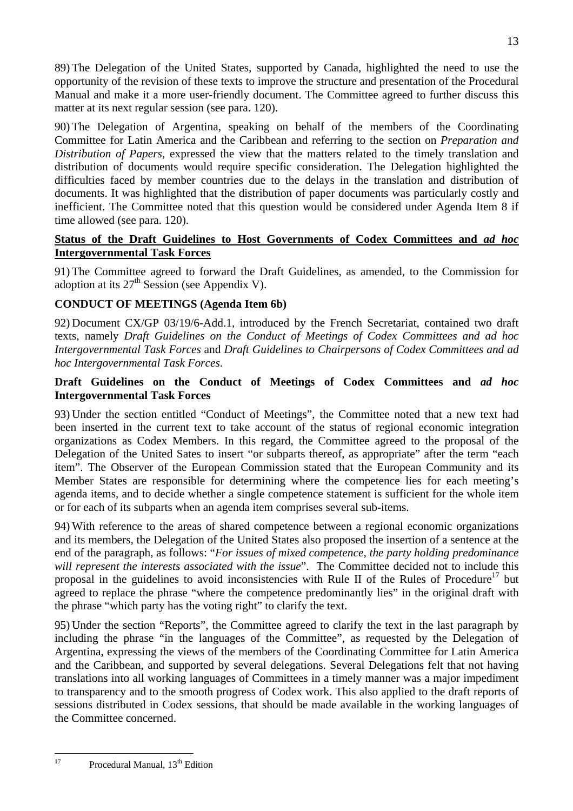89) The Delegation of the United States, supported by Canada, highlighted the need to use the opportunity of the revision of these texts to improve the structure and presentation of the Procedural Manual and make it a more user-friendly document. The Committee agreed to further discuss this matter at its next regular session (see para. [120\).](#page-19-0)

90) The Delegation of Argentina, speaking on behalf of the members of the Coordinating Committee for Latin America and the Caribbean and referring to the section on *Preparation and Distribution of Papers*, expressed the view that the matters related to the timely translation and distribution of documents would require specific consideration. The Delegation highlighted the difficulties faced by member countries due to the delays in the translation and distribution of documents. It was highlighted that the distribution of paper documents was particularly costly and inefficient. The Committee noted that this question would be considered under Agenda Item 8 if time allowed (see para. [120\).](#page-19-0)

# **Status of the Draft Guidelines to Host Governments of Codex Committees and** *ad hoc* **Intergovernmental Task Forces**

91) The Committee agreed to forward the Draft Guidelines, as amended, to the Commission for adoption at its  $27<sup>th</sup>$  Session (see Appendix V).

# **CONDUCT OF MEETINGS (Agenda Item 6b)**

92) Document CX/GP 03/19/6-Add.1, introduced by the French Secretariat, contained two draft texts, namely *Draft Guidelines on the Conduct of Meetings of Codex Committees and ad hoc Intergovernmental Task Forces* and *Draft Guidelines to Chairpersons of Codex Committees and ad hoc Intergovernmental Task Forces*.

# **Draft Guidelines on the Conduct of Meetings of Codex Committees and** *ad hoc* **Intergovernmental Task Forces**

93) Under the section entitled "Conduct of Meetings", the Committee noted that a new text had been inserted in the current text to take account of the status of regional economic integration organizations as Codex Members. In this regard, the Committee agreed to the proposal of the Delegation of the United Sates to insert "or subparts thereof, as appropriate" after the term "each item". The Observer of the European Commission stated that the European Community and its Member States are responsible for determining where the competence lies for each meeting's agenda items, and to decide whether a single competence statement is sufficient for the whole item or for each of its subparts when an agenda item comprises several sub-items.

94) With reference to the areas of shared competence between a regional economic organizations and its members, the Delegation of the United States also proposed the insertion of a sentence at the end of the paragraph, as follows: "*For issues of mixed competence, the party holding predominance will represent the interests associated with the issue*". The Committee decided not to include this proposal in the guidelines to avoid inconsistencies with Rule II of the Rules of Procedure<sup>17</sup> but agreed to replace the phrase "where the competence predominantly lies" in the original draft with the phrase "which party has the voting right" to clarify the text.

95) Under the section "Reports", the Committee agreed to clarify the text in the last paragraph by including the phrase "in the languages of the Committee", as requested by the Delegation of Argentina, expressing the views of the members of the Coordinating Committee for Latin America and the Caribbean, and supported by several delegations. Several Delegations felt that not having translations into all working languages of Committees in a timely manner was a major impediment to transparency and to the smooth progress of Codex work. This also applied to the draft reports of sessions distributed in Codex sessions, that should be made available in the working languages of the Committee concerned.

<span id="page-16-0"></span> $17$ Procedural Manual, 13<sup>th</sup> Edition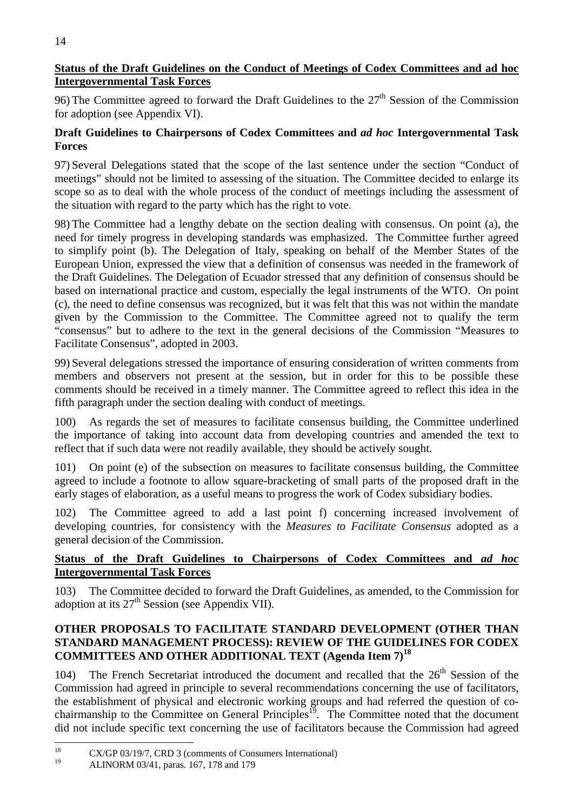# 14

# **Status of the Draft Guidelines on the Conduct of Meetings of Codex Committees and ad hoc Intergovernmental Task Forces**

96) The Committee agreed to forward the Draft Guidelines to the  $27<sup>th</sup>$  Session of the Commission for adoption (see Appendix VI).

# **Draft Guidelines to Chairpersons of Codex Committees and** *ad hoc* **Intergovernmental Task Forces**

97) Several Delegations stated that the scope of the last sentence under the section "Conduct of meetings" should not be limited to assessing of the situation. The Committee decided to enlarge its scope so as to deal with the whole process of the conduct of meetings including the assessment of the situation with regard to the party which has the right to vote.

98) The Committee had a lengthy debate on the section dealing with consensus. On point (a), the need for timely progress in developing standards was emphasized. The Committee further agreed to simplify point (b). The Delegation of Italy, speaking on behalf of the Member States of the European Union, expressed the view that a definition of consensus was needed in the framework of the Draft Guidelines. The Delegation of Ecuador stressed that any definition of consensus should be based on international practice and custom, especially the legal instruments of the WTO. On point (c), the need to define consensus was recognized, but it was felt that this was not within the mandate given by the Commission to the Committee. The Committee agreed not to qualify the term "consensus" but to adhere to the text in the general decisions of the Commission "Measures to Facilitate Consensus", adopted in 2003.

99) Several delegations stressed the importance of ensuring consideration of written comments from members and observers not present at the session, but in order for this to be possible these comments should be received in a timely manner. The Committee agreed to reflect this idea in the fifth paragraph under the section dealing with conduct of meetings.

100) As regards the set of measures to facilitate consensus building, the Committee underlined the importance of taking into account data from developing countries and amended the text to reflect that if such data were not readily available, they should be actively sought.

101) On point (e) of the subsection on measures to facilitate consensus building, the Committee agreed to include a footnote to allow square-bracketing of small parts of the proposed draft in the early stages of elaboration, as a useful means to progress the work of Codex subsidiary bodies.

102) The Committee agreed to add a last point f) concerning increased involvement of developing countries, for consistency with the *Measures to Facilitate Consensus* adopted as a general decision of the Commission.

# **Status of the Draft Guidelines to Chairpersons of Codex Committees and** *ad hoc* **Intergovernmental Task Forces**

103) The Committee decided to forward the Draft Guidelines, as amended, to the Commission for adoption at its  $27<sup>th</sup>$  Session (see Appendix VII).

# **OTHER PROPOSALS TO FACILITATE STANDARD DEVELOPMENT (OTHER THAN STANDARD MANAGEMENT PROCESS): REVIEW OF THE GUIDELINES FOR CODEX COMMITTEES AND OTHER ADDITIONAL TEXT (Agenda Item 7)[18](#page-17-0)**

104) The French Secretariat introduced the document and recalled that the  $26<sup>th</sup>$  Session of the Commission had agreed in principle to several recommendations concerning the use of facilitators, the establishment of physical and electronic working groups and had referred the question of cochairmanship to the Committee on General Principles<sup>19</sup>. The Committee noted that the document did not include specific text concerning the use of facilitators because the Commission had agreed

<span id="page-17-0"></span><sup>18</sup> <sup>18</sup> CX/GP 03/19/7, CRD 3 (comments of Consumers International)

<span id="page-17-1"></span><sup>19</sup> ALINORM 03/41, paras. 167, 178 and 179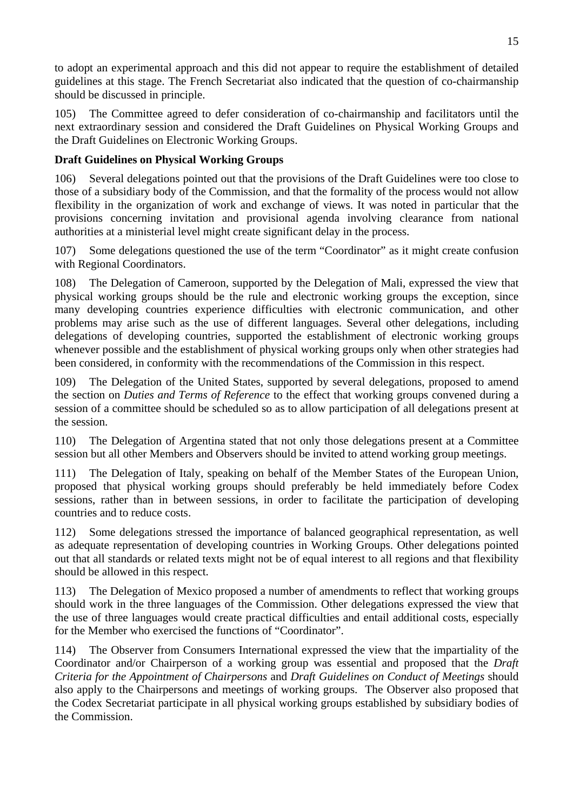to adopt an experimental approach and this did not appear to require the establishment of detailed guidelines at this stage. The French Secretariat also indicated that the question of co-chairmanship should be discussed in principle.

105) The Committee agreed to defer consideration of co-chairmanship and facilitators until the next extraordinary session and considered the Draft Guidelines on Physical Working Groups and the Draft Guidelines on Electronic Working Groups.

# **Draft Guidelines on Physical Working Groups**

106) Several delegations pointed out that the provisions of the Draft Guidelines were too close to those of a subsidiary body of the Commission, and that the formality of the process would not allow flexibility in the organization of work and exchange of views. It was noted in particular that the provisions concerning invitation and provisional agenda involving clearance from national authorities at a ministerial level might create significant delay in the process.

107) Some delegations questioned the use of the term "Coordinator" as it might create confusion with Regional Coordinators.

108) The Delegation of Cameroon, supported by the Delegation of Mali, expressed the view that physical working groups should be the rule and electronic working groups the exception, since many developing countries experience difficulties with electronic communication, and other problems may arise such as the use of different languages. Several other delegations, including delegations of developing countries, supported the establishment of electronic working groups whenever possible and the establishment of physical working groups only when other strategies had been considered, in conformity with the recommendations of the Commission in this respect.

109) The Delegation of the United States, supported by several delegations, proposed to amend the section on *Duties and Terms of Reference* to the effect that working groups convened during a session of a committee should be scheduled so as to allow participation of all delegations present at the session.

110) The Delegation of Argentina stated that not only those delegations present at a Committee session but all other Members and Observers should be invited to attend working group meetings.

111) The Delegation of Italy, speaking on behalf of the Member States of the European Union, proposed that physical working groups should preferably be held immediately before Codex sessions, rather than in between sessions, in order to facilitate the participation of developing countries and to reduce costs.

112) Some delegations stressed the importance of balanced geographical representation, as well as adequate representation of developing countries in Working Groups. Other delegations pointed out that all standards or related texts might not be of equal interest to all regions and that flexibility should be allowed in this respect.

113) The Delegation of Mexico proposed a number of amendments to reflect that working groups should work in the three languages of the Commission. Other delegations expressed the view that the use of three languages would create practical difficulties and entail additional costs, especially for the Member who exercised the functions of "Coordinator".

114) The Observer from Consumers International expressed the view that the impartiality of the Coordinator and/or Chairperson of a working group was essential and proposed that the *Draft Criteria for the Appointment of Chairpersons* and *Draft Guidelines on Conduct of Meetings* should also apply to the Chairpersons and meetings of working groups. The Observer also proposed that the Codex Secretariat participate in all physical working groups established by subsidiary bodies of the Commission.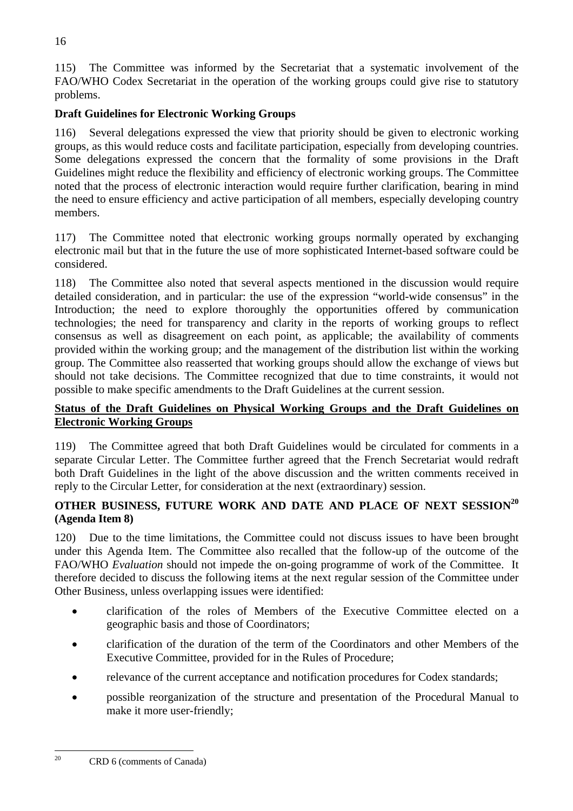115) The Committee was informed by the Secretariat that a systematic involvement of the FAO/WHO Codex Secretariat in the operation of the working groups could give rise to statutory problems.

# **Draft Guidelines for Electronic Working Groups**

116) Several delegations expressed the view that priority should be given to electronic working groups, as this would reduce costs and facilitate participation, especially from developing countries. Some delegations expressed the concern that the formality of some provisions in the Draft Guidelines might reduce the flexibility and efficiency of electronic working groups. The Committee noted that the process of electronic interaction would require further clarification, bearing in mind the need to ensure efficiency and active participation of all members, especially developing country members.

117) The Committee noted that electronic working groups normally operated by exchanging electronic mail but that in the future the use of more sophisticated Internet-based software could be considered.

118) The Committee also noted that several aspects mentioned in the discussion would require detailed consideration, and in particular: the use of the expression "world-wide consensus" in the Introduction; the need to explore thoroughly the opportunities offered by communication technologies; the need for transparency and clarity in the reports of working groups to reflect consensus as well as disagreement on each point, as applicable; the availability of comments provided within the working group; and the management of the distribution list within the working group. The Committee also reasserted that working groups should allow the exchange of views but should not take decisions. The Committee recognized that due to time constraints, it would not possible to make specific amendments to the Draft Guidelines at the current session.

# **Status of the Draft Guidelines on Physical Working Groups and the Draft Guidelines on Electronic Working Groups**

119) The Committee agreed that both Draft Guidelines would be circulated for comments in a separate Circular Letter. The Committee further agreed that the French Secretariat would redraft both Draft Guidelines in the light of the above discussion and the written comments received in reply to the Circular Letter, for consideration at the next (extraordinary) session.

# **OTHER BUSINESS, FUTURE WORK AND DATE AND PLACE OF NEXT SESSION<sup>20</sup> (Agenda Item 8)**

<span id="page-19-0"></span>120) Due to the time limitations, the Committee could not discuss issues to have been brought under this Agenda Item. The Committee also recalled that the follow-up of the outcome of the FAO/WHO *Evaluation* should not impede the on-going programme of work of the Committee. It therefore decided to discuss the following items at the next regular session of the Committee under Other Business, unless overlapping issues were identified:

- clarification of the roles of Members of the Executive Committee elected on a geographic basis and those of Coordinators;
- clarification of the duration of the term of the Coordinators and other Members of the Executive Committee, provided for in the Rules of Procedure;
- relevance of the current acceptance and notification procedures for Codex standards;
- possible reorganization of the structure and presentation of the Procedural Manual to make it more user-friendly;

<span id="page-19-1"></span> $20$ CRD 6 (comments of Canada)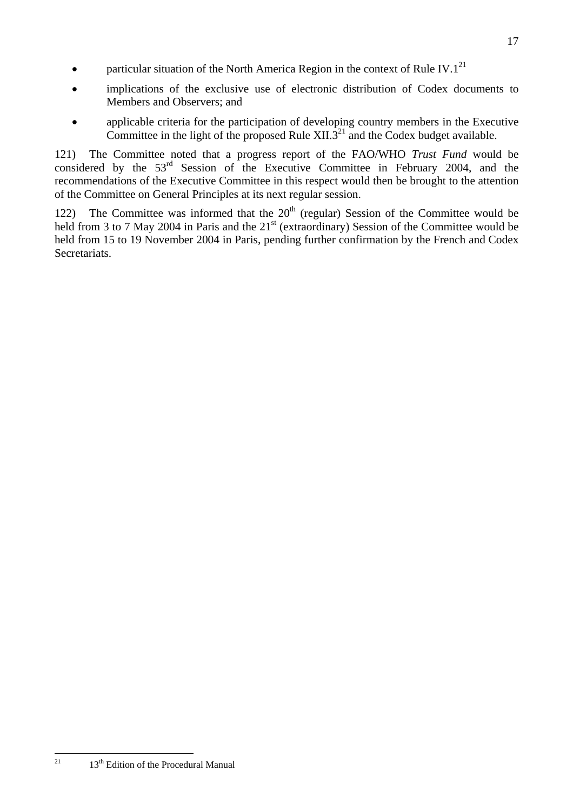- <span id="page-20-0"></span>particular situation of the North America Region in the context of Rule IV.1 $^{21}$  $^{21}$  $^{21}$
- implications of the exclusive use of electronic distribution of Codex documents to Members and Observers; and
- applicable criteria for the participation of developing country members in the Executive Committee in the light of the proposed Rule  $XII.3^{21}$  and the Codex budget available.

121) The Committee noted that a progress report of the FAO/WHO *Trust Fund* would be considered by the 53rd Session of the Executive Committee in February 2004, and the recommendations of the Executive Committee in this respect would then be brought to the attention of the Committee on General Principles at its next regular session.

122) The Committee was informed that the  $20<sup>th</sup>$  (regular) Session of the Committee would be held from 3 to 7 May 2004 in Paris and the  $21<sup>st</sup>$  (extraordinary) Session of the Committee would be held from 15 to 19 November 2004 in Paris, pending further confirmation by the French and Codex Secretariats.

<span id="page-20-1"></span> $21$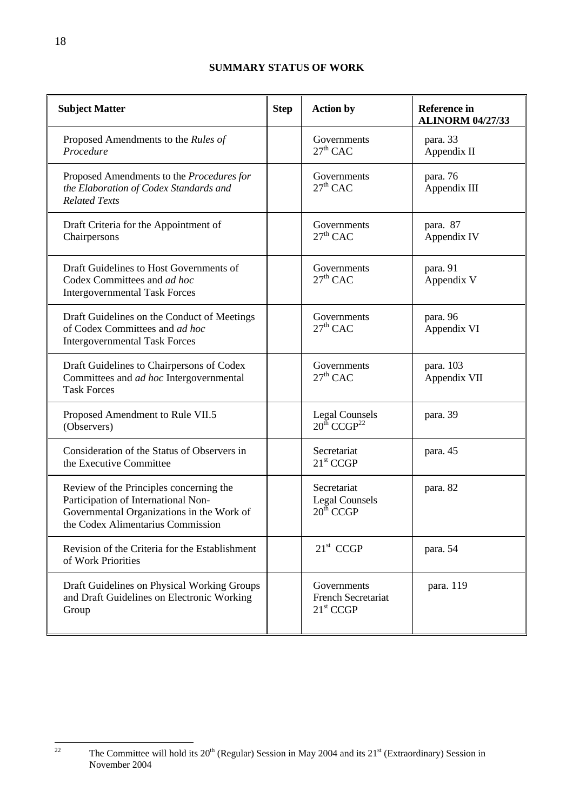# **SUMMARY STATUS OF WORK**

| <b>Subject Matter</b>                                                                                                                                            |  | <b>Action by</b>                                              | <b>Reference</b> in<br><b>ALINORM 04/27/33</b> |
|------------------------------------------------------------------------------------------------------------------------------------------------------------------|--|---------------------------------------------------------------|------------------------------------------------|
| Proposed Amendments to the Rules of<br>Procedure                                                                                                                 |  | Governments<br>$27th$ CAC                                     | para. 33<br>Appendix II                        |
| Proposed Amendments to the Procedures for<br>the Elaboration of Codex Standards and<br><b>Related Texts</b>                                                      |  | Governments<br>$27th$ CAC                                     | para. 76<br>Appendix III                       |
| Draft Criteria for the Appointment of<br>Chairpersons                                                                                                            |  | Governments<br>$27th$ CAC                                     | para. 87<br>Appendix IV                        |
| Draft Guidelines to Host Governments of<br>Codex Committees and ad hoc<br><b>Intergovernmental Task Forces</b>                                                   |  | Governments<br>$27th$ CAC                                     | para. 91<br>Appendix V                         |
| Draft Guidelines on the Conduct of Meetings<br>of Codex Committees and ad hoc<br><b>Intergovernmental Task Forces</b>                                            |  | Governments<br>$27th$ CAC                                     | para. 96<br>Appendix VI                        |
| Draft Guidelines to Chairpersons of Codex<br>Committees and <i>ad hoc</i> Intergovernmental<br><b>Task Forces</b>                                                |  | Governments<br>$27th$ CAC                                     | para. 103<br>Appendix VII                      |
| Proposed Amendment to Rule VII.5<br>(Observers)                                                                                                                  |  | <b>Legal Counsels</b><br>$20^{th}$ CCGP <sup>22</sup>         | para. 39                                       |
| Consideration of the Status of Observers in<br>the Executive Committee                                                                                           |  | Secretariat<br>21 <sup>st</sup> CCGP                          | para. 45                                       |
| Review of the Principles concerning the<br>Participation of International Non-<br>Governmental Organizations in the Work of<br>the Codex Alimentarius Commission |  | Secretariat<br><b>Legal Counsels</b><br>$20^{\text{th}}$ CCGP | para. 82                                       |
| Revision of the Criteria for the Establishment<br>of Work Priorities                                                                                             |  | $21st$ CCGP                                                   | para. 54                                       |
| Draft Guidelines on Physical Working Groups<br>and Draft Guidelines on Electronic Working<br>Group                                                               |  | Governments<br>French Secretariat<br>21 <sup>st</sup> CCGP    | para. 119                                      |

 $22$ 

<span id="page-21-0"></span><sup>&</sup>lt;sup>22</sup> The Committee will hold its  $20^{th}$  (Regular) Session in May 2004 and its  $21^{st}$  (Extraordinary) Session in November 2004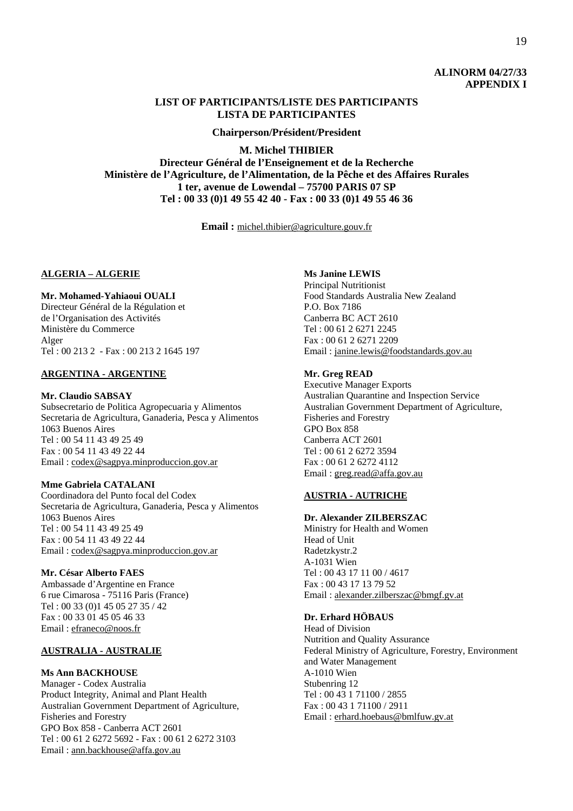## **ALINORM 04/27/33 APPENDIX I**

#### **LIST OF PARTICIPANTS/LISTE DES PARTICIPANTS LISTA DE PARTICIPANTES**

**Chairperson/Président/President** 

**M. Michel THIBIER Directeur Général de l'Enseignement et de la Recherche Ministère de l'Agriculture, de l'Alimentation, de la Pêche et des Affaires Rurales 1 ter, avenue de Lowendal – 75700 PARIS 07 SP Tel : 00 33 (0)1 49 55 42 40 - Fax : 00 33 (0)1 49 55 46 36** 

**Email :** michel.thibier@agriculture.gouv.fr

## **ALGERIA – ALGERIE**

#### **Mr. Mohamed-Yahiaoui OUALI**

Directeur Général de la Régulation et de l'Organisation des Activités Ministère du Commerce Alger Tel : 00 213 2 - Fax : 00 213 2 1645 197

### **ARGENTINA - ARGENTINE**

## **Mr. Claudio SABSAY**

Subsecretario de Politica Agropecuaria y Alimentos Secretaria de Agricultura, Ganaderia, Pesca y Alimentos 1063 Buenos Aires Tel : 00 54 11 43 49 25 49 Fax : 00 54 11 43 49 22 44 Email : codex@sagpya.minproduccion.gov.ar

#### **Mme Gabriela CATALANI**

Coordinadora del Punto focal del Codex Secretaria de Agricultura, Ganaderia, Pesca y Alimentos 1063 Buenos Aires Tel : 00 54 11 43 49 25 49 Fax : 00 54 11 43 49 22 44 Email : codex@sagpya.minproduccion.gov.ar

#### **Mr. César Alberto FAES**

Ambassade d'Argentine en France 6 rue Cimarosa - 75116 Paris (France) Tel : 00 33 (0)1 45 05 27 35 / 42 Fax : 00 33 01 45 05 46 33 Email : efraneco@noos.fr

# **AUSTRALIA - AUSTRALIE**

#### **Ms Ann BACKHOUSE**

Manager - Codex Australia Product Integrity, Animal and Plant Health Australian Government Department of Agriculture, Fisheries and Forestry GPO Box 858 - Canberra ACT 2601 Tel : 00 61 2 6272 5692 - Fax : 00 61 2 6272 3103 Email : ann.backhouse@affa.gov.au

# **Ms Janine LEWIS**

Principal Nutritionist Food Standards Australia New Zealand P.O. Box 7186 Canberra BC ACT 2610 Tel : 00 61 2 6271 2245 Fax : 00 61 2 6271 2209 Email : janine.lewis@foodstandards.gov.au

### **Mr. Greg READ**

Executive Manager Exports Australian Quarantine and Inspection Service Australian Government Department of Agriculture, Fisheries and Forestry GPO Box 858 Canberra ACT 2601 Tel : 00 61 2 6272 3594 Fax : 00 61 2 6272 4112 Email : greg.read@affa.gov.au

## **AUSTRIA - AUTRICHE**

#### **Dr. Alexander ZILBERSZAC**

Ministry for Health and Women Head of Unit Radetzkystr.2 A-1031 Wien Tel : 00 43 17 11 00 / 4617 Fax : 00 43 17 13 79 52 Email : alexander.zilberszac@bmgf.gv.at

#### **Dr. Erhard HÖBAUS**

Head of Division Nutrition and Quality Assurance Federal Ministry of Agriculture, Forestry, Environment and Water Management A-1010 Wien Stubenring 12 Tel : 00 43 1 71100 / 2855 Fax : 00 43 1 71100 / 2911 Email : erhard.hoebaus@bmlfuw.gv.at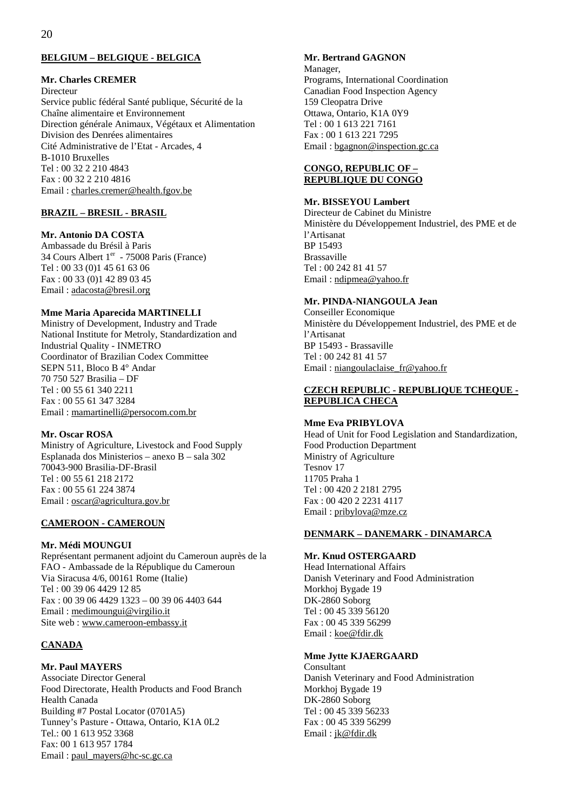## **BELGIUM – BELGIQUE - BELGICA**

#### **Mr. Charles CREMER**

Directeur Service public fédéral Santé publique, Sécurité de la Chaîne alimentaire et Environnement Direction générale Animaux, Végétaux et Alimentation Division des Denrées alimentaires Cité Administrative de l'Etat - Arcades, 4 B-1010 Bruxelles Tel : 00 32 2 210 4843 Fax : 00 32 2 210 4816 Email : charles.cremer@health.fgov.be

#### **BRAZIL – BRESIL - BRASIL**

#### **Mr. Antonio DA COSTA**

Ambassade du Brésil à Paris 34 Cours Albert 1<sup>er</sup> - 75008 Paris (France) Tel : 00 33 (0)1 45 61 63 06 Fax : 00 33 (0)1 42 89 03 45 Email : adacosta@bresil.org

#### **Mme Maria Aparecida MARTINELLI**

Ministry of Development, Industry and Trade National Institute for Metroly, Standardization and Industrial Quality - INMETRO Coordinator of Brazilian Codex Committee SEPN 511, Bloco B 4° Andar 70 750 527 Brasilia – DF Tel : 00 55 61 340 2211 Fax : 00 55 61 347 3284 Email : mamartinelli@persocom.com.br

#### **Mr. Oscar ROSA**

Ministry of Agriculture, Livestock and Food Supply Esplanada dos Ministerios – anexo B – sala 302 70043-900 Brasilia-DF-Brasil Tel : 00 55 61 218 2172 Fax : 00 55 61 224 3874 Email : oscar@agricultura.gov.br

#### **CAMEROON - CAMEROUN**

#### **Mr. Médi MOUNGUI**

Représentant permanent adjoint du Cameroun auprès de la FAO - Ambassade de la République du Cameroun Via Siracusa 4/6, 00161 Rome (Italie) Tel : 00 39 06 4429 12 85 Fax : 00 39 06 4429 1323 – 00 39 06 4403 644 Email : medimoungui@virgilio.it Site web : www.cameroon-embassy.it

#### **CANADA**

#### **Mr. Paul MAYERS**

Associate Director General Food Directorate, Health Products and Food Branch Health Canada Building #7 Postal Locator (0701A5) Tunney's Pasture - Ottawa, Ontario, K1A 0L2 Tel.: 00 1 613 952 3368 Fax: 00 1 613 957 1784 Email : paul\_mayers@hc-sc.gc.ca

## **Mr. Bertrand GAGNON**

Manager, Programs, International Coordination Canadian Food Inspection Agency 159 Cleopatra Drive Ottawa, Ontario, K1A 0Y9 Tel : 00 1 613 221 7161 Fax : 00 1 613 221 7295 Email : bgagnon@inspection.gc.ca

#### **CONGO, REPUBLIC OF – REPUBLIQUE DU CONGO**

#### **Mr. BISSEYOU Lambert**

Directeur de Cabinet du Ministre Ministère du Développement Industriel, des PME et de l'Artisanat BP 15493 Brassaville Tel : 00 242 81 41 57 Email : ndipmea@yahoo.fr

#### **Mr. PINDA-NIANGOULA Jean**

Conseiller Economique Ministère du Développement Industriel, des PME et de l'Artisanat BP 15493 - Brassaville Tel : 00 242 81 41 57 Email : niangoulaclaise fr@yahoo.fr

#### **CZECH REPUBLIC - REPUBLIQUE TCHEQUE - REPUBLICA CHECA**

#### **Mme Eva PRIBYLOVA**

Head of Unit for Food Legislation and Standardization, Food Production Department Ministry of Agriculture Tesnov 17 11705 Praha 1 Tel : 00 420 2 2181 2795 Fax : 00 420 2 2231 4117 Email : pribylova@mze.cz

#### **DENMARK – DANEMARK - DINAMARCA**

#### **Mr. Knud OSTERGAARD**

Head International Affairs Danish Veterinary and Food Administration Morkhoj Bygade 19 DK-2860 Soborg Tel : 00 45 339 56120 Fax : 00 45 339 56299 Email: koe@fdir.dk

#### **Mme Jytte KJAERGAARD**

Consultant Danish Veterinary and Food Administration Morkhoj Bygade 19 DK-2860 Soborg Tel : 00 45 339 56233 Fax : 00 45 339 56299 Email : jk@fdir.dk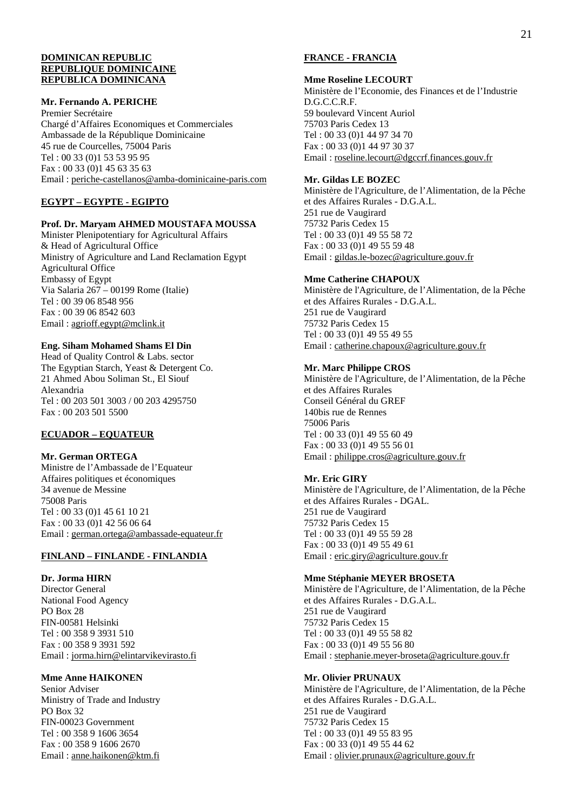#### **DOMINICAN REPUBLIC REPUBLIQUE DOMINICAINE REPUBLICA DOMINICANA**

#### **Mr. Fernando A. PERICHE**

Premier Secrétaire Chargé d'Affaires Economiques et Commerciales Ambassade de la République Dominicaine 45 rue de Courcelles, 75004 Paris Tel : 00 33 (0)1 53 53 95 95 Fax : 00 33 (0)1 45 63 35 63 Email : periche-castellanos@amba-dominicaine-paris.com

#### **EGYPT – EGYPTE - EGIPTO**

#### **Prof. Dr. Maryam AHMED MOUSTAFA MOUSSA**

Minister Plenipotentiary for Agricultural Affairs & Head of Agricultural Office Ministry of Agriculture and Land Reclamation Egypt Agricultural Office Embassy of Egypt Via Salaria 267 – 00199 Rome (Italie) Tel : 00 39 06 8548 956 Fax : 00 39 06 8542 603 Email : agrioff.egypt@mclink.it

#### **Eng. Siham Mohamed Shams El Din**

Head of Quality Control & Labs. sector The Egyptian Starch, Yeast & Detergent Co. 21 Ahmed Abou Soliman St., El Siouf Alexandria Tel : 00 203 501 3003 / 00 203 4295750 Fax : 00 203 501 5500

#### **ECUADOR – EQUATEUR**

#### **Mr. German ORTEGA**

Ministre de l'Ambassade de l'Equateur Affaires politiques et économiques 34 avenue de Messine 75008 Paris Tel : 00 33 (0)1 45 61 10 21 Fax : 00 33 (0)1 42 56 06 64 Email : german.ortega@ambassade-equateur.fr

#### **FINLAND – FINLANDE - FINLANDIA**

**Dr. Jorma HIRN**  Director General National Food Agency PO Box 28 FIN-00581 Helsinki Tel : 00 358 9 3931 510 Fax : 00 358 9 3931 592 Email : jorma.hirn@elintarvikevirasto.fi

#### **Mme Anne HAIKONEN**

Senior Adviser Ministry of Trade and Industry PO Box 32 FIN-00023 Government Tel : 00 358 9 1606 3654 Fax : 00 358 9 1606 2670 Email : anne.haikonen@ktm.fi

#### **FRANCE - FRANCIA**

#### **Mme Roseline LECOURT**

Ministère de l'Economie, des Finances et de l'Industrie D.G.C.C.R.F. 59 boulevard Vincent Auriol 75703 Paris Cedex 13 Tel : 00 33 (0)1 44 97 34 70 Fax : 00 33 (0)1 44 97 30 37 Email : roseline.lecourt@dgccrf.finances.gouv.fr

#### **Mr. Gildas LE BOZEC**

Ministère de l'Agriculture, de l'Alimentation, de la Pêche et des Affaires Rurales - D.G.A.L. 251 rue de Vaugirard 75732 Paris Cedex 15 Tel : 00 33 (0)1 49 55 58 72 Fax : 00 33 (0)1 49 55 59 48 Email : gildas.le-bozec@agriculture.gouv.fr

#### **Mme Catherine CHAPOUX**

Ministère de l'Agriculture, de l'Alimentation, de la Pêche et des Affaires Rurales - D.G.A.L. 251 rue de Vaugirard 75732 Paris Cedex 15 Tel : 00 33 (0)1 49 55 49 55 Email : catherine.chapoux@agriculture.gouv.fr

#### **Mr. Marc Philippe CROS**

Ministère de l'Agriculture, de l'Alimentation, de la Pêche et des Affaires Rurales Conseil Général du GREF 140bis rue de Rennes 75006 Paris Tel : 00 33 (0)1 49 55 60 49 Fax : 00 33 (0)1 49 55 56 01 Email : philippe.cros@agriculture.gouv.fr

#### **Mr. Eric GIRY**

Ministère de l'Agriculture, de l'Alimentation, de la Pêche et des Affaires Rurales - DGAL. 251 rue de Vaugirard 75732 Paris Cedex 15 Tel : 00 33 (0)1 49 55 59 28 Fax : 00 33 (0)1 49 55 49 61 Email : eric.giry@agriculture.gouv.fr

#### **Mme Stéphanie MEYER BROSETA**

Ministère de l'Agriculture, de l'Alimentation, de la Pêche et des Affaires Rurales - D.G.A.L. 251 rue de Vaugirard 75732 Paris Cedex 15 Tel : 00 33 (0)1 49 55 58 82 Fax : 00 33 (0)1 49 55 56 80 Email : stephanie.meyer-broseta@agriculture.gouv.fr

#### **Mr. Olivier PRUNAUX**

Ministère de l'Agriculture, de l'Alimentation, de la Pêche et des Affaires Rurales - D.G.A.L. 251 rue de Vaugirard 75732 Paris Cedex 15 Tel : 00 33 (0)1 49 55 83 95 Fax : 00 33 (0)1 49 55 44 62 Email : olivier.prunaux@agriculture.gouv.fr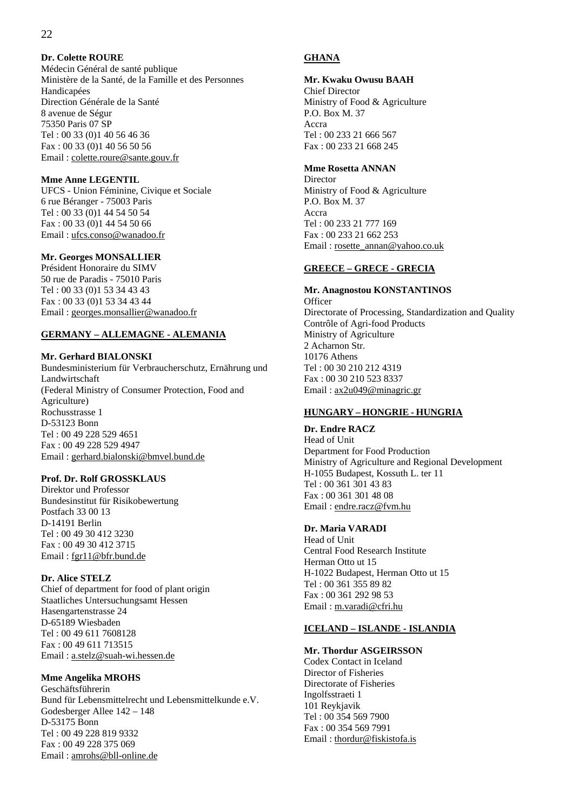## **Dr. Colette ROURE**

Médecin Général de santé publique Ministère de la Santé, de la Famille et des Personnes Handicapées Direction Générale de la Santé 8 avenue de Ségur 75350 Paris 07 SP Tel : 00 33 (0)1 40 56 46 36 Fax : 00 33 (0)1 40 56 50 56 Email : colette.roure@sante.gouv.fr

#### **Mme Anne LEGENTIL**

UFCS - Union Féminine, Civique et Sociale 6 rue Béranger - 75003 Paris Tel : 00 33 (0)1 44 54 50 54 Fax : 00 33 (0)1 44 54 50 66 Email : ufcs.conso@wanadoo.fr

#### **Mr. Georges MONSALLIER**

Président Honoraire du SIMV 50 rue de Paradis - 75010 Paris Tel : 00 33 (0)1 53 34 43 43 Fax : 00 33 (0)1 53 34 43 44 Email : georges.monsallier@wanadoo.fr

#### **GERMANY – ALLEMAGNE - ALEMANIA**

#### **Mr. Gerhard BIALONSKI**

Bundesministerium für Verbraucherschutz, Ernährung und Landwirtschaft (Federal Ministry of Consumer Protection, Food and Agriculture) Rochusstrasse 1 D-53123 Bonn Tel : 00 49 228 529 4651 Fax : 00 49 228 529 4947 Email : gerhard.bialonski@bmvel.bund.de

#### **Prof. Dr. Rolf GROSSKLAUS**

Direktor und Professor Bundesinstitut für Risikobewertung Postfach 33 00 13 D-14191 Berlin Tel : 00 49 30 412 3230 Fax : 00 49 30 412 3715 Email : fgr11@bfr.bund.de

#### **Dr. Alice STELZ**

Chief of department for food of plant origin Staatliches Untersuchungsamt Hessen Hasengartenstrasse 24 D-65189 Wiesbaden Tel : 00 49 611 7608128 Fax : 00 49 611 713515 Email : a.stelz@suah-wi.hessen.de

#### **Mme Angelika MROHS**

Geschäftsführerin Bund für Lebensmittelrecht und Lebensmittelkunde e.V. Godesberger Allee 142 – 148 D-53175 Bonn Tel : 00 49 228 819 9332 Fax : 00 49 228 375 069 Email : amrohs@bll-online.de

## **GHANA**

#### **Mr. Kwaku Owusu BAAH**

Chief Director Ministry of Food & Agriculture P.O. Box M. 37 Accra Tel : 00 233 21 666 567 Fax : 00 233 21 668 245

#### **Mme Rosetta ANNAN**

**Director** Ministry of Food & Agriculture P.O. Box M. 37 Accra Tel : 00 233 21 777 169 Fax : 00 233 21 662 253 Email : rosette\_annan@yahoo.co.uk

## **GREECE – GRECE - GRECIA**

**Mr. Anagnostou KONSTANTINOS Officer** Directorate of Processing, Standardization and Quality Contrôle of Agri-food Products Ministry of Agriculture 2 Acharnon Str. 10176 Athens Tel : 00 30 210 212 4319 Fax : 00 30 210 523 8337 Email : ax2u049@minagric.gr

#### **HUNGARY – HONGRIE - HUNGRIA**

**Dr. Endre RACZ**  Head of Unit Department for Food Production Ministry of Agriculture and Regional Development H-1055 Budapest, Kossuth L. ter 11 Tel : 00 361 301 43 83 Fax : 00 361 301 48 08 Email : endre.racz@fvm.hu

#### **Dr. Maria VARADI**

Head of Unit Central Food Research Institute Herman Otto ut 15 H-1022 Budapest, Herman Otto ut 15 Tel : 00 361 355 89 82 Fax : 00 361 292 98 53 Email : m.varadi@cfri.hu

#### **ICELAND – ISLANDE - ISLANDIA**

#### **Mr. Thordur ASGEIRSSON**

Codex Contact in Iceland Director of Fisheries Directorate of Fisheries Ingolfsstraeti 1 101 Reykjavik Tel : 00 354 569 7900 Fax : 00 354 569 7991 Email : thordur@fiskistofa.is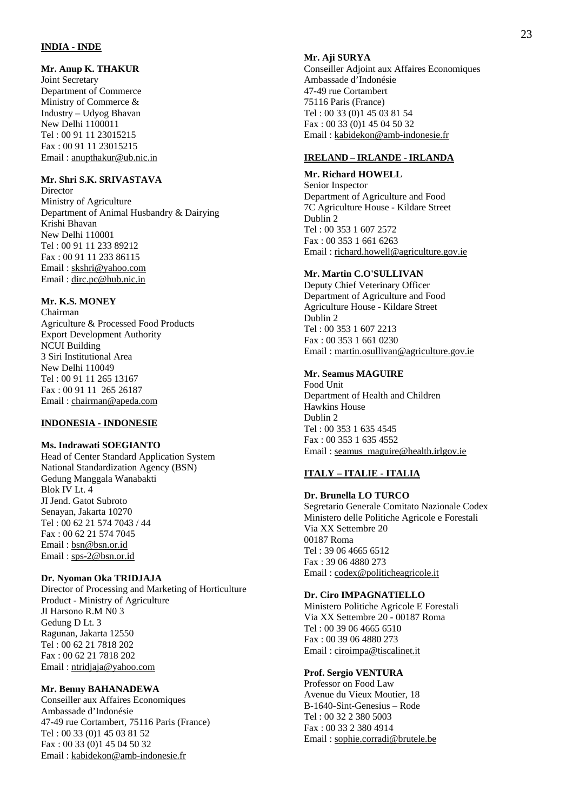#### **INDIA - INDE**

### **Mr. Anup K. THAKUR**

Joint Secretary Department of Commerce Ministry of Commerce & Industry – Udyog Bhavan New Delhi 1100011 Tel : 00 91 11 23015215 Fax : 00 91 11 23015215 Email : anupthakur@ub.nic.in

## **Mr. Shri S.K. SRIVASTAVA**

**Director** Ministry of Agriculture Department of Animal Husbandry & Dairying Krishi Bhavan New Delhi 110001 Tel : 00 91 11 233 89212 Fax : 00 91 11 233 86115 Email : skshri@yahoo.com Email : dirc.pc@hub.nic.in

#### **Mr. K.S. MONEY**

Chairman Agriculture & Processed Food Products Export Development Authority NCUI Building 3 Siri Institutional Area New Delhi 110049 Tel : 00 91 11 265 13167 Fax : 00 91 11 265 26187 Email : chairman@apeda.com

#### **INDONESIA - INDONESIE**

#### **Ms. Indrawati SOEGIANTO**

Head of Center Standard Application System National Standardization Agency (BSN) Gedung Manggala Wanabakti Blok IV Lt. 4 JI Jend. Gatot Subroto Senayan, Jakarta 10270 Tel : 00 62 21 574 7043 / 44 Fax : 00 62 21 574 7045 Email : bsn@bsn.or.id Email : sps-2@bsn.or.id

#### **Dr. Nyoman Oka TRIDJAJA**

Director of Processing and Marketing of Horticulture Product - Ministry of Agriculture JI Harsono R.M N0 3 Gedung D Lt. 3 Ragunan, Jakarta 12550 Tel : 00 62 21 7818 202 Fax : 00 62 21 7818 202 Email : ntridjaja@yahoo.com

#### **Mr. Benny BAHANADEWA**

Conseiller aux Affaires Economiques Ambassade d'Indonésie 47-49 rue Cortambert, 75116 Paris (France) Tel : 00 33 (0)1 45 03 81 52 Fax : 00 33 (0)1 45 04 50 32 Email : kabidekon@amb-indonesie.fr

#### **Mr. Aji SURYA**

Conseiller Adjoint aux Affaires Economiques Ambassade d'Indonésie 47-49 rue Cortambert 75116 Paris (France) Tel : 00 33 (0)1 45 03 81 54 Fax : 00 33 (0)1 45 04 50 32 Email : kabidekon@amb-indonesie.fr

## **IRELAND – IRLANDE - IRLANDA**

#### **Mr. Richard HOWELL**

Senior Inspector Department of Agriculture and Food 7C Agriculture House - Kildare Street Dublin 2 Tel : 00 353 1 607 2572 Fax : 00 353 1 661 6263 Email : richard.howell@agriculture.gov.ie

#### **Mr. Martin C.O'SULLIVAN**

Deputy Chief Veterinary Officer Department of Agriculture and Food Agriculture House - Kildare Street Dublin 2 Tel : 00 353 1 607 2213 Fax : 00 353 1 661 0230 Email : martin.osullivan@agriculture.gov.ie

#### **Mr. Seamus MAGUIRE**

Food Unit Department of Health and Children Hawkins House Dublin 2 Tel : 00 353 1 635 4545 Fax : 00 353 1 635 4552 Email : seamus\_maguire@health.irlgov.ie

## **ITALY – ITALIE - ITALIA**

#### **Dr. Brunella LO TURCO**

Segretario Generale Comitato Nazionale Codex Ministero delle Politiche Agricole e Forestali Via XX Settembre 20 00187 Roma Tel : 39 06 4665 6512 Fax : 39 06 4880 273 Email : codex@politicheagricole.it

#### **Dr. Ciro IMPAGNATIELLO**

Ministero Politiche Agricole E Forestali Via XX Settembre 20 - 00187 Roma Tel : 00 39 06 4665 6510 Fax : 00 39 06 4880 273 Email : ciroimpa@tiscalinet.it

## **Prof. Sergio VENTURA**

Professor on Food Law Avenue du Vieux Moutier, 18 B-1640-Sint-Genesius – Rode Tel : 00 32 2 380 5003 Fax : 00 33 2 380 4914 Email : sophie.corradi@brutele.be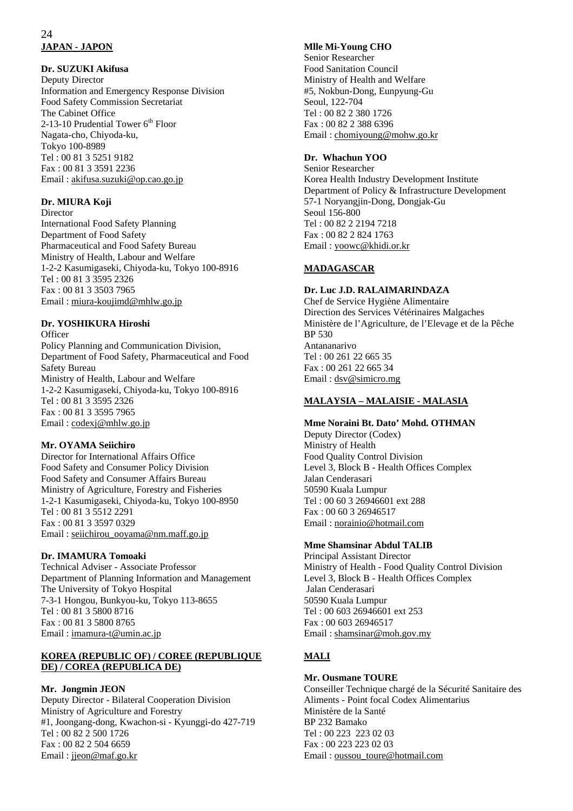# 24 **JAPAN - JAPON**

# **Dr. SUZUKI Akifusa**

Deputy Director Information and Emergency Response Division Food Safety Commission Secretariat The Cabinet Office 2-13-10 Prudential Tower  $6<sup>th</sup>$  Floor Nagata-cho, Chiyoda-ku, Tokyo 100-8989 Tel : 00 81 3 5251 9182 Fax : 00 81 3 3591 2236 Email : akifusa.suzuki@op.cao.go.jp

## **Dr. MIURA Koji**

**Director** 

International Food Safety Planning Department of Food Safety Pharmaceutical and Food Safety Bureau Ministry of Health, Labour and Welfare 1-2-2 Kasumigaseki, Chiyoda-ku, Tokyo 100-8916 Tel : 00 81 3 3595 2326 Fax : 00 81 3 3503 7965 Email : miura-koujimd@mhlw.go.jp

# **Dr. YOSHIKURA Hiroshi**

**Officer** Policy Planning and Communication Division, Department of Food Safety, Pharmaceutical and Food Safety Bureau Ministry of Health, Labour and Welfare 1-2-2 Kasumigaseki, Chiyoda-ku, Tokyo 100-8916 Tel : 00 81 3 3595 2326 Fax : 00 81 3 3595 7965 Email : codexj@mhlw.go.jp

# **Mr. OYAMA Seiichiro**

Director for International Affairs Office Food Safety and Consumer Policy Division Food Safety and Consumer Affairs Bureau Ministry of Agriculture, Forestry and Fisheries 1-2-1 Kasumigaseki, Chiyoda-ku, Tokyo 100-8950 Tel : 00 81 3 5512 2291 Fax : 00 81 3 3597 0329 Email : seiichirou\_ooyama@nm.maff.go.jp

## **Dr. IMAMURA Tomoaki**

Technical Adviser - Associate Professor Department of Planning Information and Management The University of Tokyo Hospital 7-3-1 Hongou, Bunkyou-ku, Tokyo 113-8655 Tel : 00 81 3 5800 8716 Fax : 00 81 3 5800 8765 Email : imamura-t@umin.ac.jp

## **KOREA (REPUBLIC OF) / COREE (REPUBLIQUE DE) / COREA (REPUBLICA DE)**

# **Mr. Jongmin JEON**

Deputy Director - Bilateral Cooperation Division Ministry of Agriculture and Forestry #1, Joongang-dong, Kwachon-si - Kyunggi-do 427-719 Tel : 00 82 2 500 1726 Fax : 00 82 2 504 6659 Email : jjeon@maf.go.kr

# **Mlle Mi-Young CHO**

Senior Researcher Food Sanitation Council Ministry of Health and Welfare #5, Nokbun-Dong, Eunpyung-Gu Seoul, 122-704 Tel : 00 82 2 380 1726 Fax : 00 82 2 388 6396 Email : chomiyoung@mohw.go.kr

# **Dr. Whachun YOO**

Senior Researcher Korea Health Industry Development Institute Department of Policy & Infrastructure Development 57-1 Noryangjin-Dong, Dongjak-Gu Seoul 156-800 Tel : 00 82 2 2194 7218 Fax : 00 82 2 824 1763 Email : yoowc@khidi.or.kr

# **MADAGASCAR**

# **Dr. Luc J.D. RALAIMARINDAZA**

Chef de Service Hygiène Alimentaire Direction des Services Vétérinaires Malgaches Ministère de l'Agriculture, de l'Elevage et de la Pêche BP 530 Antananarivo Tel : 00 261 22 665 35 Fax : 00 261 22 665 34 Email : dsv@simicro.mg

# **MALAYSIA – MALAISIE - MALASIA**

## **Mme Noraini Bt. Dato' Mohd. OTHMAN**

Deputy Director (Codex) Ministry of Health Food Quality Control Division Level 3, Block B - Health Offices Complex Jalan Cenderasari 50590 Kuala Lumpur Tel : 00 60 3 26946601 ext 288 Fax : 00 60 3 26946517 Email : norainio@hotmail.com

## **Mme Shamsinar Abdul TALIB**

Principal Assistant Director Ministry of Health - Food Quality Control Division Level 3, Block B - Health Offices Complex Jalan Cenderasari 50590 Kuala Lumpur Tel : 00 603 26946601 ext 253 Fax : 00 603 26946517 Email : shamsinar@moh.gov.my

# **MALI**

## **Mr. Ousmane TOURE**

Conseiller Technique chargé de la Sécurité Sanitaire des Aliments - Point focal Codex Alimentarius Ministère de la Santé BP 232 Bamako Tel : 00 223 223 02 03 Fax : 00 223 223 02 03 Email : oussou\_toure@hotmail.com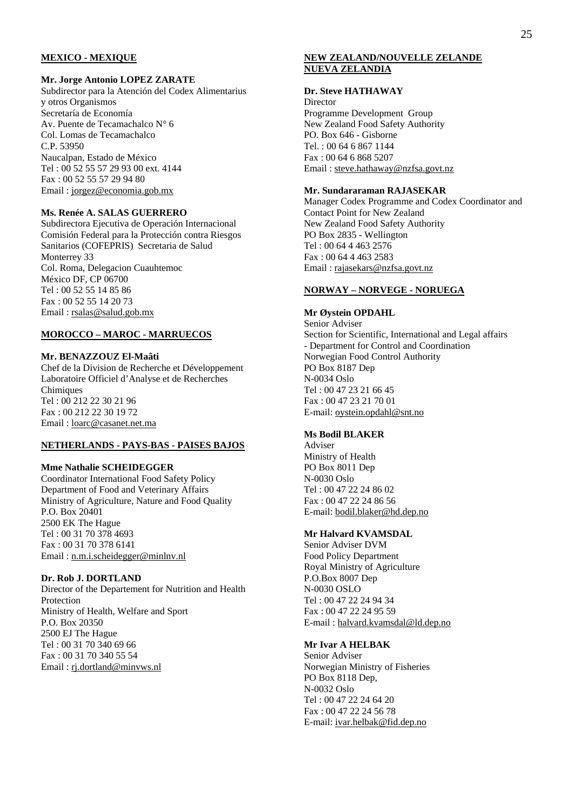#### **MEXICO - MEXIQUE**

#### **Mr. Jorge Antonio LOPEZ ZARATE**

Subdirector para la Atención del Codex Alimentarius y otros Organismos Secretaría de Economía Av. Puente de Tecamachalco N° 6 Col. Lomas de Tecamachalco C.P. 53950 Naucalpan, Estado de México Tel : 00 52 55 57 29 93 00 ext. 4144 Fax : 00 52 55 57 29 94 80 Email : jorgez@economia.gob.mx

#### **Ms. Renée A. SALAS GUERRERO**

Subdirectora Ejecutiva de Operación Internacional Comisión Federal para la Protección contra Riesgos Sanitarios (COFEPRIS) Secretaria de Salud Monterrey 33 Col. Roma, Delegacion Cuauhtemoc México DF, CP 06700 Tel : 00 52 55 14 85 86 Fax : 00 52 55 14 20 73 Email : rsalas@salud.gob.mx

#### **MOROCCO – MAROC - MARRUECOS**

#### **Mr. BENAZZOUZ El-Maâti**

Chef de la Division de Recherche et Développement Laboratoire Officiel d'Analyse et de Recherches Chimiques Tel : 00 212 22 30 21 96 Fax : 00 212 22 30 19 72 Email : loarc@casanet.net.ma

#### **NETHERLANDS - PAYS-BAS - PAISES BAJOS**

#### **Mme Nathalie SCHEIDEGGER**

Coordinator International Food Safety Policy Department of Food and Veterinary Affairs Ministry of Agriculture, Nature and Food Quality P.O. Box 20401 2500 EK The Hague Tel : 00 31 70 378 4693 Fax : 00 31 70 378 6141 Email : n.m.i.scheidegger@minlnv.nl

#### **Dr. Rob J. DORTLAND**

Director of the Departement for Nutrition and Health Protection Ministry of Health, Welfare and Sport P.O. Box 20350 2500 EJ The Hague Tel : 00 31 70 340 69 66 Fax : 00 31 70 340 55 54 Email : rj.dortland@minvws.nl

#### **NEW ZEALAND/NOUVELLE ZELANDE NUEVA ZELANDIA**

#### **Dr. Steve HATHAWAY**

**Director** Programme Development Group New Zealand Food Safety Authority PO. Box 646 - Gisborne Tel. : 00 64 6 867 1144 Fax : 00 64 6 868 5207 Email : steve.hathaway@nzfsa.govt.nz

#### **Mr. Sundararaman RAJASEKAR**

Manager Codex Programme and Codex Coordinator and Contact Point for New Zealand New Zealand Food Safety Authority PO Box 2835 - Wellington Tel : 00 64 4 463 2576 Fax : 00 64 4 463 2583 Email : rajasekars@nzfsa.govt.nz

#### **NORWAY – NORVEGE - NORUEGA**

#### **Mr Øystein OPDAHL**

Senior Adviser Section for Scientific, International and Legal affairs - Department for Control and Coordination Norwegian Food Control Authority PO Box 8187 Dep N-0034 Oslo Tel : 00 47 23 21 66 45 Fax : 00 47 23 21 70 01 E-mail: oystein.opdahl@snt.no

#### **Ms Bodil BLAKER**

Adviser Ministry of Health PO Box 8011 Dep N-0030 Oslo Tel : 00 47 22 24 86 02 Fax : 00 47 22 24 86 56 E-mail: bodil.blaker@hd.dep.no

#### **Mr Halvard KVAMSDAL**

Senior Adviser DVM Food Policy Department Royal Ministry of Agriculture P.O.Box 8007 Dep N-0030 OSLO Tel : 00 47 22 24 94 34 Fax : 00 47 22 24 95 59 E-mail : halvard.kvamsdal@ld.dep.no

#### **Mr Ivar A HELBAK**

Senior Adviser Norwegian Ministry of Fisheries PO Box 8118 Dep, N-0032 Oslo Tel : 00 47 22 24 64 20 Fax : 00 47 22 24 56 78 E-mail: ivar.helbak@fid.dep.no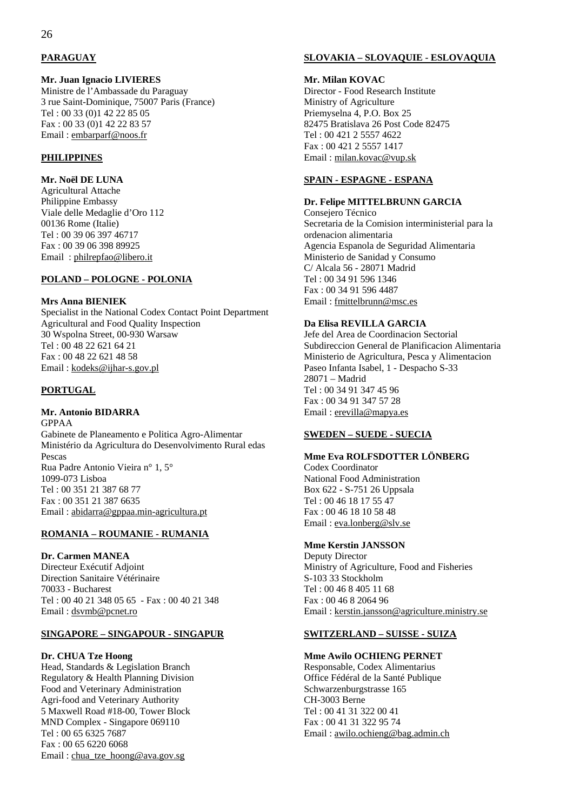## **PARAGUAY**

## **Mr. Juan Ignacio LIVIERES**

Ministre de l'Ambassade du Paraguay 3 rue Saint-Dominique, 75007 Paris (France) Tel : 00 33 (0)1 42 22 85 05 Fax : 00 33 (0)1 42 22 83 57 Email : embarparf@noos.fr

# **PHILIPPINES**

#### **Mr. Noël DE LUNA**

Agricultural Attache Philippine Embassy Viale delle Medaglie d'Oro 112 00136 Rome (Italie) Tel : 00 39 06 397 46717 Fax : 00 39 06 398 89925 Email : philrepfao@libero.it

#### **POLAND – POLOGNE - POLONIA**

#### **Mrs Anna BIENIEK**

Specialist in the National Codex Contact Point Department Agricultural and Food Quality Inspection 30 Wspolna Street, 00-930 Warsaw Tel : 00 48 22 621 64 21 Fax : 00 48 22 621 48 58 Email : kodeks@ijhar-s.gov.pl

# **PORTUGAL**

## **Mr. Antonio BIDARRA**

GPPAA Gabinete de Planeamento e Politica Agro-Alimentar Ministério da Agricultura do Desenvolvimento Rural edas Pescas Rua Padre Antonio Vieira n° 1, 5° 1099-073 Lisboa Tel : 00 351 21 387 68 77 Fax : 00 351 21 387 6635 Email : abidarra@gppaa.min-agricultura.pt

#### **ROMANIA – ROUMANIE - RUMANIA**

#### **Dr. Carmen MANEA**  Directeur Exécutif Adjoint Direction Sanitaire Vétérinaire 70033 - Bucharest Tel : 00 40 21 348 05 65 - Fax : 00 40 21 348 Email : dsvmb@pcnet.ro

#### **SINGAPORE – SINGAPOUR - SINGAPUR**

#### **Dr. CHUA Tze Hoong**

Head, Standards & Legislation Branch Regulatory & Health Planning Division Food and Veterinary Administration Agri-food and Veterinary Authority 5 Maxwell Road #18-00, Tower Block MND Complex - Singapore 069110 Tel : 00 65 6325 7687 Fax : 00 65 6220 6068 Email : chua\_tze\_hoong@ava.gov.sg

#### **SLOVAKIA – SLOVAQUIE - ESLOVAQUIA**

## **Mr. Milan KOVAC**

Director - Food Research Institute Ministry of Agriculture Priemyselna 4, P.O. Box 25 82475 Bratislava 26 Post Code 82475 Tel : 00 421 2 5557 4622 Fax : 00 421 2 5557 1417 Email : milan.kovac@vup.sk

#### **SPAIN - ESPAGNE - ESPANA**

**Dr. Felipe MITTELBRUNN GARCIA**  Consejero Técnico Secretaria de la Comision interministerial para la ordenacion alimentaria Agencia Espanola de Seguridad Alimentaria Ministerio de Sanidad y Consumo C/ Alcala 56 - 28071 Madrid Tel : 00 34 91 596 1346 Fax : 00 34 91 596 4487 Email : fmittelbrunn@msc.es

#### **Da Elisa REVILLA GARCIA**

Jefe del Area de Coordinacion Sectorial Subdireccion General de Planificacion Alimentaria Ministerio de Agricultura, Pesca y Alimentacion Paseo Infanta Isabel, 1 - Despacho S-33 28071 – Madrid Tel : 00 34 91 347 45 96 Fax : 00 34 91 347 57 28 Email : erevilla@mapya.es

#### **SWEDEN – SUEDE - SUECIA**

## **Mme Eva ROLFSDOTTER LÖNBERG**

Codex Coordinator National Food Administration Box 622 - S-751 26 Uppsala Tel : 00 46 18 17 55 47 Fax : 00 46 18 10 58 48 Email : eva.lonberg@slv.se

#### **Mme Kerstin JANSSON**

Deputy Director Ministry of Agriculture, Food and Fisheries S-103 33 Stockholm Tel : 00 46 8 405 11 68 Fax : 00 46 8 2064 96 Email : kerstin.jansson@agriculture.ministry.se

#### **SWITZERLAND – SUISSE - SUIZA**

#### **Mme Awilo OCHIENG PERNET**

Responsable, Codex Alimentarius Office Fédéral de la Santé Publique Schwarzenburgstrasse 165 CH-3003 Berne Tel : 00 41 31 322 00 41 Fax : 00 41 31 322 95 74 Email : awilo.ochieng@bag.admin.ch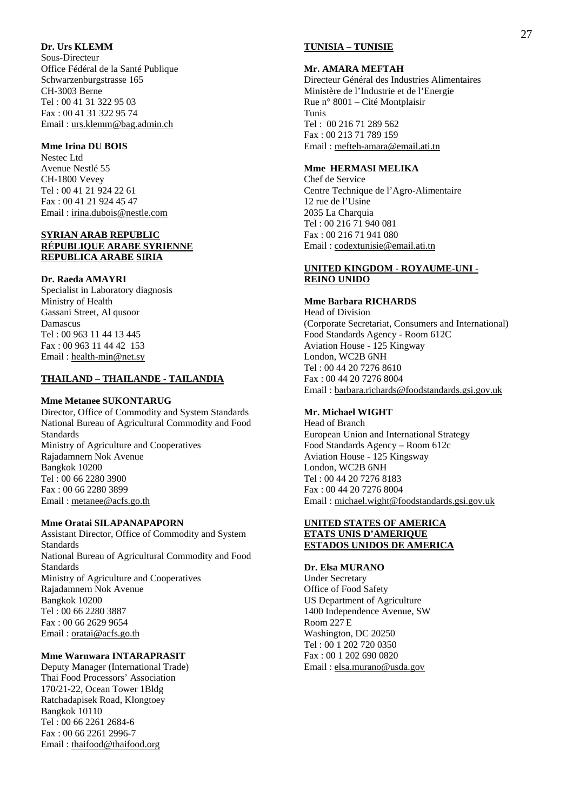#### **Dr. Urs KLEMM**

Sous-Directeur Office Fédéral de la Santé Publique Schwarzenburgstrasse 165 CH-3003 Berne Tel : 00 41 31 322 95 03 Fax : 00 41 31 322 95 74 Email : urs.klemm@bag.admin.ch

#### **Mme Irina DU BOIS**

Nestec Ltd Avenue Nestlé 55 CH-1800 Vevey Tel : 00 41 21 924 22 61 Fax : 00 41 21 924 45 47 Email : irina.dubois@nestle.com

#### **SYRIAN ARAB REPUBLIC RÉPUBLIQUE ARABE SYRIENNE REPUBLICA ARABE SIRIA**

#### **Dr. Raeda AMAYRI**

Specialist in Laboratory diagnosis Ministry of Health Gassani Street, Al qusoor Damascus Tel : 00 963 11 44 13 445 Fax : 00 963 11 44 42 153 Email : health-min@net.sy

#### **THAILAND – THAILANDE - TAILANDIA**

#### **Mme Metanee SUKONTARUG**

Director, Office of Commodity and System Standards National Bureau of Agricultural Commodity and Food **Standards** Ministry of Agriculture and Cooperatives Rajadamnern Nok Avenue Bangkok 10200 Tel : 00 66 2280 3900 Fax : 00 66 2280 3899 Email : metanee@acfs.go.th

#### **Mme Oratai SILAPANAPAPORN**

Assistant Director, Office of Commodity and System Standards National Bureau of Agricultural Commodity and Food **Standards** Ministry of Agriculture and Cooperatives Rajadamnern Nok Avenue Bangkok 10200 Tel : 00 66 2280 3887 Fax : 00 66 2629 9654 Email: oratai@acfs.go.th

#### **Mme Warnwara INTARAPRASIT**

Deputy Manager (International Trade) Thai Food Processors' Association 170/21-22, Ocean Tower 1Bldg Ratchadapisek Road, Klongtoey Bangkok 10110 Tel : 00 66 2261 2684-6 Fax : 00 66 2261 2996-7 Email : thaifood@thaifood.org

#### **TUNISIA – TUNISIE**

#### **Mr. AMARA MEFTAH**

Directeur Général des Industries Alimentaires Ministère de l'Industrie et de l'Energie Rue n° 8001 – Cité Montplaisir Tunis Tel : 00 216 71 289 562 Fax : 00 213 71 789 159 Email : mefteh-amara@email.ati.tn

# **Mme HERMASI MELIKA**

Chef de Service Centre Technique de l'Agro-Alimentaire 12 rue de l'Usine 2035 La Charquia Tel : 00 216 71 940 081 Fax : 00 216 71 941 080 Email : codextunisie@email.ati.tn

## **UNITED KINGDOM - ROYAUME-UNI - REINO UNIDO**

#### **Mme Barbara RICHARDS**

Head of Division (Corporate Secretariat, Consumers and International) Food Standards Agency - Room 612C Aviation House - 125 Kingway London, WC2B 6NH Tel : 00 44 20 7276 8610 Fax : 00 44 20 7276 8004 Email : barbara.richards@foodstandards.gsi.gov.uk

#### **Mr. Michael WIGHT**

Head of Branch European Union and International Strategy Food Standards Agency – Room 612c Aviation House - 125 Kingsway London, WC2B 6NH Tel : 00 44 20 7276 8183 Fax : 00 44 20 7276 8004 Email : michael.wight@foodstandards.gsi.gov.uk

#### **UNITED STATES OF AMERICA ETATS UNIS D'AMERIQUE ESTADOS UNIDOS DE AMERICA**

#### **Dr. Elsa MURANO**

Under Secretary Office of Food Safety US Department of Agriculture 1400 Independence Avenue, SW Room 227 E Washington, DC 20250 Tel : 00 1 202 720 0350 Fax : 00 1 202 690 0820 Email : elsa.murano@usda.gov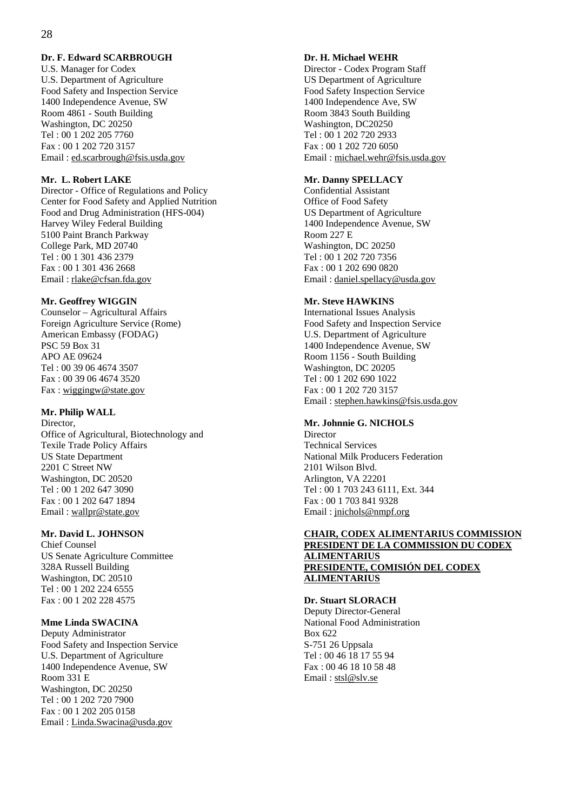#### **Dr. F. Edward SCARBROUGH**

U.S. Manager for Codex U.S. Department of Agriculture Food Safety and Inspection Service 1400 Independence Avenue, SW Room 4861 - South Building Washington, DC 20250 Tel : 00 1 202 205 7760 Fax : 00 1 202 720 3157 Email : ed.scarbrough@fsis.usda.gov

#### **Mr. L. Robert LAKE**

Director - Office of Regulations and Policy Center for Food Safety and Applied Nutrition Food and Drug Administration (HFS-004) Harvey Wiley Federal Building 5100 Paint Branch Parkway College Park, MD 20740 Tel : 00 1 301 436 2379 Fax : 00 1 301 436 2668 Email : rlake@cfsan.fda.gov

#### **Mr. Geoffrey WIGGIN**

Counselor – Agricultural Affairs Foreign Agriculture Service (Rome) American Embassy (FODAG) PSC 59 Box 31 APO AE 09624 Tel : 00 39 06 4674 3507 Fax : 00 39 06 4674 3520 Fax : wiggingw@state.gov

## **Mr. Philip WALL**

Director, Office of Agricultural, Biotechnology and Texile Trade Policy Affairs US State Department 2201 C Street NW Washington, DC 20520 Tel : 00 1 202 647 3090 Fax : 00 1 202 647 1894 Email : wallpr@state.gov

#### **Mr. David L. JOHNSON**

Chief Counsel US Senate Agriculture Committee 328A Russell Building Washington, DC 20510 Tel : 00 1 202 224 6555 Fax : 00 1 202 228 4575

#### **Mme Linda SWACINA**

Deputy Administrator Food Safety and Inspection Service U.S. Department of Agriculture 1400 Independence Avenue, SW Room 331 E Washington, DC 20250 Tel : 00 1 202 720 7900 Fax : 00 1 202 205 0158 Email : Linda.Swacina@usda.gov

#### **Dr. H. Michael WEHR**

Director - Codex Program Staff US Department of Agriculture Food Safety Inspection Service 1400 Independence Ave, SW Room 3843 South Building Washington, DC20250 Tel : 00 1 202 720 2933 Fax : 00 1 202 720 6050 Email : michael.wehr@fsis.usda.gov

#### **Mr. Danny SPELLACY**

Confidential Assistant Office of Food Safety US Department of Agriculture 1400 Independence Avenue, SW Room 227 E Washington, DC 20250 Tel : 00 1 202 720 7356 Fax : 00 1 202 690 0820 Email : daniel.spellacy@usda.gov

#### **Mr. Steve HAWKINS**

International Issues Analysis Food Safety and Inspection Service U.S. Department of Agriculture 1400 Independence Avenue, SW Room 1156 - South Building Washington, DC 20205 Tel : 00 1 202 690 1022 Fax : 00 1 202 720 3157 Email : stephen.hawkins@fsis.usda.gov

#### **Mr. Johnnie G. NICHOLS**

Director Technical Services National Milk Producers Federation 2101 Wilson Blvd. Arlington, VA 22201 Tel : 00 1 703 243 6111, Ext. 344 Fax : 00 1 703 841 9328 Email : jnichols@nmpf.org

#### **CHAIR, CODEX ALIMENTARIUS COMMISSION PRESIDENT DE LA COMMISSION DU CODEX ALIMENTARIUS PRESIDENTE, COMISIÓN DEL CODEX ALIMENTARIUS**

**Dr. Stuart SLORACH**  Deputy Director-General National Food Administration Box 622 S-751 26 Uppsala Tel : 00 46 18 17 55 94 Fax : 00 46 18 10 58 48 Email : stsl@slv.se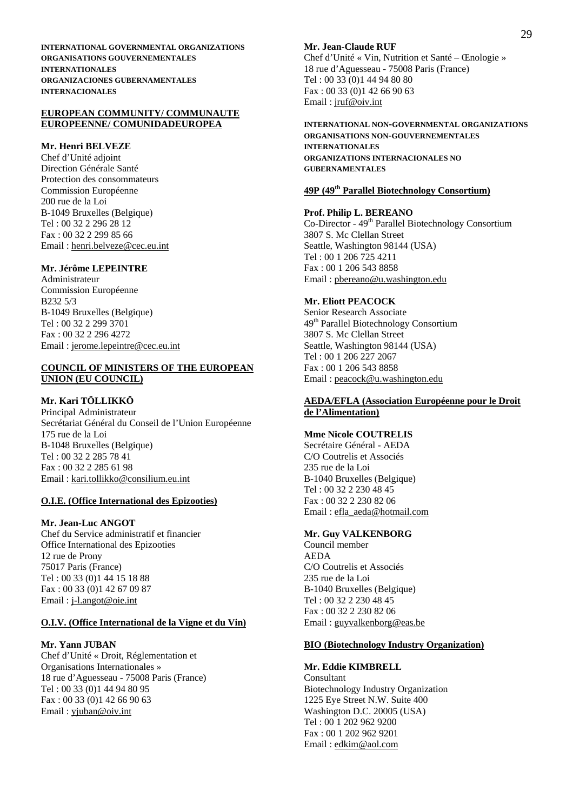**INTERNATIONAL GOVERNMENTAL ORGANIZATIONS ORGANISATIONS GOUVERNEMENTALES INTERNATIONALES ORGANIZACIONES GUBERNAMENTALES INTERNACIONALES**

#### **EUROPEAN COMMUNITY/ COMMUNAUTE EUROPEENNE/ COMUNIDADEUROPEA**

#### **Mr. Henri BELVEZE**

Chef d'Unité adjoint Direction Générale Santé Protection des consommateurs Commission Européenne 200 rue de la Loi B-1049 Bruxelles (Belgique) Tel : 00 32 2 296 28 12 Fax : 00 32 2 299 85 66 Email : henri.belveze@cec.eu.int

#### **Mr. Jérôme LEPEINTRE**

Administrateur Commission Européenne B232 5/3 B-1049 Bruxelles (Belgique) Tel : 00 32 2 299 3701 Fax : 00 32 2 296 4272 Email : jerome.lepeintre@cec.eu.int

#### **COUNCIL OF MINISTERS OF THE EUROPEAN UNION (EU COUNCIL)**

# **Mr. Kari TÖLLIKKÖ**

Principal Administrateur Secrétariat Général du Conseil de l'Union Européenne 175 rue de la Loi B-1048 Bruxelles (Belgique) Tel : 00 32 2 285 78 41 Fax : 00 32 2 285 61 98 Email : kari.tollikko@consilium.eu.int

#### **O.I.E. (Office International des Epizooties)**

#### **Mr. Jean-Luc ANGOT**

Chef du Service administratif et financier Office International des Epizooties 12 rue de Prony 75017 Paris (France) Tel : 00 33 (0)1 44 15 18 88 Fax : 00 33 (0)1 42 67 09 87 Email: j-l.angot@oie.int

#### **O.I.V. (Office International de la Vigne et du Vin)**

#### **Mr. Yann JUBAN**

Chef d'Unité « Droit, Réglementation et Organisations Internationales » 18 rue d'Aguesseau - 75008 Paris (France) Tel : 00 33 (0)1 44 94 80 95 Fax : 00 33 (0)1 42 66 90 63 Email : yjuban@oiv.int

## **Mr. Jean-Claude RUF**

Chef d'Unité « Vin, Nutrition et Santé – Œnologie » 18 rue d'Aguesseau - 75008 Paris (France) Tel : 00 33 (0)1 44 94 80 80 Fax : 00 33 (0)1 42 66 90 63 Email : jruf@oiv.int

#### **INTERNATIONAL NON-GOVERNMENTAL ORGANIZATIONS ORGANISATIONS NON-GOUVERNEMENTALES INTERNATIONALES ORGANIZATIONS INTERNACIONALES NO GUBERNAMENTALES**

# **49P (49th Parallel Biotechnology Consortium)**

#### **Prof. Philip L. BEREANO**

Co-Director - 49th Parallel Biotechnology Consortium 3807 S. Mc Clellan Street Seattle, Washington 98144 (USA) Tel : 00 1 206 725 4211 Fax : 00 1 206 543 8858 Email : pbereano@u.washington.edu

#### **Mr. Eliott PEACOCK**

Senior Research Associate 49th Parallel Biotechnology Consortium 3807 S. Mc Clellan Street Seattle, Washington 98144 (USA) Tel : 00 1 206 227 2067 Fax : 00 1 206 543 8858 Email : peacock@u.washington.edu

#### **AEDA/EFLA (Association Européenne pour le Droit de l'Alimentation)**

#### **Mme Nicole COUTRELIS**

Secrétaire Général - AEDA C/O Coutrelis et Associés 235 rue de la Loi B-1040 Bruxelles (Belgique) Tel : 00 32 2 230 48 45 Fax : 00 32 2 230 82 06 Email : efla\_aeda@hotmail.com

#### **Mr. Guy VALKENBORG**

Council member AEDA C/O Coutrelis et Associés 235 rue de la Loi B-1040 Bruxelles (Belgique) Tel : 00 32 2 230 48 45 Fax : 00 32 2 230 82 06 Email : guyvalkenborg@eas.be

#### **BIO (Biotechnology Industry Organization)**

#### **Mr. Eddie KIMBRELL**

Consultant Biotechnology Industry Organization 1225 Eye Street N.W. Suite 400 Washington D.C. 20005 (USA) Tel : 00 1 202 962 9200 Fax : 00 1 202 962 9201 Email : edkim@aol.com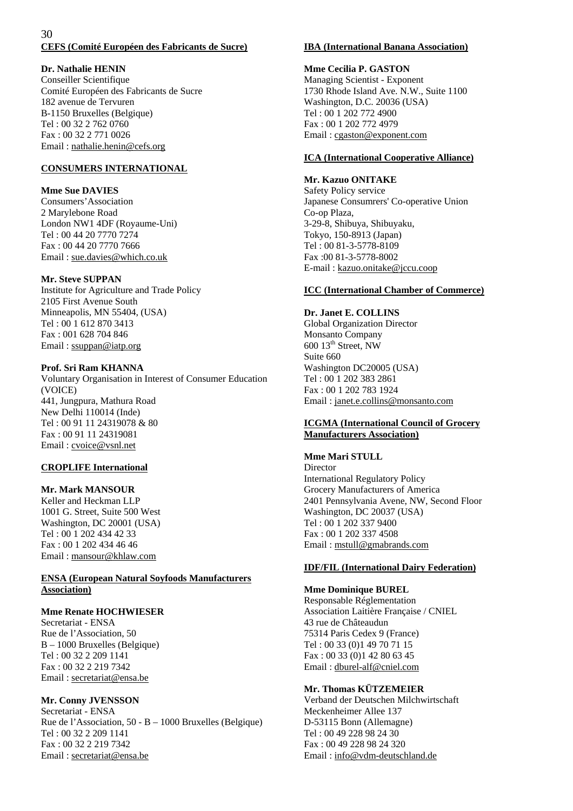# 30 **CEFS (Comité Européen des Fabricants de Sucre)**

# **Dr. Nathalie HENIN**

Conseiller Scientifique Comité Européen des Fabricants de Sucre 182 avenue de Tervuren B-1150 Bruxelles (Belgique) Tel : 00 32 2 762 0760 Fax : 00 32 2 771 0026 Email : nathalie.henin@cefs.org

# **CONSUMERS INTERNATIONAL**

# **Mme Sue DAVIES**

Consumers'Association 2 Marylebone Road London NW1 4DF (Royaume-Uni) Tel : 00 44 20 7770 7274 Fax : 00 44 20 7770 7666 Email : sue.davies@which.co.uk

# **Mr. Steve SUPPAN**

Institute for Agriculture and Trade Policy 2105 First Avenue South Minneapolis, MN 55404, (USA) Tel : 00 1 612 870 3413 Fax : 001 628 704 846 Email : ssuppan@iatp.org

# **Prof. Sri Ram KHANNA**

Voluntary Organisation in Interest of Consumer Education (VOICE) 441, Jungpura, Mathura Road New Delhi 110014 (Inde) Tel : 00 91 11 24319078 & 80 Fax : 00 91 11 24319081 Email : cvoice@vsnl.net

# **CROPLIFE International**

# **Mr. Mark MANSOUR**

Keller and Heckman LLP 1001 G. Street, Suite 500 West Washington, DC 20001 (USA) Tel : 00 1 202 434 42 33 Fax : 00 1 202 434 46 46 Email : mansour@khlaw.com

## **ENSA (European Natural Soyfoods Manufacturers Association)**

# **Mme Renate HOCHWIESER**

Secretariat - ENSA Rue de l'Association, 50 B – 1000 Bruxelles (Belgique) Tel : 00 32 2 209 1141 Fax : 00 32 2 219 7342 Email : secretariat@ensa.be

# **Mr. Conny JVENSSON**

Secretariat - ENSA Rue de l'Association, 50 - B – 1000 Bruxelles (Belgique) Tel : 00 32 2 209 1141 Fax : 00 32 2 219 7342 Email : secretariat@ensa.be

# **IBA (International Banana Association)**

# **Mme Cecilia P. GASTON**

Managing Scientist - Exponent 1730 Rhode Island Ave. N.W., Suite 1100 Washington, D.C. 20036 (USA) Tel : 00 1 202 772 4900 Fax : 00 1 202 772 4979 Email : cgaston@exponent.com

# **ICA (International Cooperative Alliance)**

# **Mr. Kazuo ONITAKE**

Safety Policy service Japanese Consumrers' Co-operative Union Co-op Plaza, 3-29-8, Shibuya, Shibuyaku, Tokyo, 150-8913 (Japan) Tel : 00 81-3-5778-8109 Fax :00 81-3-5778-8002 E-mail : kazuo.onitake@jccu.coop

# **ICC (International Chamber of Commerce)**

# **Dr. Janet E. COLLINS**

Global Organization Director Monsanto Company  $600$  13<sup>th</sup> Street, NW Suite 660 Washington DC20005 (USA) Tel : 00 1 202 383 2861 Fax : 00 1 202 783 1924 Email : janet.e.collins@monsanto.com

## **ICGMA (International Council of Grocery Manufacturers Association)**

**Mme Mari STULL**  Director International Regulatory Policy Grocery Manufacturers of America 2401 Pennsylvania Avene, NW, Second Floor Washington, DC 20037 (USA) Tel : 00 1 202 337 9400 Fax : 00 1 202 337 4508 Email : mstull@gmabrands.com

# **IDF/FIL (International Dairy Federation)**

# **Mme Dominique BUREL**

Responsable Réglementation Association Laitière Française / CNIEL 43 rue de Châteaudun 75314 Paris Cedex 9 (France) Tel : 00 33 (0)1 49 70 71 15 Fax : 00 33 (0)1 42 80 63 45 Email : dburel-alf@cniel.com

# **Mr. Thomas KÜTZEMEIER**

Verband der Deutschen Milchwirtschaft Meckenheimer Allee 137 D-53115 Bonn (Allemagne) Tel : 00 49 228 98 24 30 Fax : 00 49 228 98 24 320 Email : info@vdm-deutschland.de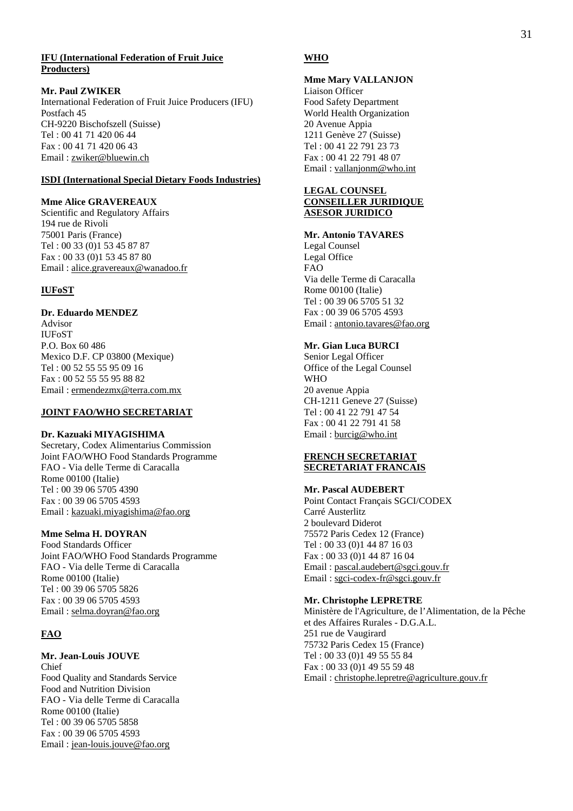#### **IFU (International Federation of Fruit Juice Producters)**

#### **Mr. Paul ZWIKER**

International Federation of Fruit Juice Producers (IFU) Postfach 45 CH-9220 Bischofszell (Suisse) Tel : 00 41 71 420 06 44 Fax : 00 41 71 420 06 43 Email : zwiker@bluewin.ch

## **ISDI (International Special Dietary Foods Industries)**

#### **Mme Alice GRAVEREAUX**

Scientific and Regulatory Affairs 194 rue de Rivoli 75001 Paris (France) Tel : 00 33 (0)1 53 45 87 87 Fax : 00 33 (0)1 53 45 87 80 Email : alice.gravereaux@wanadoo.fr

## **IUFoST**

## **Dr. Eduardo MENDEZ**

Advisor IUFoST P.O. Box 60 486 Mexico D.F. CP 03800 (Mexique) Tel : 00 52 55 55 95 09 16 Fax : 00 52 55 55 95 88 82 Email : ermendezmx@terra.com.mx

## **JOINT FAO/WHO SECRETARIAT**

#### **Dr. Kazuaki MIYAGISHIMA**

Secretary, Codex Alimentarius Commission Joint FAO/WHO Food Standards Programme FAO - Via delle Terme di Caracalla Rome 00100 (Italie) Tel : 00 39 06 5705 4390 Fax : 00 39 06 5705 4593 Email : kazuaki.miyagishima@fao.org

## **Mme Selma H. DOYRAN**

Food Standards Officer Joint FAO/WHO Food Standards Programme FAO - Via delle Terme di Caracalla Rome 00100 (Italie) Tel : 00 39 06 5705 5826 Fax : 00 39 06 5705 4593 Email : selma.doyran@fao.org

# **FAO**

#### **Mr. Jean-Louis JOUVE**  Chief Food Quality and Standards Service Food and Nutrition Division FAO - Via delle Terme di Caracalla Rome 00100 (Italie) Tel : 00 39 06 5705 5858 Fax : 00 39 06 5705 4593 Email : jean-louis.jouve@fao.org

# **WHO**

#### **Mme Mary VALLANJON**

Liaison Officer Food Safety Department World Health Organization 20 Avenue Appia 1211 Genève 27 (Suisse) Tel : 00 41 22 791 23 73 Fax : 00 41 22 791 48 07 Email : vallanjonm@who.int

#### **LEGAL COUNSEL CONSEILLER JURIDIQUE ASESOR JURIDICO**

## **Mr. Antonio TAVARES**

Legal Counsel Legal Office FAO Via delle Terme di Caracalla Rome 00100 (Italie) Tel : 00 39 06 5705 51 32 Fax : 00 39 06 5705 4593 Email : antonio.tavares@fao.org

## **Mr. Gian Luca BURCI**

Senior Legal Officer Office of the Legal Counsel WHO 20 avenue Appia CH-1211 Geneve 27 (Suisse) Tel : 00 41 22 791 47 54 Fax : 00 41 22 791 41 58 Email : burcig@who.int

#### **FRENCH SECRETARIAT SECRETARIAT FRANCAIS**

#### **Mr. Pascal AUDEBERT**  Point Contact Français SGCI/CODEX Carré Austerlitz 2 boulevard Diderot 75572 Paris Cedex 12 (France) Tel : 00 33 (0)1 44 87 16 03 Fax : 00 33 (0)1 44 87 16 04 Email : pascal.audebert@sgci.gouv.fr Email : sgci-codex-fr@sgci.gouv.fr

## **Mr. Christophe LEPRETRE**

Ministère de l'Agriculture, de l'Alimentation, de la Pêche et des Affaires Rurales - D.G.A.L. 251 rue de Vaugirard 75732 Paris Cedex 15 (France) Tel : 00 33 (0)1 49 55 55 84 Fax : 00 33 (0)1 49 55 59 48 Email : christophe.lepretre@agriculture.gouv.fr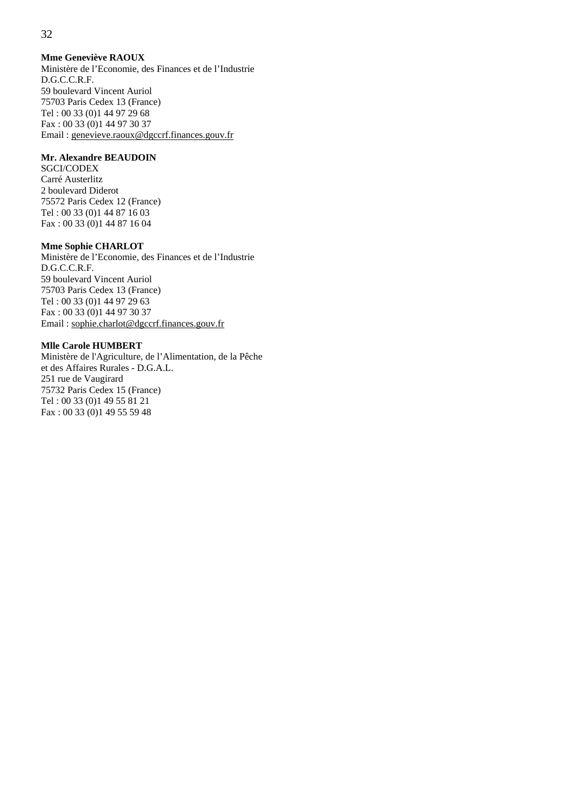# **Mme Geneviève RAOUX**

Ministère de l'Economie, des Finances et de l'Industrie D.G.C.C.R.F. 59 boulevard Vincent Auriol 75703 Paris Cedex 13 (France) Tel : 00 33 (0)1 44 97 29 68 Fax : 00 33 (0)1 44 97 30 37 Email : genevieve.raoux@dgccrf.finances.gouv.fr

## **Mr. Alexandre BEAUDOIN**

SGCI/CODEX Carré Austerlitz 2 boulevard Diderot 75572 Paris Cedex 12 (France) Tel : 00 33 (0)1 44 87 16 03 Fax : 00 33 (0)1 44 87 16 04

#### **Mme Sophie CHARLOT**

Ministère de l'Economie, des Finances et de l'Industrie D.G.C.C.R.F. 59 boulevard Vincent Auriol 75703 Paris Cedex 13 (France) Tel : 00 33 (0)1 44 97 29 63 Fax : 00 33 (0)1 44 97 30 37 Email : sophie.charlot@dgccrf.finances.gouv.fr

#### **Mlle Carole HUMBERT**

Ministère de l'Agriculture, de l'Alimentation, de la Pêche et des Affaires Rurales - D.G.A.L. 251 rue de Vaugirard 75732 Paris Cedex 15 (France) Tel : 00 33 (0)1 49 55 81 21 Fax : 00 33 (0)1 49 55 59 48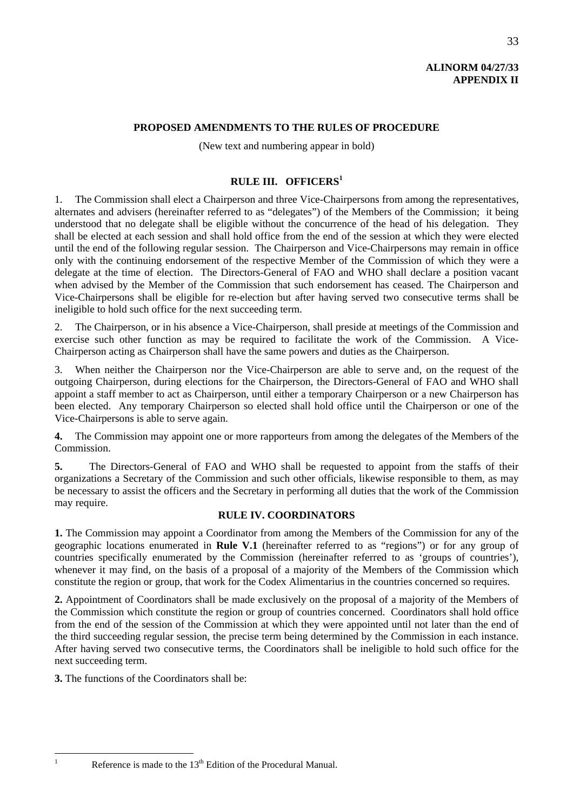33

## **PROPOSED AMENDMENTS TO THE RULES OF PROCEDURE**

(New text and numbering appear in bold)

# **RULE III. OFFICERS[1](#page-36-0)**

1. The Commission shall elect a Chairperson and three Vice-Chairpersons from among the representatives, alternates and advisers (hereinafter referred to as "delegates") of the Members of the Commission; it being understood that no delegate shall be eligible without the concurrence of the head of his delegation. They shall be elected at each session and shall hold office from the end of the session at which they were elected until the end of the following regular session. The Chairperson and Vice-Chairpersons may remain in office only with the continuing endorsement of the respective Member of the Commission of which they were a delegate at the time of election. The Directors-General of FAO and WHO shall declare a position vacant when advised by the Member of the Commission that such endorsement has ceased. The Chairperson and Vice-Chairpersons shall be eligible for re-election but after having served two consecutive terms shall be ineligible to hold such office for the next succeeding term.

2. The Chairperson, or in his absence a Vice-Chairperson, shall preside at meetings of the Commission and exercise such other function as may be required to facilitate the work of the Commission. A Vice-Chairperson acting as Chairperson shall have the same powers and duties as the Chairperson.

3. When neither the Chairperson nor the Vice-Chairperson are able to serve and, on the request of the outgoing Chairperson, during elections for the Chairperson, the Directors-General of FAO and WHO shall appoint a staff member to act as Chairperson, until either a temporary Chairperson or a new Chairperson has been elected. Any temporary Chairperson so elected shall hold office until the Chairperson or one of the Vice-Chairpersons is able to serve again.

**4.** The Commission may appoint one or more rapporteurs from among the delegates of the Members of the Commission.

**5.** The Directors-General of FAO and WHO shall be requested to appoint from the staffs of their organizations a Secretary of the Commission and such other officials, likewise responsible to them, as may be necessary to assist the officers and the Secretary in performing all duties that the work of the Commission may require.

## **RULE IV. COORDINATORS**

**1.** The Commission may appoint a Coordinator from among the Members of the Commission for any of the geographic locations enumerated in **Rule V.1** (hereinafter referred to as "regions") or for any group of countries specifically enumerated by the Commission (hereinafter referred to as 'groups of countries'), whenever it may find, on the basis of a proposal of a majority of the Members of the Commission which constitute the region or group, that work for the Codex Alimentarius in the countries concerned so requires.

**2.** Appointment of Coordinators shall be made exclusively on the proposal of a majority of the Members of the Commission which constitute the region or group of countries concerned. Coordinators shall hold office from the end of the session of the Commission at which they were appointed until not later than the end of the third succeeding regular session, the precise term being determined by the Commission in each instance. After having served two consecutive terms, the Coordinators shall be ineligible to hold such office for the next succeeding term.

**3.** The functions of the Coordinators shall be:

Reference is made to the  $13<sup>th</sup>$  Edition of the Procedural Manual.

<span id="page-36-0"></span> $\frac{1}{1}$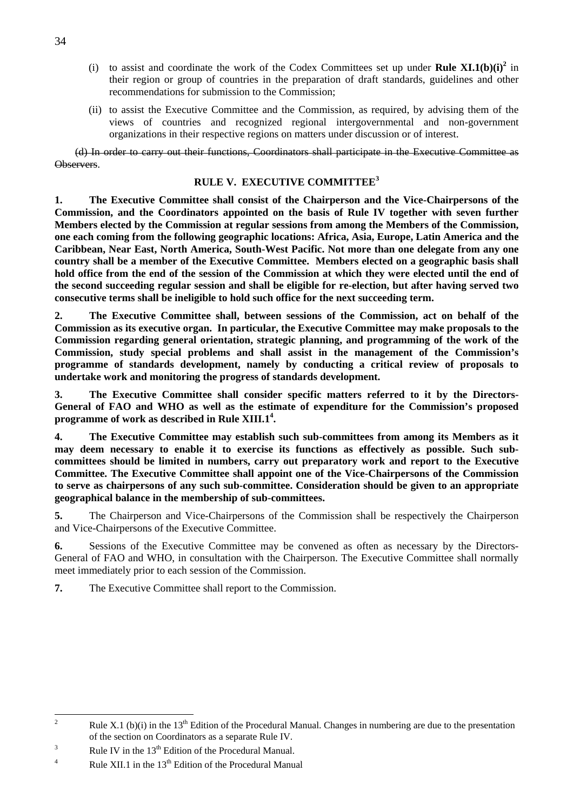- (i)to assist and coordinate the work of the Codex Committees set up under **Rule XI.1(b)(i)**<sup>2</sup> in their region or group of countries in the preparation of draft standards, guidelines and other recommendations for submission to the Commission;
- (ii) to assist the Executive Committee and the Commission, as required, by advising them of the views of countries and recognized regional intergovernmental and non-government organizations in their respective regions on matters under discussion or of interest.

 (d) In order to carry out their functions, Coordinators shall participate in the Executive Committee as Observers.

# **RULE V. EXECUTIVE COMMITTEE[3](#page-37-1)**

**1. The Executive Committee shall consist of the Chairperson and the Vice-Chairpersons of the Commission, and the Coordinators appointed on the basis of Rule IV together with seven further Members elected by the Commission at regular sessions from among the Members of the Commission, one each coming from the following geographic locations: Africa, Asia, Europe, Latin America and the Caribbean, Near East, North America, South-West Pacific. Not more than one delegate from any one country shall be a member of the Executive Committee. Members elected on a geographic basis shall hold office from the end of the session of the Commission at which they were elected until the end of the second succeeding regular session and shall be eligible for re-election, but after having served two consecutive terms shall be ineligible to hold such office for the next succeeding term.** 

**2. The Executive Committee shall, between sessions of the Commission, act on behalf of the Commission as its executive organ. In particular, the Executive Committee may make proposals to the Commission regarding general orientation, strategic planning, and programming of the work of the Commission, study special problems and shall assist in the management of the Commission's programme of standards development, namely by conducting a critical review of proposals to undertake work and monitoring the progress of standards development.** 

**3. The Executive Committee shall consider specific matters referred to it by the Directors-General of FAO and WHO as well as the estimate of expenditure for the Commission's proposed programme of work as described in Rule XIII.1[4](#page-37-2) .** 

**4. The Executive Committee may establish such sub-committees from among its Members as it may deem necessary to enable it to exercise its functions as effectively as possible. Such subcommittees should be limited in numbers, carry out preparatory work and report to the Executive Committee. The Executive Committee shall appoint one of the Vice-Chairpersons of the Commission to serve as chairpersons of any such sub-committee. Consideration should be given to an appropriate geographical balance in the membership of sub-committees.** 

**5.** The Chairperson and Vice-Chairpersons of the Commission shall be respectively the Chairperson and Vice-Chairpersons of the Executive Committee.

**6.** Sessions of the Executive Committee may be convened as often as necessary by the Directors-General of FAO and WHO, in consultation with the Chairperson. The Executive Committee shall normally meet immediately prior to each session of the Commission.

**7.** The Executive Committee shall report to the Commission.

<span id="page-37-0"></span> $\frac{1}{2}$ Rule X.1 (b)(i) in the 13<sup>th</sup> Edition of the Procedural Manual. Changes in numbering are due to the presentation of the section on Coordinators as a separate Rule IV.

<span id="page-37-1"></span><sup>3</sup> Rule IV in the 13<sup>th</sup> Edition of the Procedural Manual.

<span id="page-37-2"></span><sup>4</sup> Rule XII.1 in the  $13<sup>th</sup>$  Edition of the Procedural Manual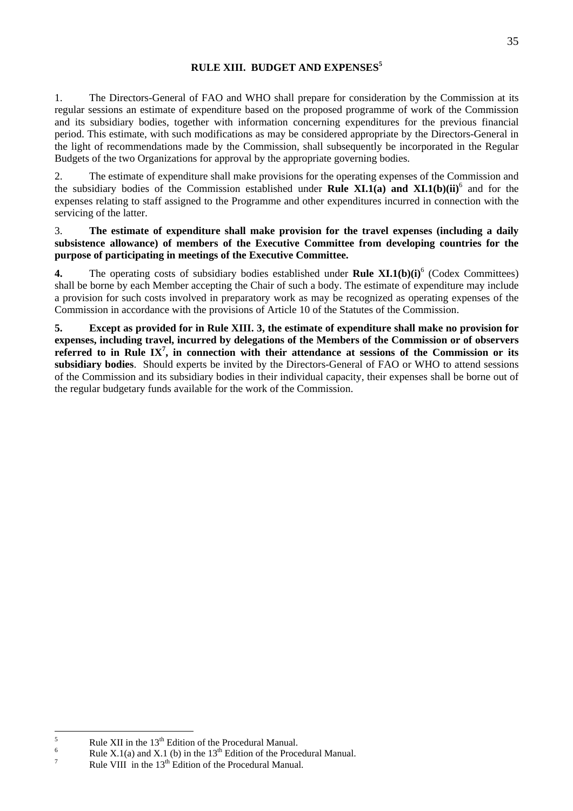## <span id="page-38-0"></span>**RULE XIII. BUDGET AND EXPENSES[5](#page-38-1)**

1. The Directors-General of FAO and WHO shall prepare for consideration by the Commission at its regular sessions an estimate of expenditure based on the proposed programme of work of the Commission and its subsidiary bodies, together with information concerning expenditures for the previous financial period. This estimate, with such modifications as may be considered appropriate by the Directors-General in the light of recommendations made by the Commission, shall subsequently be incorporated in the Regular Budgets of the two Organizations for approval by the appropriate governing bodies.

2. The estimate of expenditure shall make provisions for the operating expenses of the Commission and the subsidiary bodies of the Commission established under **Rule XI.1(a) and XI.1(b)(ii)**<sup>6</sup> and for the expenses relating to staff assigned to the Programme and other expenditures incurred in connection with the servicing of the latter.

# 3. **The estimate of expenditure shall make provision for the travel expenses (including a daily subsistence allowance) of members of the Executive Committee from developing countries for the purpose of participating in meetings of the Executive Committee.**

**4.**The operating costs of subsidiary bodies established under **Rule XI.1(b)(i)**<sup>6</sup> (Codex Committees) shall be borne by each Member accepting the Chair of such a body. The estimate of expenditure may include a provision for such costs involved in preparatory work as may be recognized as operating expenses of the Commission in accordance with the provisions of Article 10 of the Statutes of the Commission.

**5. Except as provided for in Rule XIII. 3, the estimate of expenditure shall make no provision for expenses, including travel, incurred by delegations of the Members of the Commission or of observers referred to in Rule IX<sup>7</sup> [,](#page-38-3) in connection with their attendance at sessions of the Commission or its subsidiary bodies**. Should experts be invited by the Directors-General of FAO or WHO to attend sessions of the Commission and its subsidiary bodies in their individual capacity, their expenses shall be borne out of the regular budgetary funds available for the work of the Commission.

 5 <sup>5</sup><br>Rule XII in the 13<sup>th</sup> Edition of the Procedural Manual.<br><sup>6</sup><br>Rule X<sub>1</sub> (c) and X<sub>1</sub> (b) in the 13<sup>th</sup> Edition of the Proce

<span id="page-38-2"></span><span id="page-38-1"></span>Rule X.1(a) and X.1 (b) in the  $13<sup>th</sup>$  Edition of the Procedural Manual.

<span id="page-38-3"></span>Rule VIII in the 13<sup>th</sup> Edition of the Procedural Manual.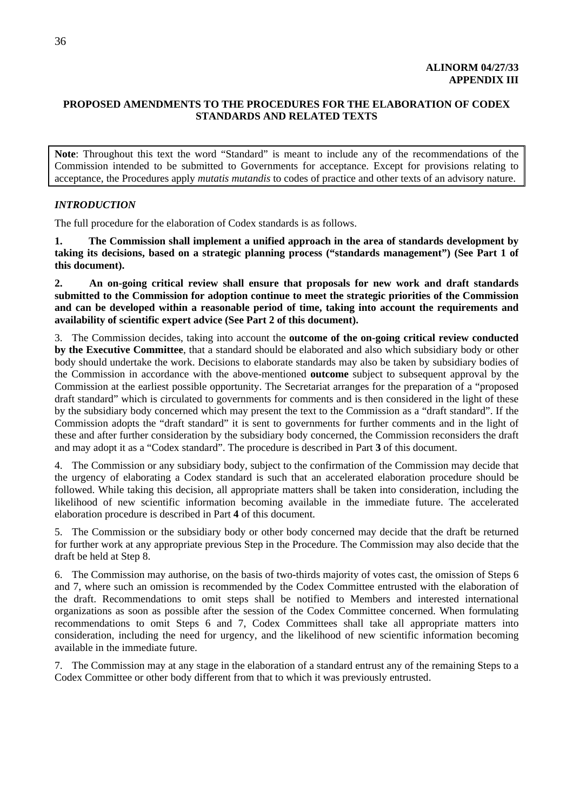# **PROPOSED AMENDMENTS TO THE PROCEDURES FOR THE ELABORATION OF CODEX STANDARDS AND RELATED TEXTS**

**Note**: Throughout this text the word "Standard" is meant to include any of the recommendations of the Commission intended to be submitted to Governments for acceptance. Except for provisions relating to acceptance, the Procedures apply *mutatis mutandis* to codes of practice and other texts of an advisory nature.

# *INTRODUCTION*

The full procedure for the elaboration of Codex standards is as follows.

**1. The Commission shall implement a unified approach in the area of standards development by taking its decisions, based on a strategic planning process ("standards management") (See Part 1 of this document).** 

**2. An on-going critical review shall ensure that proposals for new work and draft standards submitted to the Commission for adoption continue to meet the strategic priorities of the Commission and can be developed within a reasonable period of time, taking into account the requirements and availability of scientific expert advice (See Part 2 of this document).** 

3. The Commission decides, taking into account the **outcome of the on-going critical review conducted by the Executive Committee**, that a standard should be elaborated and also which subsidiary body or other body should undertake the work. Decisions to elaborate standards may also be taken by subsidiary bodies of the Commission in accordance with the above-mentioned **outcome** subject to subsequent approval by the Commission at the earliest possible opportunity. The Secretariat arranges for the preparation of a "proposed draft standard" which is circulated to governments for comments and is then considered in the light of these by the subsidiary body concerned which may present the text to the Commission as a "draft standard". If the Commission adopts the "draft standard" it is sent to governments for further comments and in the light of these and after further consideration by the subsidiary body concerned, the Commission reconsiders the draft and may adopt it as a "Codex standard". The procedure is described in Part **3** of this document.

4. The Commission or any subsidiary body, subject to the confirmation of the Commission may decide that the urgency of elaborating a Codex standard is such that an accelerated elaboration procedure should be followed. While taking this decision, all appropriate matters shall be taken into consideration, including the likelihood of new scientific information becoming available in the immediate future. The accelerated elaboration procedure is described in Part **4** of this document.

5. The Commission or the subsidiary body or other body concerned may decide that the draft be returned for further work at any appropriate previous Step in the Procedure. The Commission may also decide that the draft be held at Step 8.

6. The Commission may authorise, on the basis of two-thirds majority of votes cast, the omission of Steps 6 and 7, where such an omission is recommended by the Codex Committee entrusted with the elaboration of the draft. Recommendations to omit steps shall be notified to Members and interested international organizations as soon as possible after the session of the Codex Committee concerned. When formulating recommendations to omit Steps 6 and 7, Codex Committees shall take all appropriate matters into consideration, including the need for urgency, and the likelihood of new scientific information becoming available in the immediate future.

7. The Commission may at any stage in the elaboration of a standard entrust any of the remaining Steps to a Codex Committee or other body different from that to which it was previously entrusted.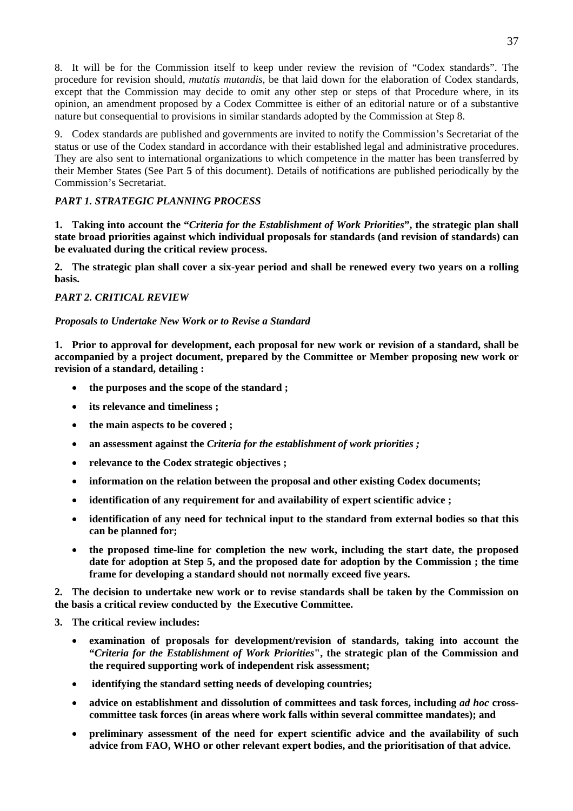8. It will be for the Commission itself to keep under review the revision of "Codex standards". The procedure for revision should, *mutatis mutandis*, be that laid down for the elaboration of Codex standards, except that the Commission may decide to omit any other step or steps of that Procedure where, in its opinion, an amendment proposed by a Codex Committee is either of an editorial nature or of a substantive nature but consequential to provisions in similar standards adopted by the Commission at Step 8.

9. Codex standards are published and governments are invited to notify the Commission's Secretariat of the status or use of the Codex standard in accordance with their established legal and administrative procedures. They are also sent to international organizations to which competence in the matter has been transferred by their Member States (See Part **5** of this document). Details of notifications are published periodically by the Commission's Secretariat.

# *PART 1. STRATEGIC PLANNING PROCESS*

**1. Taking into account the "***Criteria for the Establishment of Work Priorities***", the strategic plan shall state broad priorities against which individual proposals for standards (and revision of standards) can be evaluated during the critical review process.** 

**2. The strategic plan shall cover a six-year period and shall be renewed every two years on a rolling basis.** 

## *PART 2. CRITICAL REVIEW*

## *Proposals to Undertake New Work or to Revise a Standard*

**1. Prior to approval for development, each proposal for new work or revision of a standard, shall be accompanied by a project document, prepared by the Committee or Member proposing new work or revision of a standard, detailing :** 

- **the purposes and the scope of the standard ;**
- **its relevance and timeliness ;**
- **the main aspects to be covered ;**
- **an assessment against the** *Criteria for the establishment of work priorities ;*
- **relevance to the Codex strategic objectives ;**
- **information on the relation between the proposal and other existing Codex documents;**
- **identification of any requirement for and availability of expert scientific advice ;**
- **identification of any need for technical input to the standard from external bodies so that this can be planned for;**
- **the proposed time-line for completion the new work, including the start date, the proposed date for adoption at Step 5, and the proposed date for adoption by the Commission ; the time frame for developing a standard should not normally exceed five years.**

**2. The decision to undertake new work or to revise standards shall be taken by the Commission on the basis a critical review conducted by the Executive Committee.** 

- **3. The critical review includes:** 
	- **examination of proposals for development/revision of standards, taking into account the "***Criteria for the Establishment of Work Priorities***", the strategic plan of the Commission and the required supporting work of independent risk assessment;**
	- **identifying the standard setting needs of developing countries;**
	- **advice on establishment and dissolution of committees and task forces, including** *ad hoc* **crosscommittee task forces (in areas where work falls within several committee mandates); and**
	- **preliminary assessment of the need for expert scientific advice and the availability of such advice from FAO, WHO or other relevant expert bodies, and the prioritisation of that advice.**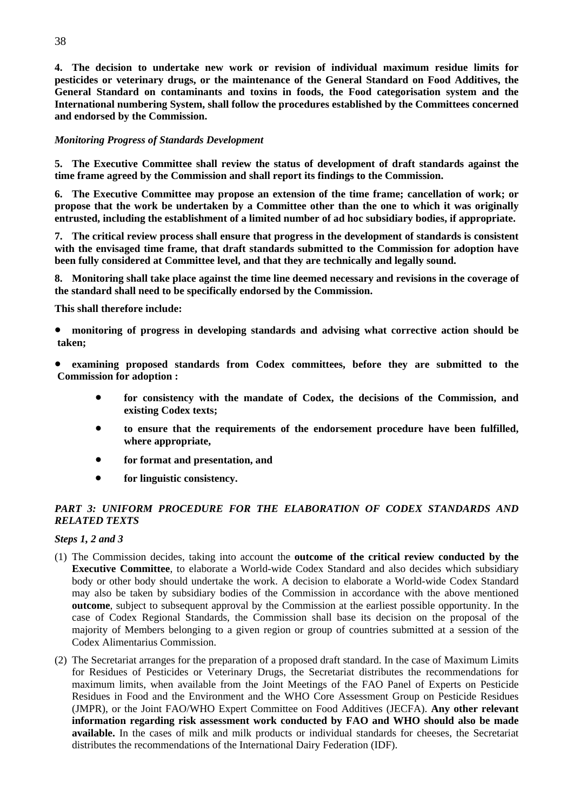**4. The decision to undertake new work or revision of individual maximum residue limits for pesticides or veterinary drugs, or the maintenance of the General Standard on Food Additives, the General Standard on contaminants and toxins in foods, the Food categorisation system and the International numbering System, shall follow the procedures established by the Committees concerned and endorsed by the Commission.**

# *Monitoring Progress of Standards Development*

**5. The Executive Committee shall review the status of development of draft standards against the time frame agreed by the Commission and shall report its findings to the Commission.** 

**6. The Executive Committee may propose an extension of the time frame; cancellation of work; or propose that the work be undertaken by a Committee other than the one to which it was originally entrusted, including the establishment of a limited number of ad hoc subsidiary bodies, if appropriate.** 

**7. The critical review process shall ensure that progress in the development of standards is consistent with the envisaged time frame, that draft standards submitted to the Commission for adoption have been fully considered at Committee level, and that they are technically and legally sound.** 

**8. Monitoring shall take place against the time line deemed necessary and revisions in the coverage of the standard shall need to be specifically endorsed by the Commission.** 

**This shall therefore include:** 

• **monitoring of progress in developing standards and advising what corrective action should be taken;** 

• **examining proposed standards from Codex committees, before they are submitted to the Commission for adoption :** 

- **for consistency with the mandate of Codex, the decisions of the Commission, and existing Codex texts;**
- **to ensure that the requirements of the endorsement procedure have been fulfilled, where appropriate,**
- **for format and presentation, and**
- **for linguistic consistency.**

# **PART 3: UNIFORM PROCEDURE FOR THE ELABORATION OF CODEX STANDARDS AND** *RELATED TEXTS*

## *Steps 1, 2 and 3*

- (1) The Commission decides, taking into account the **outcome of the critical review conducted by the Executive Committee**, to elaborate a World-wide Codex Standard and also decides which subsidiary body or other body should undertake the work. A decision to elaborate a World-wide Codex Standard may also be taken by subsidiary bodies of the Commission in accordance with the above mentioned **outcome**, subject to subsequent approval by the Commission at the earliest possible opportunity. In the case of Codex Regional Standards, the Commission shall base its decision on the proposal of the majority of Members belonging to a given region or group of countries submitted at a session of the Codex Alimentarius Commission.
- (2) The Secretariat arranges for the preparation of a proposed draft standard. In the case of Maximum Limits for Residues of Pesticides or Veterinary Drugs, the Secretariat distributes the recommendations for maximum limits, when available from the Joint Meetings of the FAO Panel of Experts on Pesticide Residues in Food and the Environment and the WHO Core Assessment Group on Pesticide Residues (JMPR), or the Joint FAO/WHO Expert Committee on Food Additives (JECFA). **Any other relevant information regarding risk assessment work conducted by FAO and WHO should also be made available.** In the cases of milk and milk products or individual standards for cheeses, the Secretariat distributes the recommendations of the International Dairy Federation (IDF).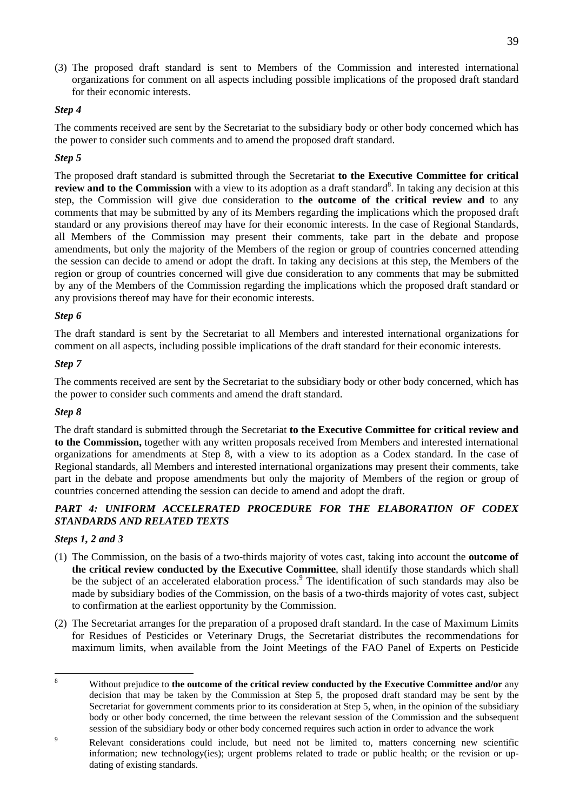(3) The proposed draft standard is sent to Members of the Commission and interested international organizations for comment on all aspects including possible implications of the proposed draft standard for their economic interests.

# *Step 4*

The comments received are sent by the Secretariat to the subsidiary body or other body concerned which has the power to consider such comments and to amend the proposed draft standard.

# *Step 5*

The proposed draft standard is submitted through the Secretariat **to the Executive Committee for critical review and to the Commission** with a view to its adoption as a draft standard<sup>8</sup>[.](#page-42-0) In taking any decision at this step, the Commission will give due consideration to **the outcome of the critical review and** to any comments that may be submitted by any of its Members regarding the implications which the proposed draft standard or any provisions thereof may have for their economic interests. In the case of Regional Standards, all Members of the Commission may present their comments, take part in the debate and propose amendments, but only the majority of the Members of the region or group of countries concerned attending the session can decide to amend or adopt the draft. In taking any decisions at this step, the Members of the region or group of countries concerned will give due consideration to any comments that may be submitted by any of the Members of the Commission regarding the implications which the proposed draft standard or any provisions thereof may have for their economic interests.

## *Step 6*

The draft standard is sent by the Secretariat to all Members and interested international organizations for comment on all aspects, including possible implications of the draft standard for their economic interests.

## *Step 7*

The comments received are sent by the Secretariat to the subsidiary body or other body concerned, which has the power to consider such comments and amend the draft standard.

## *Step 8*

The draft standard is submitted through the Secretariat **to the Executive Committee for critical review and to the Commission,** together with any written proposals received from Members and interested international organizations for amendments at Step 8, with a view to its adoption as a Codex standard. In the case of Regional standards, all Members and interested international organizations may present their comments, take part in the debate and propose amendments but only the majority of Members of the region or group of countries concerned attending the session can decide to amend and adopt the draft.

# *PART 4: UNIFORM ACCELERATED PROCEDURE FOR THE ELABORATION OF CODEX STANDARDS AND RELATED TEXTS*

## *Steps 1, 2 and 3*

- (1) The Commission, on the basis of a two-thirds majority of votes cast, taking into account the **outcome of the critical review conducted by the Executive Committee**, shall identify those standards which shall be the subject of an accelerated elaboration process.<sup>[9](#page-42-1)</sup> The identification of such standards may also be made by subsidiary bodies of the Commission, on the basis of a two-thirds majority of votes cast, subject to confirmation at the earliest opportunity by the Commission.
- (2) The Secretariat arranges for the preparation of a proposed draft standard. In the case of Maximum Limits for Residues of Pesticides or Veterinary Drugs, the Secretariat distributes the recommendations for maximum limits, when available from the Joint Meetings of the FAO Panel of Experts on Pesticide

<span id="page-42-0"></span> $\frac{1}{8}$  Without prejudice to **the outcome of the critical review conducted by the Executive Committee and/or** any decision that may be taken by the Commission at Step 5, the proposed draft standard may be sent by the Secretariat for government comments prior to its consideration at Step 5, when, in the opinion of the subsidiary body or other body concerned, the time between the relevant session of the Commission and the subsequent session of the subsidiary body or other body concerned requires such action in order to advance the work

<span id="page-42-1"></span>Relevant considerations could include, but need not be limited to, matters concerning new scientific information; new technology(ies); urgent problems related to trade or public health; or the revision or updating of existing standards.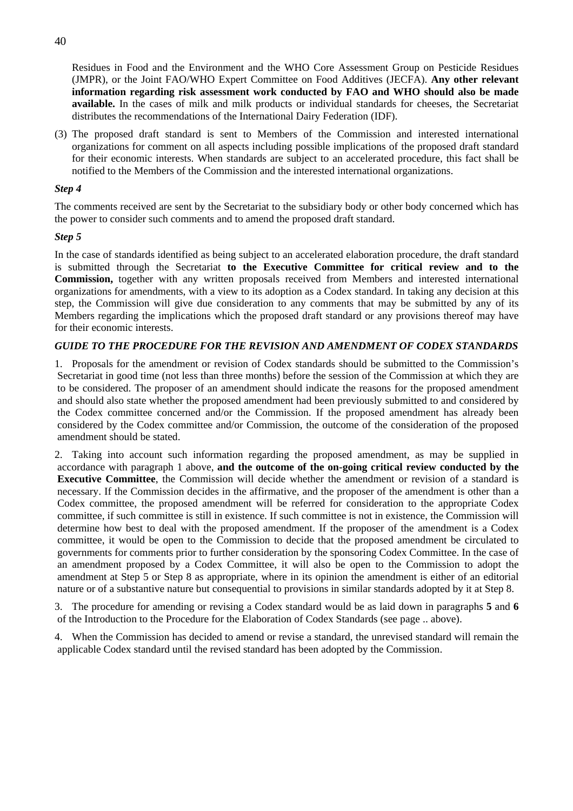Residues in Food and the Environment and the WHO Core Assessment Group on Pesticide Residues (JMPR), or the Joint FAO/WHO Expert Committee on Food Additives (JECFA). **Any other relevant information regarding risk assessment work conducted by FAO and WHO should also be made available.** In the cases of milk and milk products or individual standards for cheeses, the Secretariat distributes the recommendations of the International Dairy Federation (IDF).

(3) The proposed draft standard is sent to Members of the Commission and interested international organizations for comment on all aspects including possible implications of the proposed draft standard for their economic interests. When standards are subject to an accelerated procedure, this fact shall be notified to the Members of the Commission and the interested international organizations.

## *Step 4*

The comments received are sent by the Secretariat to the subsidiary body or other body concerned which has the power to consider such comments and to amend the proposed draft standard.

## *Step 5*

In the case of standards identified as being subject to an accelerated elaboration procedure, the draft standard is submitted through the Secretariat **to the Executive Committee for critical review and to the Commission,** together with any written proposals received from Members and interested international organizations for amendments, with a view to its adoption as a Codex standard. In taking any decision at this step, the Commission will give due consideration to any comments that may be submitted by any of its Members regarding the implications which the proposed draft standard or any provisions thereof may have for their economic interests.

## *GUIDE TO THE PROCEDURE FOR THE REVISION AND AMENDMENT OF CODEX STANDARDS*

1. Proposals for the amendment or revision of Codex standards should be submitted to the Commission's Secretariat in good time (not less than three months) before the session of the Commission at which they are to be considered. The proposer of an amendment should indicate the reasons for the proposed amendment and should also state whether the proposed amendment had been previously submitted to and considered by the Codex committee concerned and/or the Commission. If the proposed amendment has already been considered by the Codex committee and/or Commission, the outcome of the consideration of the proposed amendment should be stated.

2. Taking into account such information regarding the proposed amendment, as may be supplied in accordance with paragraph 1 above, **and the outcome of the on-going critical review conducted by the Executive Committee**, the Commission will decide whether the amendment or revision of a standard is necessary. If the Commission decides in the affirmative, and the proposer of the amendment is other than a Codex committee, the proposed amendment will be referred for consideration to the appropriate Codex committee, if such committee is still in existence. If such committee is not in existence, the Commission will determine how best to deal with the proposed amendment. If the proposer of the amendment is a Codex committee, it would be open to the Commission to decide that the proposed amendment be circulated to governments for comments prior to further consideration by the sponsoring Codex Committee. In the case of an amendment proposed by a Codex Committee, it will also be open to the Commission to adopt the amendment at Step 5 or Step 8 as appropriate, where in its opinion the amendment is either of an editorial nature or of a substantive nature but consequential to provisions in similar standards adopted by it at Step 8.

3. The procedure for amending or revising a Codex standard would be as laid down in paragraphs **5** and **6** of the Introduction to the Procedure for the Elaboration of Codex Standards (see page .. above).

4. When the Commission has decided to amend or revise a standard, the unrevised standard will remain the applicable Codex standard until the revised standard has been adopted by the Commission.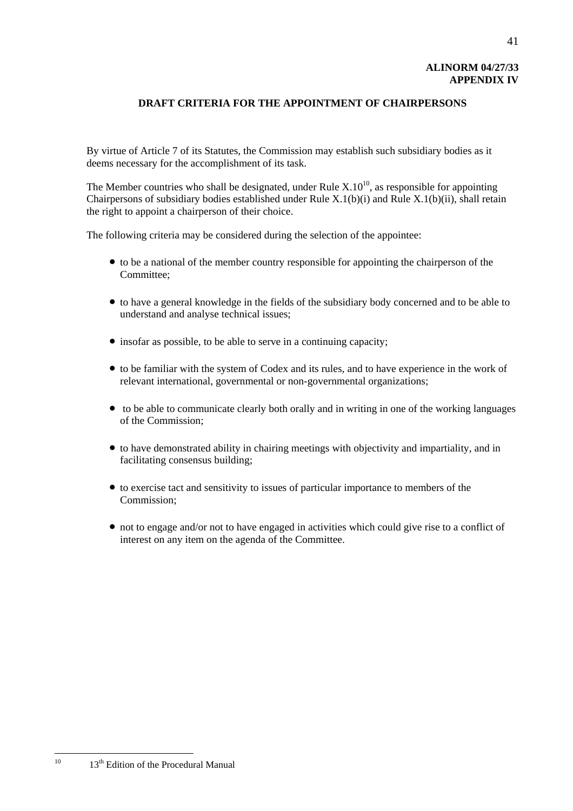# **ALINORM 04/27/33 APPENDIX IV**

# **DRAFT CRITERIA FOR THE APPOINTMENT OF CHAIRPERSONS**

By virtue of Article 7 of its Statutes, the Commission may establish such subsidiary bodies as it deems necessary for the accomplishment of its task.

The Member countries who shall be designated, under Rule  $X.10^{10}$ , as responsible for appointing Chairpersons of subsidiary bodies established under Rule X.1(b)(i) and Rule X.1(b)(ii), shall retain the right to appoint a chairperson of their choice.

The following criteria may be considered during the selection of the appointee:

- to be a national of the member country responsible for appointing the chairperson of the Committee;
- to have a general knowledge in the fields of the subsidiary body concerned and to be able to understand and analyse technical issues;
- insofar as possible, to be able to serve in a continuing capacity;
- to be familiar with the system of Codex and its rules, and to have experience in the work of relevant international, governmental or non-governmental organizations;
- to be able to communicate clearly both orally and in writing in one of the working languages of the Commission;
- to have demonstrated ability in chairing meetings with objectivity and impartiality, and in facilitating consensus building;
- to exercise tact and sensitivity to issues of particular importance to members of the Commission;
- not to engage and/or not to have engaged in activities which could give rise to a conflict of interest on any item on the agenda of the Committee.

 $10$ 

<span id="page-44-0"></span><sup>13&</sup>lt;sup>th</sup> Edition of the Procedural Manual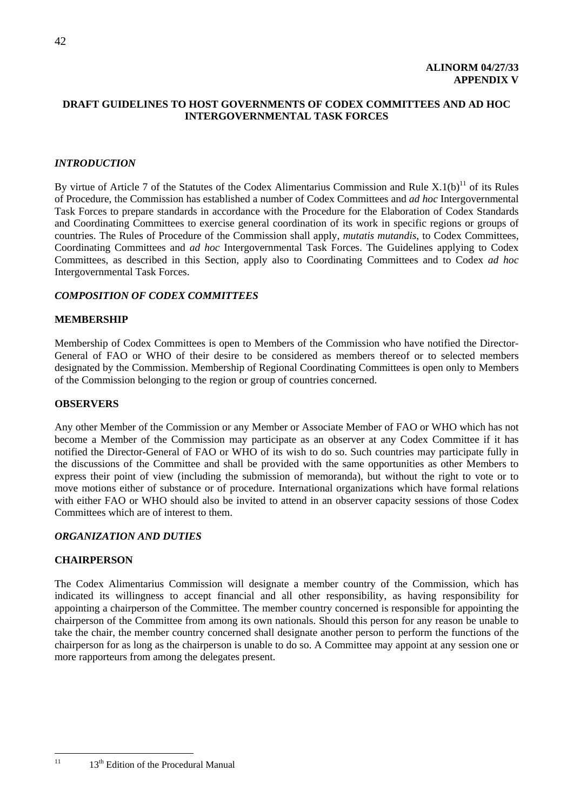# **DRAFT GUIDELINES TO HOST GOVERNMENTS OF CODEX COMMITTEES AND AD HOC INTERGOVERNMENTAL TASK FORCES**

# *INTRODUCTION*

By virtue of Article 7 of the Statutes of the Codex Alimentarius Commission and Rule  $X.1(b)^{11}$  of its Rules of Procedure, the Commission has established a number of Codex Committees and *ad hoc* Intergovernmental Task Forces to prepare standards in accordance with the Procedure for the Elaboration of Codex Standards and Coordinating Committees to exercise general coordination of its work in specific regions or groups of countries. The Rules of Procedure of the Commission shall apply, *mutatis mutandis*, to Codex Committees, Coordinating Committees and *ad hoc* Intergovernmental Task Forces. The Guidelines applying to Codex Committees, as described in this Section, apply also to Coordinating Committees and to Codex *ad hoc* Intergovernmental Task Forces.

## *COMPOSITION OF CODEX COMMITTEES*

## **MEMBERSHIP**

Membership of Codex Committees is open to Members of the Commission who have notified the Director-General of FAO or WHO of their desire to be considered as members thereof or to selected members designated by the Commission. Membership of Regional Coordinating Committees is open only to Members of the Commission belonging to the region or group of countries concerned.

## **OBSERVERS**

Any other Member of the Commission or any Member or Associate Member of FAO or WHO which has not become a Member of the Commission may participate as an observer at any Codex Committee if it has notified the Director-General of FAO or WHO of its wish to do so. Such countries may participate fully in the discussions of the Committee and shall be provided with the same opportunities as other Members to express their point of view (including the submission of memoranda), but without the right to vote or to move motions either of substance or of procedure. International organizations which have formal relations with either FAO or WHO should also be invited to attend in an observer capacity sessions of those Codex Committees which are of interest to them.

#### *ORGANIZATION AND DUTIES*

## **CHAIRPERSON**

The Codex Alimentarius Commission will designate a member country of the Commission, which has indicated its willingness to accept financial and all other responsibility, as having responsibility for appointing a chairperson of the Committee. The member country concerned is responsible for appointing the chairperson of the Committee from among its own nationals. Should this person for any reason be unable to take the chair, the member country concerned shall designate another person to perform the functions of the chairperson for as long as the chairperson is unable to do so. A Committee may appoint at any session one or more rapporteurs from among the delegates present.

<span id="page-45-0"></span><sup>13&</sup>lt;sup>th</sup> Edition of the Procedural Manual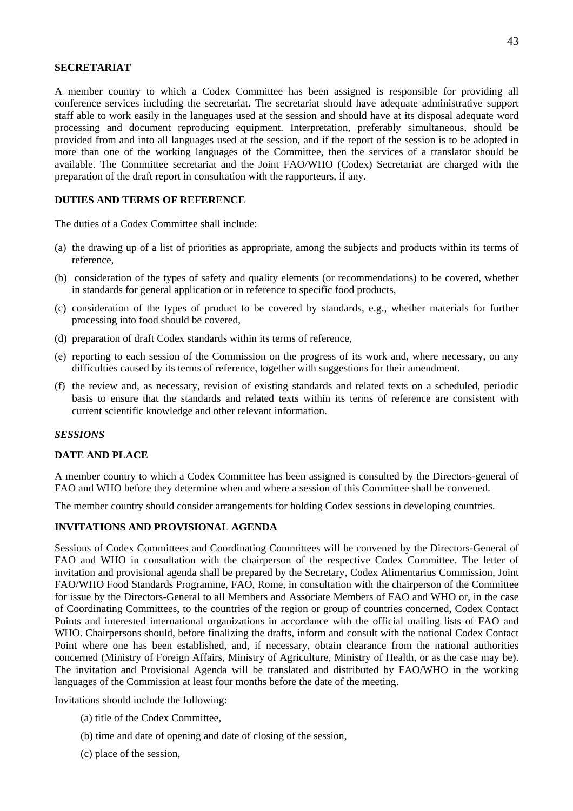#### **SECRETARIAT**

A member country to which a Codex Committee has been assigned is responsible for providing all conference services including the secretariat. The secretariat should have adequate administrative support staff able to work easily in the languages used at the session and should have at its disposal adequate word processing and document reproducing equipment. Interpretation, preferably simultaneous, should be provided from and into all languages used at the session, and if the report of the session is to be adopted in more than one of the working languages of the Committee, then the services of a translator should be available. The Committee secretariat and the Joint FAO/WHO (Codex) Secretariat are charged with the preparation of the draft report in consultation with the rapporteurs, if any.

#### **DUTIES AND TERMS OF REFERENCE**

The duties of a Codex Committee shall include:

- (a) the drawing up of a list of priorities as appropriate, among the subjects and products within its terms of reference,
- (b) consideration of the types of safety and quality elements (or recommendations) to be covered, whether in standards for general application or in reference to specific food products,
- (c) consideration of the types of product to be covered by standards, e.g., whether materials for further processing into food should be covered,
- (d) preparation of draft Codex standards within its terms of reference,
- (e) reporting to each session of the Commission on the progress of its work and, where necessary, on any difficulties caused by its terms of reference, together with suggestions for their amendment.
- (f) the review and, as necessary, revision of existing standards and related texts on a scheduled, periodic basis to ensure that the standards and related texts within its terms of reference are consistent with current scientific knowledge and other relevant information.

#### *SESSIONS*

#### **DATE AND PLACE**

A member country to which a Codex Committee has been assigned is consulted by the Directors-general of FAO and WHO before they determine when and where a session of this Committee shall be convened.

The member country should consider arrangements for holding Codex sessions in developing countries.

#### **INVITATIONS AND PROVISIONAL AGENDA**

Sessions of Codex Committees and Coordinating Committees will be convened by the Directors-General of FAO and WHO in consultation with the chairperson of the respective Codex Committee. The letter of invitation and provisional agenda shall be prepared by the Secretary, Codex Alimentarius Commission, Joint FAO/WHO Food Standards Programme, FAO, Rome, in consultation with the chairperson of the Committee for issue by the Directors-General to all Members and Associate Members of FAO and WHO or, in the case of Coordinating Committees, to the countries of the region or group of countries concerned, Codex Contact Points and interested international organizations in accordance with the official mailing lists of FAO and WHO. Chairpersons should, before finalizing the drafts, inform and consult with the national Codex Contact Point where one has been established, and, if necessary, obtain clearance from the national authorities concerned (Ministry of Foreign Affairs, Ministry of Agriculture, Ministry of Health, or as the case may be). The invitation and Provisional Agenda will be translated and distributed by FAO/WHO in the working languages of the Commission at least four months before the date of the meeting.

Invitations should include the following:

- (a) title of the Codex Committee,
- (b) time and date of opening and date of closing of the session,
- (c) place of the session,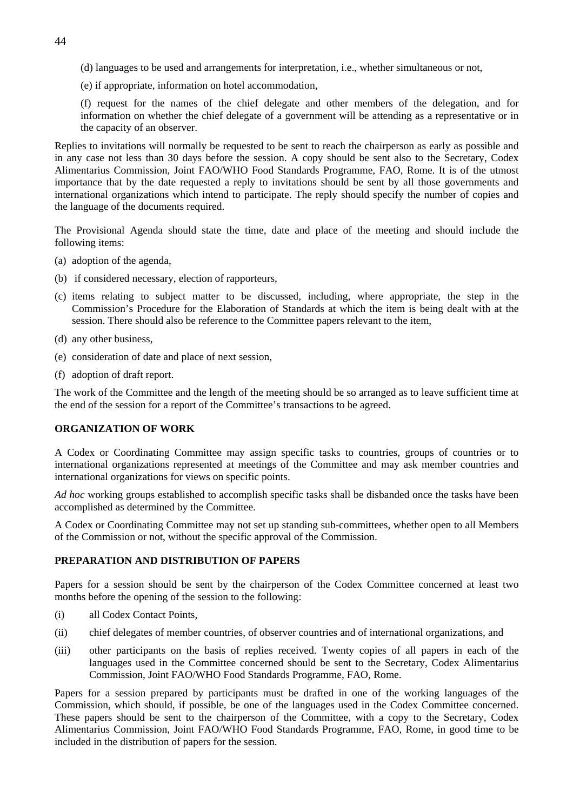- (d) languages to be used and arrangements for interpretation, i.e., whether simultaneous or not,
- (e) if appropriate, information on hotel accommodation,

(f) request for the names of the chief delegate and other members of the delegation, and for information on whether the chief delegate of a government will be attending as a representative or in the capacity of an observer.

Replies to invitations will normally be requested to be sent to reach the chairperson as early as possible and in any case not less than 30 days before the session. A copy should be sent also to the Secretary, Codex Alimentarius Commission, Joint FAO/WHO Food Standards Programme, FAO, Rome. It is of the utmost importance that by the date requested a reply to invitations should be sent by all those governments and international organizations which intend to participate. The reply should specify the number of copies and the language of the documents required.

The Provisional Agenda should state the time, date and place of the meeting and should include the following items:

- (a) adoption of the agenda,
- (b) if considered necessary, election of rapporteurs,
- (c) items relating to subject matter to be discussed, including, where appropriate, the step in the Commission's Procedure for the Elaboration of Standards at which the item is being dealt with at the session. There should also be reference to the Committee papers relevant to the item,
- (d) any other business,
- (e) consideration of date and place of next session,
- (f) adoption of draft report.

The work of the Committee and the length of the meeting should be so arranged as to leave sufficient time at the end of the session for a report of the Committee's transactions to be agreed.

## **ORGANIZATION OF WORK**

A Codex or Coordinating Committee may assign specific tasks to countries, groups of countries or to international organizations represented at meetings of the Committee and may ask member countries and international organizations for views on specific points.

*Ad hoc* working groups established to accomplish specific tasks shall be disbanded once the tasks have been accomplished as determined by the Committee.

A Codex or Coordinating Committee may not set up standing sub-committees, whether open to all Members of the Commission or not, without the specific approval of the Commission.

## **PREPARATION AND DISTRIBUTION OF PAPERS**

Papers for a session should be sent by the chairperson of the Codex Committee concerned at least two months before the opening of the session to the following:

- (i) all Codex Contact Points,
- (ii) chief delegates of member countries, of observer countries and of international organizations, and
- (iii) other participants on the basis of replies received. Twenty copies of all papers in each of the languages used in the Committee concerned should be sent to the Secretary, Codex Alimentarius Commission, Joint FAO/WHO Food Standards Programme, FAO, Rome.

Papers for a session prepared by participants must be drafted in one of the working languages of the Commission, which should, if possible, be one of the languages used in the Codex Committee concerned. These papers should be sent to the chairperson of the Committee, with a copy to the Secretary, Codex Alimentarius Commission, Joint FAO/WHO Food Standards Programme, FAO, Rome, in good time to be included in the distribution of papers for the session.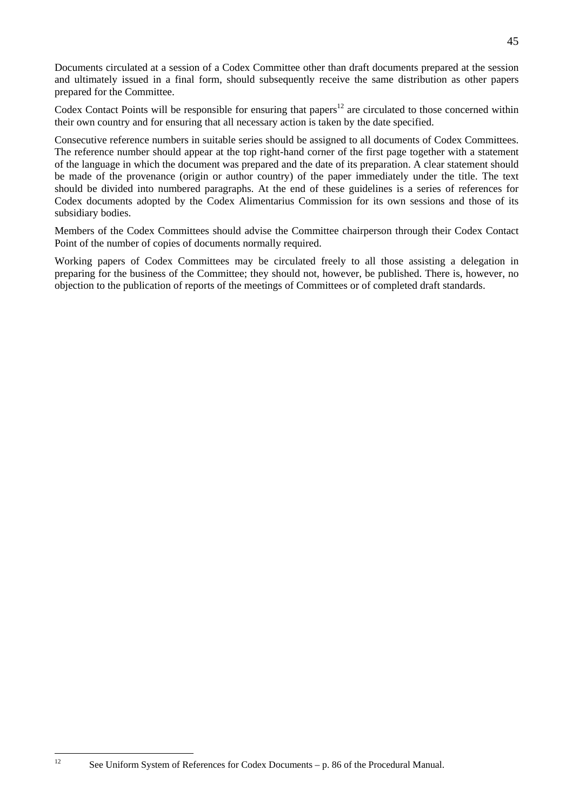Codex Contact Points will be responsible for ensuring that papers<sup>12</sup> are circulated to those concerned within their own country and for ensuring that all necessary action is taken by the date specified.

Consecutive reference numbers in suitable series should be assigned to all documents of Codex Committees. The reference number should appear at the top right-hand corner of the first page together with a statement of the language in which the document was prepared and the date of its preparation. A clear statement should be made of the provenance (origin or author country) of the paper immediately under the title. The text should be divided into numbered paragraphs. At the end of these guidelines is a series of references for Codex documents adopted by the Codex Alimentarius Commission for its own sessions and those of its subsidiary bodies.

Members of the Codex Committees should advise the Committee chairperson through their Codex Contact Point of the number of copies of documents normally required.

Working papers of Codex Committees may be circulated freely to all those assisting a delegation in preparing for the business of the Committee; they should not, however, be published. There is, however, no objection to the publication of reports of the meetings of Committees or of completed draft standards.

<span id="page-48-0"></span> $12<sup>12</sup>$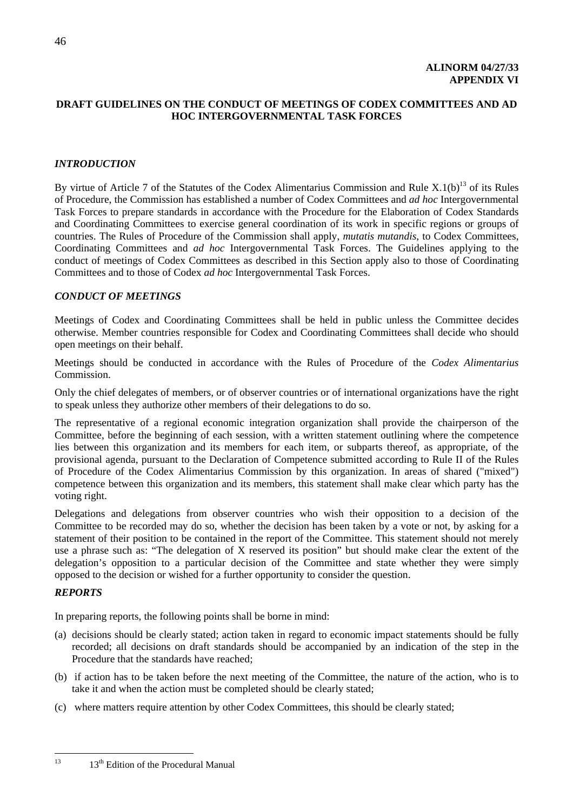# **DRAFT GUIDELINES ON THE CONDUCT OF MEETINGS OF CODEX COMMITTEES AND AD HOC INTERGOVERNMENTAL TASK FORCES**

# *INTRODUCTION*

By virtue of Article 7 of the Statutes of the Codex Alimentarius Commission and Rule  $X.1(b)^{13}$  of its Rules of Procedure, the Commission has established a number of Codex Committees and *ad hoc* Intergovernmental Task Forces to prepare standards in accordance with the Procedure for the Elaboration of Codex Standards and Coordinating Committees to exercise general coordination of its work in specific regions or groups of countries. The Rules of Procedure of the Commission shall apply, *mutatis mutandis*, to Codex Committees, Coordinating Committees and *ad hoc* Intergovernmental Task Forces. The Guidelines applying to the conduct of meetings of Codex Committees as described in this Section apply also to those of Coordinating Committees and to those of Codex *ad hoc* Intergovernmental Task Forces.

# *CONDUCT OF MEETINGS*

Meetings of Codex and Coordinating Committees shall be held in public unless the Committee decides otherwise. Member countries responsible for Codex and Coordinating Committees shall decide who should open meetings on their behalf.

Meetings should be conducted in accordance with the Rules of Procedure of the *Codex Alimentarius*  Commission.

Only the chief delegates of members, or of observer countries or of international organizations have the right to speak unless they authorize other members of their delegations to do so.

The representative of a regional economic integration organization shall provide the chairperson of the Committee, before the beginning of each session, with a written statement outlining where the competence lies between this organization and its members for each item, or subparts thereof, as appropriate, of the provisional agenda, pursuant to the Declaration of Competence submitted according to Rule II of the Rules of Procedure of the Codex Alimentarius Commission by this organization. In areas of shared ("mixed") competence between this organization and its members, this statement shall make clear which party has the voting right.

Delegations and delegations from observer countries who wish their opposition to a decision of the Committee to be recorded may do so, whether the decision has been taken by a vote or not, by asking for a statement of their position to be contained in the report of the Committee. This statement should not merely use a phrase such as: "The delegation of X reserved its position" but should make clear the extent of the delegation's opposition to a particular decision of the Committee and state whether they were simply opposed to the decision or wished for a further opportunity to consider the question.

## *REPORTS*

 $13$ 

In preparing reports, the following points shall be borne in mind:

- (a) decisions should be clearly stated; action taken in regard to economic impact statements should be fully recorded; all decisions on draft standards should be accompanied by an indication of the step in the Procedure that the standards have reached;
- (b) if action has to be taken before the next meeting of the Committee, the nature of the action, who is to take it and when the action must be completed should be clearly stated;
- (c) where matters require attention by other Codex Committees, this should be clearly stated;

<span id="page-49-0"></span><sup>13&</sup>lt;sup>th</sup> Edition of the Procedural Manual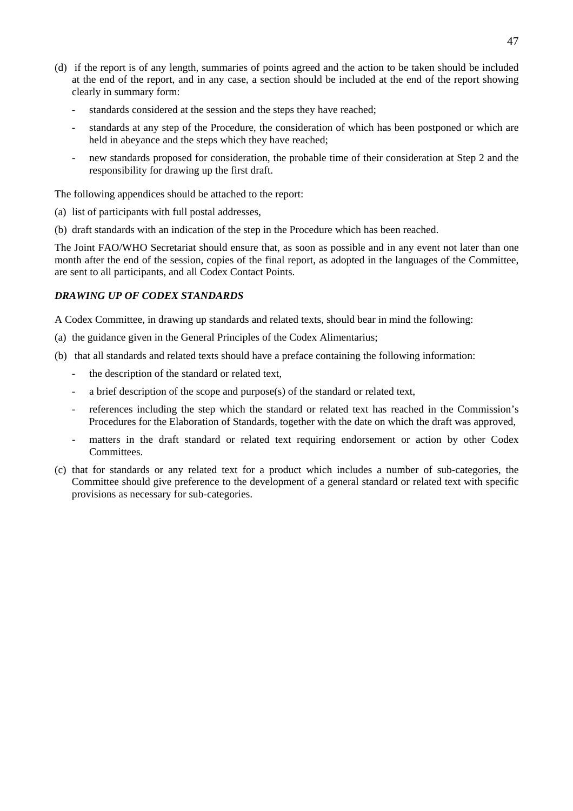- (d) if the report is of any length, summaries of points agreed and the action to be taken should be included at the end of the report, and in any case, a section should be included at the end of the report showing clearly in summary form:
	- standards considered at the session and the steps they have reached;
	- standards at any step of the Procedure, the consideration of which has been postponed or which are held in abeyance and the steps which they have reached;
	- new standards proposed for consideration, the probable time of their consideration at Step 2 and the responsibility for drawing up the first draft.

The following appendices should be attached to the report:

- (a) list of participants with full postal addresses,
- (b) draft standards with an indication of the step in the Procedure which has been reached.

The Joint FAO/WHO Secretariat should ensure that, as soon as possible and in any event not later than one month after the end of the session, copies of the final report, as adopted in the languages of the Committee, are sent to all participants, and all Codex Contact Points.

## *DRAWING UP OF CODEX STANDARDS*

A Codex Committee, in drawing up standards and related texts, should bear in mind the following:

- (a) the guidance given in the General Principles of the Codex Alimentarius;
- (b) that all standards and related texts should have a preface containing the following information:
	- the description of the standard or related text,
	- a brief description of the scope and purpose(s) of the standard or related text,
	- references including the step which the standard or related text has reached in the Commission's Procedures for the Elaboration of Standards, together with the date on which the draft was approved,
	- matters in the draft standard or related text requiring endorsement or action by other Codex **Committees**
- (c) that for standards or any related text for a product which includes a number of sub-categories, the Committee should give preference to the development of a general standard or related text with specific provisions as necessary for sub-categories.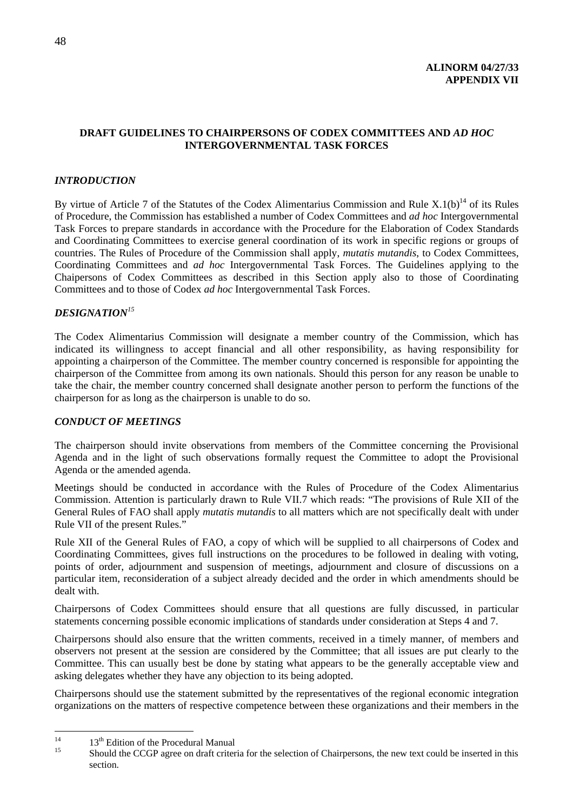# **DRAFT GUIDELINES TO CHAIRPERSONS OF CODEX COMMITTEES AND** *AD HOC*  **INTERGOVERNMENTAL TASK FORCES**

# *INTRODUCTION*

By virtue of Article 7 of the Statutes of the Codex Alimentarius Commission and Rule  $X.1(b)^{14}$  of its Rules of Procedure, the Commission has established a number of Codex Committees and *ad hoc* Intergovernmental Task Forces to prepare standards in accordance with the Procedure for the Elaboration of Codex Standards and Coordinating Committees to exercise general coordination of its work in specific regions or groups of countries. The Rules of Procedure of the Commission shall apply, *mutatis mutandis*, to Codex Committees, Coordinating Committees and *ad hoc* Intergovernmental Task Forces. The Guidelines applying to the Chaipersons of Codex Committees as described in this Section apply also to those of Coordinating Committees and to those of Codex *ad hoc* Intergovernmental Task Forces.

# *DESIGNATION[15](#page-51-1)*

The Codex Alimentarius Commission will designate a member country of the Commission, which has indicated its willingness to accept financial and all other responsibility, as having responsibility for appointing a chairperson of the Committee. The member country concerned is responsible for appointing the chairperson of the Committee from among its own nationals. Should this person for any reason be unable to take the chair, the member country concerned shall designate another person to perform the functions of the chairperson for as long as the chairperson is unable to do so.

## *CONDUCT OF MEETINGS*

The chairperson should invite observations from members of the Committee concerning the Provisional Agenda and in the light of such observations formally request the Committee to adopt the Provisional Agenda or the amended agenda.

Meetings should be conducted in accordance with the Rules of Procedure of the Codex Alimentarius Commission. Attention is particularly drawn to Rule VII.7 which reads: "The provisions of Rule XII of the General Rules of FAO shall apply *mutatis mutandis* to all matters which are not specifically dealt with under Rule VII of the present Rules."

Rule XII of the General Rules of FAO, a copy of which will be supplied to all chairpersons of Codex and Coordinating Committees, gives full instructions on the procedures to be followed in dealing with voting, points of order, adjournment and suspension of meetings, adjournment and closure of discussions on a particular item, reconsideration of a subject already decided and the order in which amendments should be dealt with.

Chairpersons of Codex Committees should ensure that all questions are fully discussed, in particular statements concerning possible economic implications of standards under consideration at Steps 4 and 7.

Chairpersons should also ensure that the written comments, received in a timely manner, of members and observers not present at the session are considered by the Committee; that all issues are put clearly to the Committee. This can usually best be done by stating what appears to be the generally acceptable view and asking delegates whether they have any objection to its being adopted.

Chairpersons should use the statement submitted by the representatives of the regional economic integration organizations on the matters of respective competence between these organizations and their members in the

 $14$ 

<span id="page-51-1"></span><span id="page-51-0"></span><sup>&</sup>lt;sup>14</sup> 13<sup>th</sup> Edition of the Procedural Manual 15 Should the CCGP agree on draft criteria for the selection of Chairpersons, the new text could be inserted in this section.